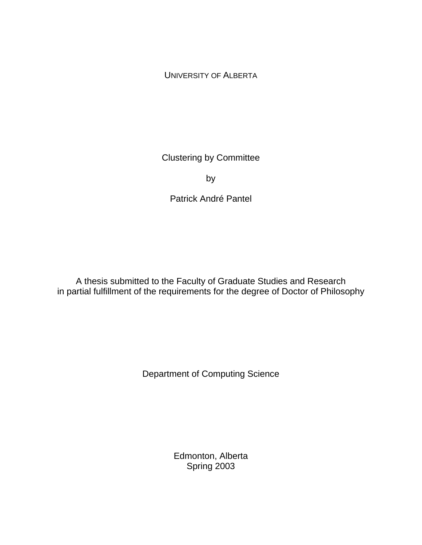UNIVERSITY OF ALBERTA

Clustering by Committee

by

Patrick André Pantel

A thesis submitted to the Faculty of Graduate Studies and Research in partial fulfillment of the requirements for the degree of Doctor of Philosophy

Department of Computing Science

Edmonton, Alberta Spring 2003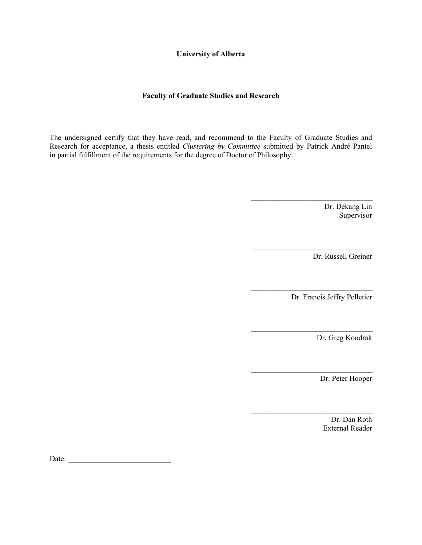**University of Alberta** 

#### **Faculty of Graduate Studies and Research**

The undersigned certify that they have read, and recommend to the Faculty of Graduate Studies and Research for acceptance, a thesis entitled *Clustering by Committee* submitted by Patrick André Pantel in partial fulfillment of the requirements for the degree of Doctor of Philosophy.

 $\mathcal{L}_\text{max}$  and  $\mathcal{L}_\text{max}$  and  $\mathcal{L}_\text{max}$  and  $\mathcal{L}_\text{max}$  and  $\mathcal{L}_\text{max}$ 

 $\mathcal{L}_\text{max}$  and  $\mathcal{L}_\text{max}$  and  $\mathcal{L}_\text{max}$  and  $\mathcal{L}_\text{max}$  and  $\mathcal{L}_\text{max}$ 

 $\mathcal{L}_\text{max}$  and  $\mathcal{L}_\text{max}$  and  $\mathcal{L}_\text{max}$  and  $\mathcal{L}_\text{max}$  and  $\mathcal{L}_\text{max}$ 

 $\mathcal{L}_\text{max}$  and  $\mathcal{L}_\text{max}$  and  $\mathcal{L}_\text{max}$  and  $\mathcal{L}_\text{max}$  and  $\mathcal{L}_\text{max}$ 

 $\mathcal{L}_\text{max}$  and  $\mathcal{L}_\text{max}$  and  $\mathcal{L}_\text{max}$  and  $\mathcal{L}_\text{max}$  and  $\mathcal{L}_\text{max}$ 

 $\mathcal{L}_\text{max}$  and  $\mathcal{L}_\text{max}$  and  $\mathcal{L}_\text{max}$  and  $\mathcal{L}_\text{max}$  and  $\mathcal{L}_\text{max}$ 

 Dr. Dekang Lin Supervisor

Dr. Russell Greiner

Dr. Francis Jeffry Pelletier

Dr. Greg Kondrak

Dr. Peter Hooper

 Dr. Dan Roth External Reader

Date: \_\_\_\_\_\_\_\_\_\_\_\_\_\_\_\_\_\_\_\_\_\_\_\_\_\_\_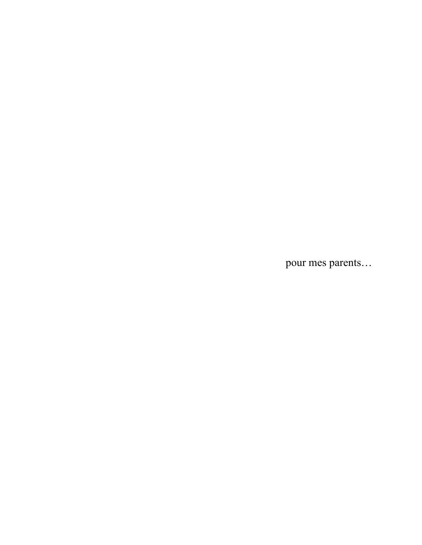pour mes parents...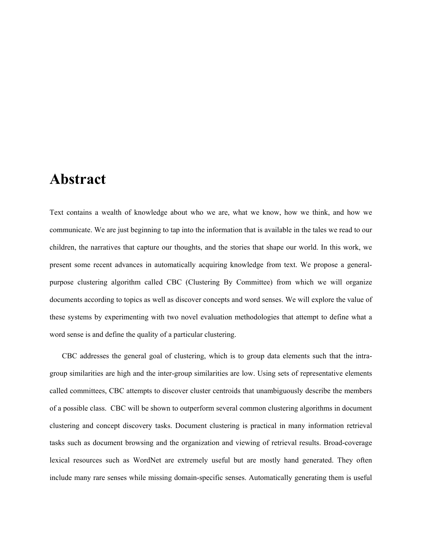## **Abstract**

Text contains a wealth of knowledge about who we are, what we know, how we think, and how we communicate. We are just beginning to tap into the information that is available in the tales we read to our children, the narratives that capture our thoughts, and the stories that shape our world. In this work, we present some recent advances in automatically acquiring knowledge from text. We propose a generalpurpose clustering algorithm called CBC (Clustering By Committee) from which we will organize documents according to topics as well as discover concepts and word senses. We will explore the value of these systems by experimenting with two novel evaluation methodologies that attempt to define what a word sense is and define the quality of a particular clustering.

CBC addresses the general goal of clustering, which is to group data elements such that the intragroup similarities are high and the inter-group similarities are low. Using sets of representative elements called committees, CBC attempts to discover cluster centroids that unambiguously describe the members of a possible class. CBC will be shown to outperform several common clustering algorithms in document clustering and concept discovery tasks. Document clustering is practical in many information retrieval tasks such as document browsing and the organization and viewing of retrieval results. Broad-coverage lexical resources such as WordNet are extremely useful but are mostly hand generated. They often include many rare senses while missing domain-specific senses. Automatically generating them is useful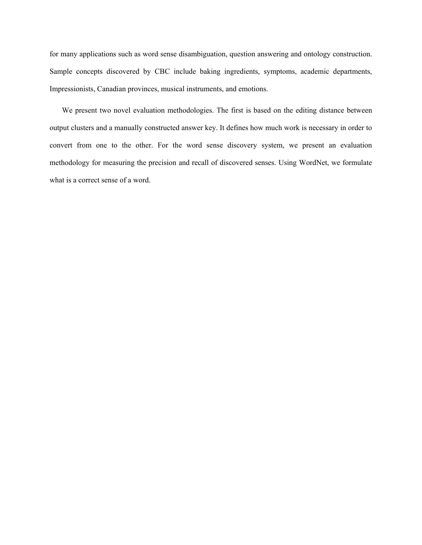for many applications such as word sense disambiguation, question answering and ontology construction. Sample concepts discovered by CBC include baking ingredients, symptoms, academic departments, Impressionists, Canadian provinces, musical instruments, and emotions.

We present two novel evaluation methodologies. The first is based on the editing distance between output clusters and a manually constructed answer key. It defines how much work is necessary in order to convert from one to the other. For the word sense discovery system, we present an evaluation methodology for measuring the precision and recall of discovered senses. Using WordNet, we formulate what is a correct sense of a word.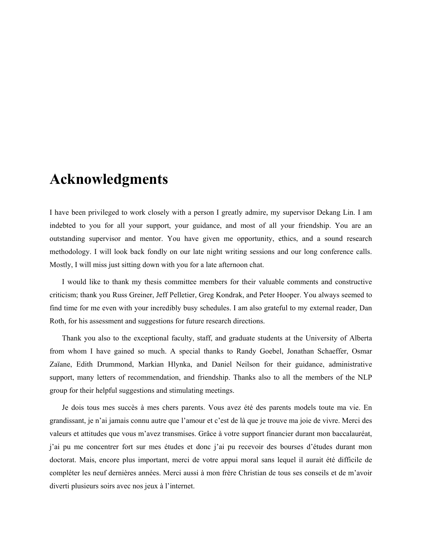## **Acknowledgments**

I have been privileged to work closely with a person I greatly admire, my supervisor Dekang Lin. I am indebted to you for all your support, your guidance, and most of all your friendship. You are an outstanding supervisor and mentor. You have given me opportunity, ethics, and a sound research methodology. I will look back fondly on our late night writing sessions and our long conference calls. Mostly, I will miss just sitting down with you for a late afternoon chat.

I would like to thank my thesis committee members for their valuable comments and constructive criticism; thank you Russ Greiner, Jeff Pelletier, Greg Kondrak, and Peter Hooper. You always seemed to find time for me even with your incredibly busy schedules. I am also grateful to my external reader, Dan Roth, for his assessment and suggestions for future research directions.

Thank you also to the exceptional faculty, staff, and graduate students at the University of Alberta from whom I have gained so much. A special thanks to Randy Goebel, Jonathan Schaeffer, Osmar Zaïane, Edith Drummond, Markian Hlynka, and Daniel Neilson for their guidance, administrative support, many letters of recommendation, and friendship. Thanks also to all the members of the NLP group for their helpful suggestions and stimulating meetings.

Je dois tous mes succès à mes chers parents. Vous avez été des parents models toute ma vie. En grandissant, je n'ai jamais connu autre que l'amour et c'est de là que je trouve ma joie de vivre. Merci des valeurs et attitudes que vous m'avez transmises. Grâce à votre support financier durant mon baccalauréat, j'ai pu me concentrer fort sur mes études et donc j'ai pu recevoir des bourses d'études durant mon doctorat. Mais, encore plus important, merci de votre appui moral sans lequel il aurait été difficile de compléter les neuf dernières années. Merci aussi à mon frère Christian de tous ses conseils et de m'avoir diverti plusieurs soirs avec nos jeux à l'internet.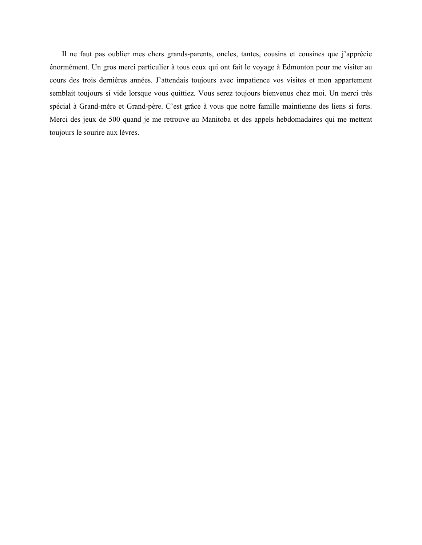Il ne faut pas oublier mes chers grands-parents, oncles, tantes, cousins et cousines que j'apprécie énormément. Un gros merci particulier à tous ceux qui ont fait le voyage à Edmonton pour me visiter au cours des trois dernières années. J'attendais toujours avec impatience vos visites et mon appartement semblait toujours si vide lorsque vous quittiez. Vous serez toujours bienvenus chez moi. Un merci très spécial à Grand-mère et Grand-père. C'est grâce à vous que notre famille maintienne des liens si forts. Merci des jeux de 500 quand je me retrouve au Manitoba et des appels hebdomadaires qui me mettent toujours le sourire aux lèvres.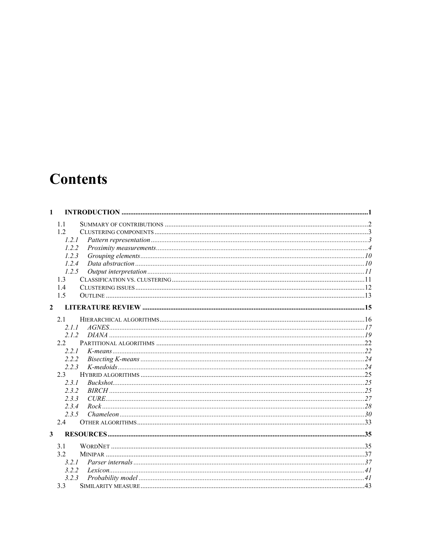# **Contents**

| $\mathbf{1}$   |  |
|----------------|--|
| 1.1            |  |
| 12             |  |
| 1.2.1          |  |
| 1.2.2          |  |
| 1.2.3          |  |
| 1.2.4          |  |
| 1.2.5          |  |
| 1.3            |  |
| 1.4            |  |
| 1.5            |  |
| $\overline{2}$ |  |
| 2.1            |  |
| 211            |  |
| 2.1.2          |  |
| 2.2            |  |
| 2.2.1          |  |
| 2.2.2          |  |
| 2.2.3          |  |
| 2.3            |  |
| 2.3.1          |  |
| 2.3.2          |  |
| 2.3.3          |  |
| 2.3.4          |  |
| 2.3.5          |  |
| 2.4            |  |
| $\mathbf{3}$   |  |
| 3.1            |  |
| 3.2            |  |
| 3.2.1          |  |
| 3.2.2          |  |
| 3.2.3          |  |
|                |  |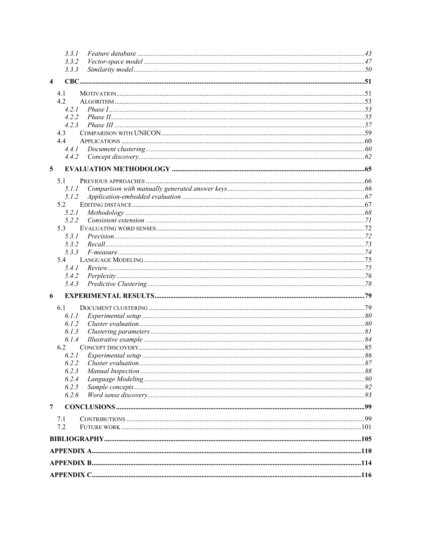|                         | 3.3.1 |  |
|-------------------------|-------|--|
|                         | 3.3.2 |  |
|                         | 3.3.3 |  |
| $\overline{\mathbf{4}}$ |       |  |
|                         | 4.1   |  |
|                         | 4.2   |  |
|                         | 4.2.1 |  |
|                         | 4.2.2 |  |
|                         | 4.2.3 |  |
|                         | 4.3   |  |
|                         | 4.4   |  |
|                         | 4.4.1 |  |
|                         | 4.4.2 |  |
| $5\phantom{.0}$         |       |  |
|                         |       |  |
|                         | 5.1   |  |
|                         | 5.1.1 |  |
|                         | 5.1.2 |  |
|                         | 5.2   |  |
|                         | 5.2.1 |  |
|                         | 5.2.2 |  |
|                         | 5.3   |  |
|                         | 5.3.1 |  |
|                         | 5.3.2 |  |
|                         | 5.3.3 |  |
|                         | 5.4   |  |
|                         | 5.4.1 |  |
|                         | 5.4.2 |  |
|                         | 5.4.3 |  |
| 6                       |       |  |
|                         | 6.1   |  |
|                         | 6.I.I |  |
|                         | 6.1.2 |  |
|                         | 6.1.3 |  |
|                         | 6.1.4 |  |
|                         | 6.2   |  |
|                         | 6.2.1 |  |
|                         | 6.2.2 |  |
|                         | 6.2.3 |  |
|                         | 6.2.4 |  |
|                         | 6.2.5 |  |
|                         | 6.2.6 |  |
| 7                       |       |  |
|                         | 7.1   |  |
|                         | 7.2   |  |
|                         |       |  |
|                         |       |  |
|                         |       |  |
|                         |       |  |
|                         |       |  |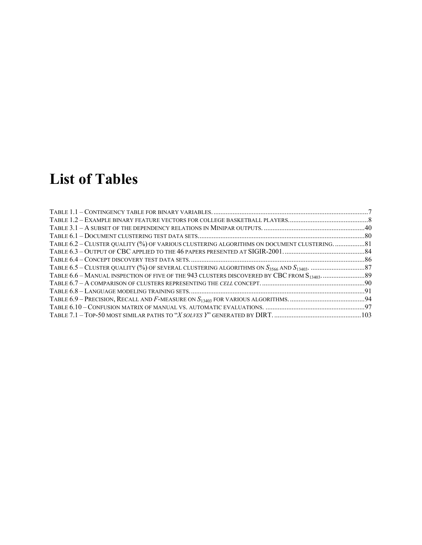# **List of Tables**

| TABLE 6.2 - CLUSTER QUALITY (%) OF VARIOUS CLUSTERING ALGORITHMS ON DOCUMENT CLUSTERING 81 |  |
|--------------------------------------------------------------------------------------------|--|
|                                                                                            |  |
|                                                                                            |  |
|                                                                                            |  |
|                                                                                            |  |
|                                                                                            |  |
|                                                                                            |  |
|                                                                                            |  |
|                                                                                            |  |
|                                                                                            |  |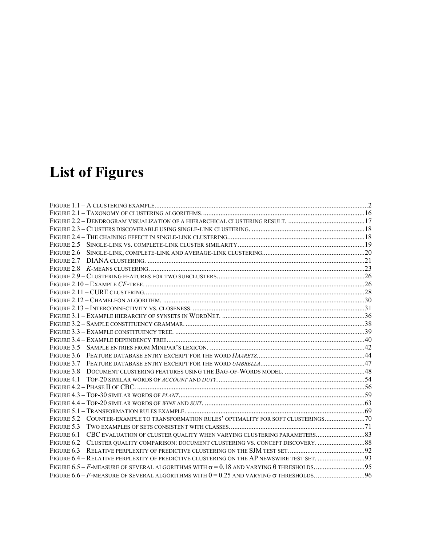# **List of Figures**

| FIGURE 5.2 - COUNTER-EXAMPLE TO TRANSFORMATION RULES' OPTIMALITY FOR SOFT CLUSTERINGS 70   |  |
|--------------------------------------------------------------------------------------------|--|
|                                                                                            |  |
|                                                                                            |  |
|                                                                                            |  |
|                                                                                            |  |
| FIGURE 6.4 - RELATIVE PERPLEXITY OF PREDICTIVE CLUSTERING ON THE AP NEWSWIRE TEST SET.  93 |  |
|                                                                                            |  |
|                                                                                            |  |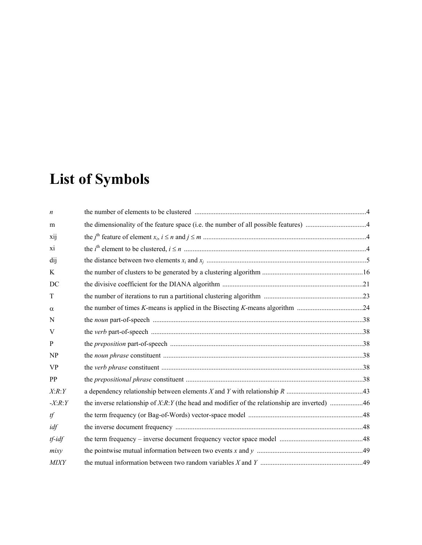# **List of Symbols**

| $\boldsymbol{n}$ |                                                                                                 |  |
|------------------|-------------------------------------------------------------------------------------------------|--|
| m                |                                                                                                 |  |
| xij              |                                                                                                 |  |
| xi               |                                                                                                 |  |
| dij              |                                                                                                 |  |
| K                |                                                                                                 |  |
| DC               |                                                                                                 |  |
| T                |                                                                                                 |  |
| $\alpha$         |                                                                                                 |  |
| N                |                                                                                                 |  |
| V                |                                                                                                 |  |
| $\mathbf{P}$     |                                                                                                 |  |
| NP               |                                                                                                 |  |
| <b>VP</b>        |                                                                                                 |  |
| PP               |                                                                                                 |  |
| X:R:Y            |                                                                                                 |  |
| $-X:R:Y$         | the inverse relationship of $X:R:Y$ (the head and modifier of the relationship are inverted) 46 |  |
| tf               |                                                                                                 |  |
| idf              |                                                                                                 |  |
| $tf$ - $idf$     |                                                                                                 |  |
| mixy             |                                                                                                 |  |
| <b>MIXY</b>      |                                                                                                 |  |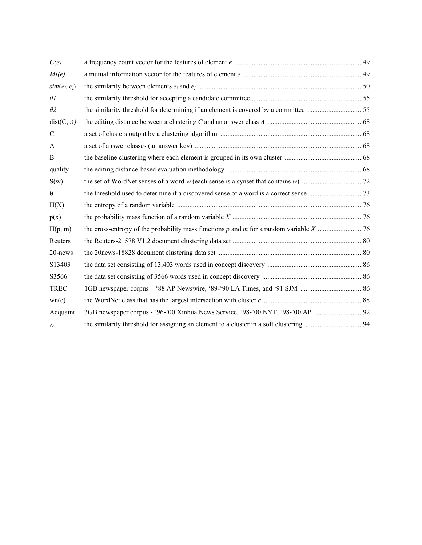| C(e)            |                                                                                     |  |
|-----------------|-------------------------------------------------------------------------------------|--|
| MI(e)           |                                                                                     |  |
| $sim(e_i, e_j)$ |                                                                                     |  |
| $\theta$ l      |                                                                                     |  |
| $\theta$ 2      | the similarity threshold for determining if an element is covered by a committee 55 |  |
| dist(C, A)      |                                                                                     |  |
| $\mathcal{C}$   |                                                                                     |  |
| A               |                                                                                     |  |
| B               |                                                                                     |  |
| quality         |                                                                                     |  |
| S(w)            |                                                                                     |  |
| $\theta$        |                                                                                     |  |
| H(X)            |                                                                                     |  |
| p(x)            |                                                                                     |  |
| H(p, m)         |                                                                                     |  |
| Reuters         |                                                                                     |  |
| 20-news         |                                                                                     |  |
| S13403          |                                                                                     |  |
| S3566           |                                                                                     |  |
| <b>TREC</b>     |                                                                                     |  |
| wn(c)           |                                                                                     |  |
| Acquaint        |                                                                                     |  |
| $\sigma$        |                                                                                     |  |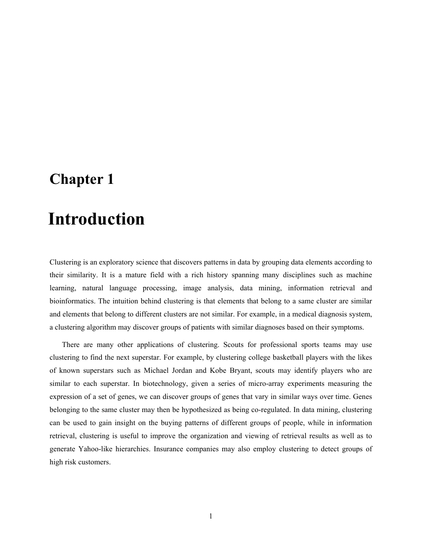## **Chapter 1**

# 1 **Introduction**

Clustering is an exploratory science that discovers patterns in data by grouping data elements according to their similarity. It is a mature field with a rich history spanning many disciplines such as machine learning, natural language processing, image analysis, data mining, information retrieval and bioinformatics. The intuition behind clustering is that elements that belong to a same cluster are similar and elements that belong to different clusters are not similar. For example, in a medical diagnosis system, a clustering algorithm may discover groups of patients with similar diagnoses based on their symptoms.

There are many other applications of clustering. Scouts for professional sports teams may use clustering to find the next superstar. For example, by clustering college basketball players with the likes of known superstars such as Michael Jordan and Kobe Bryant, scouts may identify players who are similar to each superstar. In biotechnology, given a series of micro-array experiments measuring the expression of a set of genes, we can discover groups of genes that vary in similar ways over time. Genes belonging to the same cluster may then be hypothesized as being co-regulated. In data mining, clustering can be used to gain insight on the buying patterns of different groups of people, while in information retrieval, clustering is useful to improve the organization and viewing of retrieval results as well as to generate Yahoo-like hierarchies. Insurance companies may also employ clustering to detect groups of high risk customers.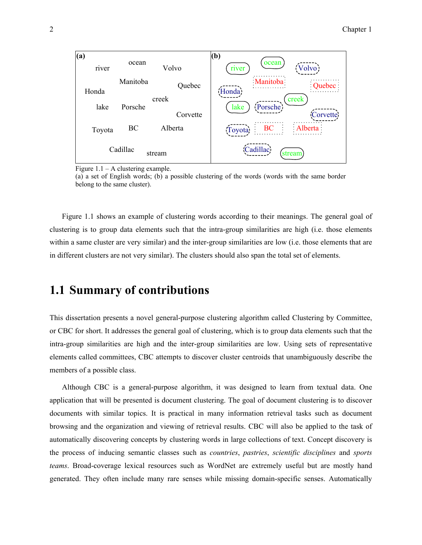

Figure  $1.1 - A$  clustering example.

(a) a set of English words; (b) a possible clustering of the words (words with the same border belong to the same cluster).

Figure 1.1 shows an example of clustering words according to their meanings. The general goal of clustering is to group data elements such that the intra-group similarities are high (i.e. those elements within a same cluster are very similar) and the inter-group similarities are low (i.e. those elements that are in different clusters are not very similar). The clusters should also span the total set of elements.

## **1.1 Summary of contributions**

This dissertation presents a novel general-purpose clustering algorithm called Clustering by Committee, or CBC for short. It addresses the general goal of clustering, which is to group data elements such that the intra-group similarities are high and the inter-group similarities are low. Using sets of representative elements called committees, CBC attempts to discover cluster centroids that unambiguously describe the members of a possible class.

Although CBC is a general-purpose algorithm, it was designed to learn from textual data. One application that will be presented is document clustering. The goal of document clustering is to discover documents with similar topics. It is practical in many information retrieval tasks such as document browsing and the organization and viewing of retrieval results. CBC will also be applied to the task of automatically discovering concepts by clustering words in large collections of text. Concept discovery is the process of inducing semantic classes such as *countries*, *pastries*, *scientific disciplines* and *sports teams*. Broad-coverage lexical resources such as WordNet are extremely useful but are mostly hand generated. They often include many rare senses while missing domain-specific senses. Automatically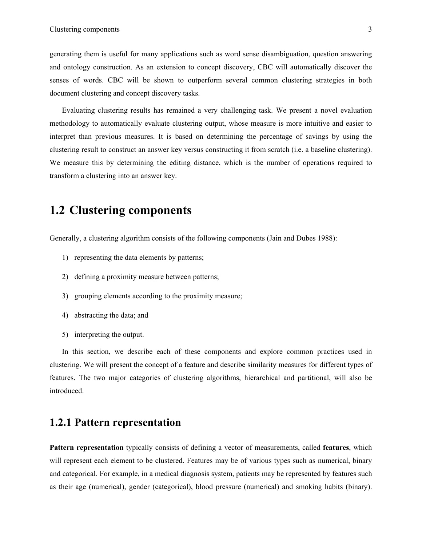generating them is useful for many applications such as word sense disambiguation, question answering and ontology construction. As an extension to concept discovery, CBC will automatically discover the senses of words. CBC will be shown to outperform several common clustering strategies in both document clustering and concept discovery tasks.

Evaluating clustering results has remained a very challenging task. We present a novel evaluation methodology to automatically evaluate clustering output, whose measure is more intuitive and easier to interpret than previous measures. It is based on determining the percentage of savings by using the clustering result to construct an answer key versus constructing it from scratch (i.e. a baseline clustering). We measure this by determining the editing distance, which is the number of operations required to transform a clustering into an answer key.

## **1.2 Clustering components**

Generally, a clustering algorithm consists of the following components (Jain and Dubes 1988):

- 1) representing the data elements by patterns;
- 2) defining a proximity measure between patterns;
- 3) grouping elements according to the proximity measure;
- 4) abstracting the data; and
- 5) interpreting the output.

In this section, we describe each of these components and explore common practices used in clustering. We will present the concept of a feature and describe similarity measures for different types of features. The two major categories of clustering algorithms, hierarchical and partitional, will also be introduced.

## **1.2.1 Pattern representation**

**Pattern representation** typically consists of defining a vector of measurements, called **features**, which will represent each element to be clustered. Features may be of various types such as numerical, binary and categorical. For example, in a medical diagnosis system, patients may be represented by features such as their age (numerical), gender (categorical), blood pressure (numerical) and smoking habits (binary).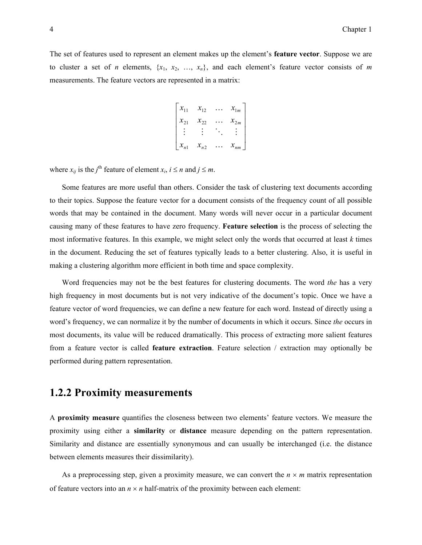The set of features used to represent an element makes up the element's **feature vector**. Suppose we are to cluster a set of *n* elements,  $\{x_1, x_2, ..., x_n\}$ , and each element's feature vector consists of *m* measurements. The feature vectors are represented in a matrix:

$$
\begin{bmatrix} x_{11} & x_{12} & \cdots & x_{1m} \\ x_{21} & x_{22} & \cdots & x_{2m} \\ \vdots & \vdots & \ddots & \vdots \\ x_{n1} & x_{n2} & \cdots & x_{nm} \end{bmatrix}
$$

where  $x_{ij}$  is the *j*<sup>th</sup> feature of element  $x_i$ ,  $i \le n$  and  $j \le m$ .

Some features are more useful than others. Consider the task of clustering text documents according to their topics. Suppose the feature vector for a document consists of the frequency count of all possible words that may be contained in the document. Many words will never occur in a particular document causing many of these features to have zero frequency. **Feature selection** is the process of selecting the most informative features. In this example, we might select only the words that occurred at least *k* times in the document. Reducing the set of features typically leads to a better clustering. Also, it is useful in making a clustering algorithm more efficient in both time and space complexity.

Word frequencies may not be the best features for clustering documents. The word *the* has a very high frequency in most documents but is not very indicative of the document's topic. Once we have a feature vector of word frequencies, we can define a new feature for each word. Instead of directly using a word's frequency, we can normalize it by the number of documents in which it occurs. Since *the* occurs in most documents, its value will be reduced dramatically. This process of extracting more salient features from a feature vector is called **feature extraction**. Feature selection / extraction may optionally be performed during pattern representation.

### **1.2.2 Proximity measurements**

A **proximity measure** quantifies the closeness between two elements' feature vectors. We measure the proximity using either a **similarity** or **distance** measure depending on the pattern representation. Similarity and distance are essentially synonymous and can usually be interchanged (i.e. the distance between elements measures their dissimilarity).

As a preprocessing step, given a proximity measure, we can convert the  $n \times m$  matrix representation of feature vectors into an  $n \times n$  half-matrix of the proximity between each element: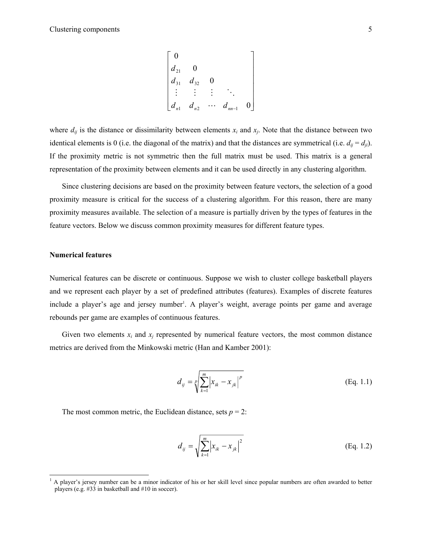$$
\begin{bmatrix} 0 & & & & \\ d_{21} & 0 & & & \\ d_{31} & d_{32} & 0 & & \\ \vdots & \vdots & \vdots & \ddots & \\ d_{n1} & d_{n2} & \cdots & d_{nn-1} & 0 \end{bmatrix}
$$

where  $d_{ij}$  is the distance or dissimilarity between elements  $x_i$  and  $x_j$ . Note that the distance between two identical elements is 0 (i.e. the diagonal of the matrix) and that the distances are symmetrical (i.e.  $d_{ij} = d_{ji}$ ). If the proximity metric is not symmetric then the full matrix must be used. This matrix is a general representation of the proximity between elements and it can be used directly in any clustering algorithm.

Since clustering decisions are based on the proximity between feature vectors, the selection of a good proximity measure is critical for the success of a clustering algorithm. For this reason, there are many proximity measures available. The selection of a measure is partially driven by the types of features in the feature vectors. Below we discuss common proximity measures for different feature types.

#### **Numerical features**

-

Numerical features can be discrete or continuous. Suppose we wish to cluster college basketball players and we represent each player by a set of predefined attributes (features). Examples of discrete features include a player's age and jersey number<sup>1</sup>. A player's weight, average points per game and average rebounds per game are examples of continuous features.

Given two elements  $x_i$  and  $x_j$  represented by numerical feature vectors, the most common distance metrics are derived from the Minkowski metric (Han and Kamber 2001):

$$
d_{ij} = \sqrt[p]{\sum_{k=1}^{m} |x_{ik} - x_{jk}|^p}
$$
 (Eq. 1.1)

The most common metric, the Euclidean distance, sets  $p = 2$ :

$$
d_{ij} = \sqrt{\sum_{k=1}^{m} |x_{ik} - x_{jk}|^2}
$$
 (Eq. 1.2)

<sup>&</sup>lt;sup>1</sup> A player's jersey number can be a minor indicator of his or her skill level since popular numbers are often awarded to better players (e.g. #33 in basketball and #10 in soccer).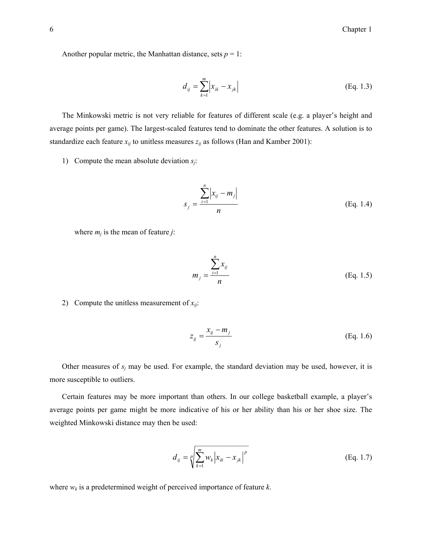Another popular metric, the Manhattan distance, sets  $p = 1$ :

$$
d_{ij} = \sum_{k=1}^{m} \left| x_{ik} - x_{jk} \right| \tag{Eq. 1.3}
$$

The Minkowski metric is not very reliable for features of different scale (e.g. a player's height and average points per game). The largest-scaled features tend to dominate the other features. A solution is to standardize each feature  $x_{ij}$  to unitless measures  $z_{ij}$  as follows (Han and Kamber 2001):

1) Compute the mean absolute deviation *sj*:

$$
s_j = \frac{\sum_{i=1}^{n} |x_{ij} - m_j|}{n}
$$
 (Eq. 1.4)

where  $m_i$  is the mean of feature  $j$ :

$$
m_{j} = \frac{\sum_{i=1}^{n} x_{ij}}{n}
$$
 (Eq. 1.5)

2) Compute the unitless measurement of  $x_{ii}$ :

$$
z_{ij} = \frac{x_{ij} - m_j}{s_j} \tag{Eq. 1.6}
$$

Other measures of  $s_j$  may be used. For example, the standard deviation may be used, however, it is more susceptible to outliers.

Certain features may be more important than others. In our college basketball example, a player's average points per game might be more indicative of his or her ability than his or her shoe size. The weighted Minkowski distance may then be used:

$$
d_{ij} = \sqrt[p]{\sum_{k=1}^{m} w_k |x_{ik} - x_{jk}|^p}
$$
 (Eq. 1.7)

where *wk* is a predetermined weight of perceived importance of feature *k*.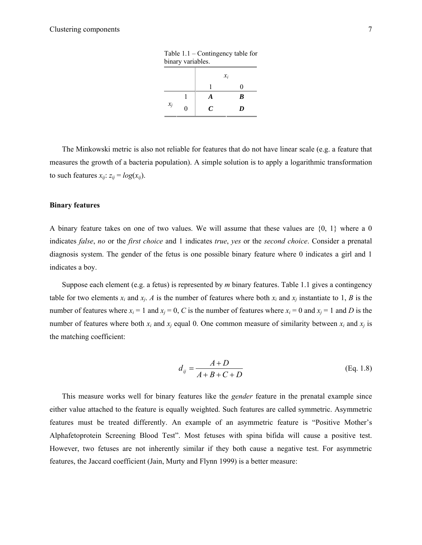| binary variables. |   |                 |              |  |
|-------------------|---|-----------------|--------------|--|
|                   |   | $\mathcal{X}_i$ |              |  |
|                   |   |                 | $\mathbf{0}$ |  |
|                   |   | A               | B            |  |
| $x_j$             | 0 | C               | D            |  |

Table 1.1 – Contingency table for

The Minkowski metric is also not reliable for features that do not have linear scale (e.g. a feature that measures the growth of a bacteria population). A simple solution is to apply a logarithmic transformation to such features  $x_{ij}$ :  $z_{ij} = log(x_{ij})$ .

#### **Binary features**

A binary feature takes on one of two values. We will assume that these values are {0, 1} where a 0 indicates *false*, *no* or the *first choice* and 1 indicates *true*, *yes* or the *second choice*. Consider a prenatal diagnosis system. The gender of the fetus is one possible binary feature where 0 indicates a girl and 1 indicates a boy.

Suppose each element (e.g. a fetus) is represented by *m* binary features. Table 1.1 gives a contingency table for two elements  $x_i$  and  $x_j$ . *A* is the number of features where both  $x_i$  and  $x_j$  instantiate to 1, *B* is the number of features where  $x_i = 1$  and  $x_j = 0$ , *C* is the number of features where  $x_i = 0$  and  $x_j = 1$  and *D* is the number of features where both  $x_i$  and  $x_j$  equal 0. One common measure of similarity between  $x_i$  and  $x_j$  is the matching coefficient:

$$
d_{ij} = \frac{A+D}{A+B+C+D}
$$
 (Eq. 1.8)

This measure works well for binary features like the *gender* feature in the prenatal example since either value attached to the feature is equally weighted. Such features are called symmetric. Asymmetric features must be treated differently. An example of an asymmetric feature is "Positive Mother's Alphafetoprotein Screening Blood Test". Most fetuses with spina bifida will cause a positive test. However, two fetuses are not inherently similar if they both cause a negative test. For asymmetric features, the Jaccard coefficient (Jain, Murty and Flynn 1999) is a better measure: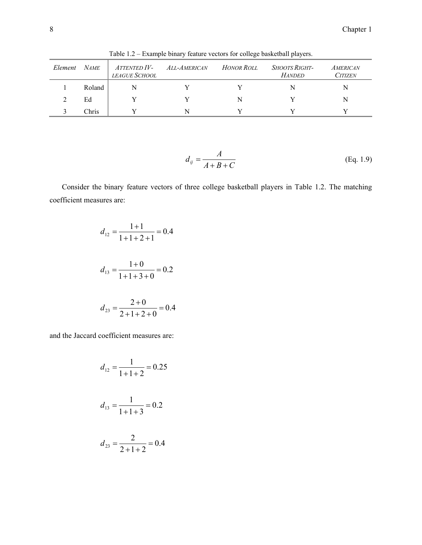| Element | <b>NAME</b> | <i>ATTENTED IV-</i><br><b>LEAGUE SCHOOL</b> | ALL-AMERICAN | <b>HONOR ROLL</b> | <i>SHOOTS RIGHT-</i><br><b>HANDED</b> | <b>AMERICAN</b><br><b>CITIZEN</b> |
|---------|-------------|---------------------------------------------|--------------|-------------------|---------------------------------------|-----------------------------------|
|         | Roland      |                                             |              |                   | N                                     | N                                 |
|         | Ed          |                                             |              | N                 |                                       | N                                 |
|         | Chris       |                                             |              | $\mathbf{v}$      |                                       |                                   |

Table 1.2 – Example binary feature vectors for college basketball players.

$$
d_{ij} = \frac{A}{A + B + C}
$$
 (Eq. 1.9)

Consider the binary feature vectors of three college basketball players in Table 1.2. The matching coefficient measures are:

$$
d_{12} = \frac{1+1}{1+1+2+1} = 0.4
$$
  

$$
d_{13} = \frac{1+0}{1+1+3+0} = 0.2
$$
  

$$
d_{23} = \frac{2+0}{2+1+2+0} = 0.4
$$

and the Jaccard coefficient measures are:

$$
d_{12} = \frac{1}{1+1+2} = 0.25
$$

$$
d_{13} = \frac{1}{1+1+3} = 0.2
$$

$$
d_{23} = \frac{2}{2+1+2} = 0.4
$$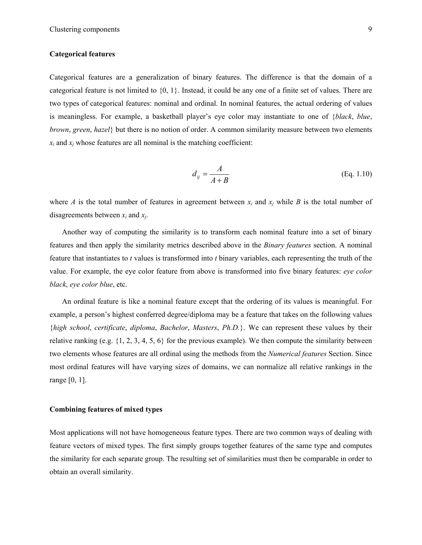#### **Categorical features**

Categorical features are a generalization of binary features. The difference is that the domain of a categorical feature is not limited to {0, 1}. Instead, it could be any one of a finite set of values. There are two types of categorical features: nominal and ordinal. In nominal features, the actual ordering of values is meaningless. For example, a basketball player's eye color may instantiate to one of {*black*, *blue*, *brown*, *green*, *hazel*} but there is no notion of order. A common similarity measure between two elements  $x_i$  and  $x_j$  whose features are all nominal is the matching coefficient:

$$
d_{ij} = \frac{A}{A+B}
$$
 (Eq. 1.10)

where *A* is the total number of features in agreement between  $x_i$  and  $x_j$  while *B* is the total number of disagreements between *xi* and *xj*.

Another way of computing the similarity is to transform each nominal feature into a set of binary features and then apply the similarity metrics described above in the *Binary features* section. A nominal feature that instantiates to *t* values is transformed into *t* binary variables, each representing the truth of the value. For example, the eye color feature from above is transformed into five binary features: *eye color black*, *eye color blue*, etc.

An ordinal feature is like a nominal feature except that the ordering of its values is meaningful. For example, a person's highest conferred degree/diploma may be a feature that takes on the following values {*high school*, *certificate*, *diploma*, *Bachelor*, *Masters*, *Ph.D.*}. We can represent these values by their relative ranking (e.g. {1, 2, 3, 4, 5, 6} for the previous example). We then compute the similarity between two elements whose features are all ordinal using the methods from the *Numerical features* Section. Since most ordinal features will have varying sizes of domains, we can normalize all relative rankings in the range [0, 1].

#### **Combining features of mixed types**

Most applications will not have homogeneous feature types. There are two common ways of dealing with feature vectors of mixed types. The first simply groups together features of the same type and computes the similarity for each separate group. The resulting set of similarities must then be comparable in order to obtain an overall similarity.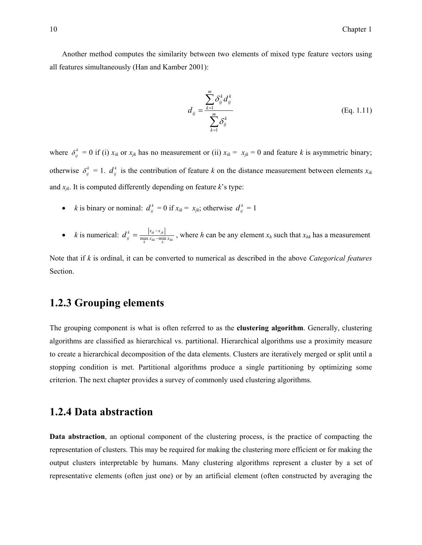Another method computes the similarity between two elements of mixed type feature vectors using all features simultaneously (Han and Kamber 2001):

$$
d_{ij} = \frac{\sum_{k=1}^{m} \delta_{ij}^{k} d_{ij}^{k}}{\sum_{k=1}^{m} \delta_{ij}^{k}}
$$
 (Eq. 1.11)

where  $\delta_{ij}^k = 0$  if (i)  $x_{ik}$  or  $x_{jk}$  has no measurement or (ii)  $x_{ik} = x_{jk} = 0$  and feature *k* is asymmetric binary; otherwise  $\delta_i^k = 1$ .  $d_{ij}^k$  is the contribution of feature *k* on the distance measurement between elements  $x_{ik}$ and  $x_{jk}$ . It is computed differently depending on feature  $k$ 's type:

- *k* is binary or nominal:  $d_{ij}^k = 0$  if  $x_{ik} = x_{jk}$ ; otherwise  $d_{ij}^k = 1$
- *k* is numerical:  $d_{ij}^k = \frac{|x_{ik} x_{jk}|}{\max_{h} x_{hk} \min_{h} x_{hk}}$ , where *h* can be any element  $x_h$  such that  $x_{hk}$  has a measurement

Note that if *k* is ordinal, it can be converted to numerical as described in the above *Categorical features* Section.

### **1.2.3 Grouping elements**

The grouping component is what is often referred to as the **clustering algorithm**. Generally, clustering algorithms are classified as hierarchical vs. partitional. Hierarchical algorithms use a proximity measure to create a hierarchical decomposition of the data elements. Clusters are iteratively merged or split until a stopping condition is met. Partitional algorithms produce a single partitioning by optimizing some criterion. The next chapter provides a survey of commonly used clustering algorithms.

### **1.2.4 Data abstraction**

**Data abstraction**, an optional component of the clustering process, is the practice of compacting the representation of clusters. This may be required for making the clustering more efficient or for making the output clusters interpretable by humans. Many clustering algorithms represent a cluster by a set of representative elements (often just one) or by an artificial element (often constructed by averaging the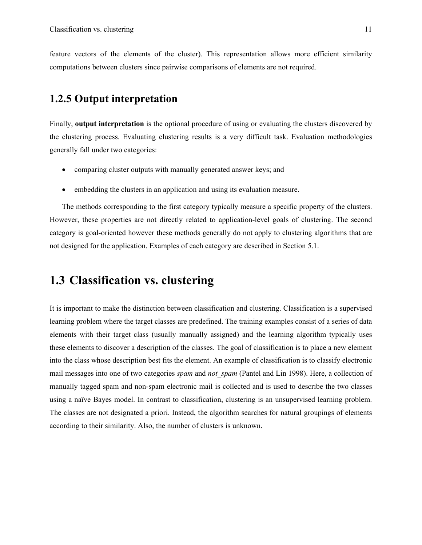feature vectors of the elements of the cluster). This representation allows more efficient similarity computations between clusters since pairwise comparisons of elements are not required.

### **1.2.5 Output interpretation**

Finally, **output interpretation** is the optional procedure of using or evaluating the clusters discovered by the clustering process. Evaluating clustering results is a very difficult task. Evaluation methodologies generally fall under two categories:

- comparing cluster outputs with manually generated answer keys; and
- embedding the clusters in an application and using its evaluation measure.

The methods corresponding to the first category typically measure a specific property of the clusters. However, these properties are not directly related to application-level goals of clustering. The second category is goal-oriented however these methods generally do not apply to clustering algorithms that are not designed for the application. Examples of each category are described in Section 5.1.

## **1.3 Classification vs. clustering**

It is important to make the distinction between classification and clustering. Classification is a supervised learning problem where the target classes are predefined. The training examples consist of a series of data elements with their target class (usually manually assigned) and the learning algorithm typically uses these elements to discover a description of the classes. The goal of classification is to place a new element into the class whose description best fits the element. An example of classification is to classify electronic mail messages into one of two categories *spam* and *not* spam (Pantel and Lin 1998). Here, a collection of manually tagged spam and non-spam electronic mail is collected and is used to describe the two classes using a naïve Bayes model. In contrast to classification, clustering is an unsupervised learning problem. The classes are not designated a priori. Instead, the algorithm searches for natural groupings of elements according to their similarity. Also, the number of clusters is unknown.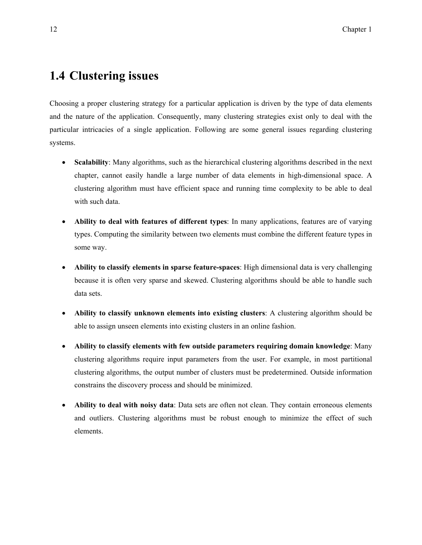## **1.4 Clustering issues**

Choosing a proper clustering strategy for a particular application is driven by the type of data elements and the nature of the application. Consequently, many clustering strategies exist only to deal with the particular intricacies of a single application. Following are some general issues regarding clustering systems.

- **Scalability**: Many algorithms, such as the hierarchical clustering algorithms described in the next chapter, cannot easily handle a large number of data elements in high-dimensional space. A clustering algorithm must have efficient space and running time complexity to be able to deal with such data.
- **Ability to deal with features of different types**: In many applications, features are of varying types. Computing the similarity between two elements must combine the different feature types in some way.
- **Ability to classify elements in sparse feature-spaces**: High dimensional data is very challenging because it is often very sparse and skewed. Clustering algorithms should be able to handle such data sets.
- **Ability to classify unknown elements into existing clusters**: A clustering algorithm should be able to assign unseen elements into existing clusters in an online fashion.
- **Ability to classify elements with few outside parameters requiring domain knowledge**: Many clustering algorithms require input parameters from the user. For example, in most partitional clustering algorithms, the output number of clusters must be predetermined. Outside information constrains the discovery process and should be minimized.
- **Ability to deal with noisy data**: Data sets are often not clean. They contain erroneous elements and outliers. Clustering algorithms must be robust enough to minimize the effect of such elements.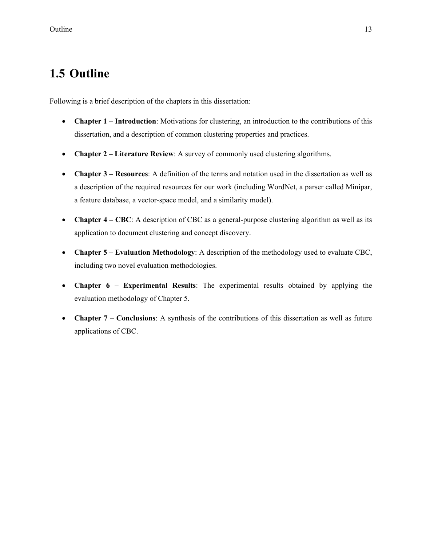## **1.5 Outline**

Following is a brief description of the chapters in this dissertation:

- **Chapter 1 Introduction**: Motivations for clustering, an introduction to the contributions of this dissertation, and a description of common clustering properties and practices.
- **Chapter 2 Literature Review**: A survey of commonly used clustering algorithms.
- **Chapter 3 Resources**: A definition of the terms and notation used in the dissertation as well as a description of the required resources for our work (including WordNet, a parser called Minipar, a feature database, a vector-space model, and a similarity model).
- **Chapter 4 CBC**: A description of CBC as a general-purpose clustering algorithm as well as its application to document clustering and concept discovery.
- **Chapter 5 Evaluation Methodology**: A description of the methodology used to evaluate CBC, including two novel evaluation methodologies.
- **Chapter 6 Experimental Results**: The experimental results obtained by applying the evaluation methodology of Chapter 5.
- **Chapter 7 Conclusions**: A synthesis of the contributions of this dissertation as well as future applications of CBC.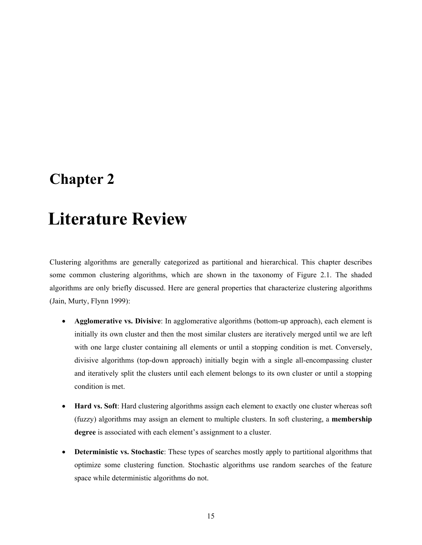## **Chapter 2**

# 2 **Literature Review**

Clustering algorithms are generally categorized as partitional and hierarchical. This chapter describes some common clustering algorithms, which are shown in the taxonomy of Figure 2.1. The shaded algorithms are only briefly discussed. Here are general properties that characterize clustering algorithms (Jain, Murty, Flynn 1999):

- **Agglomerative vs. Divisive**: In agglomerative algorithms (bottom-up approach), each element is initially its own cluster and then the most similar clusters are iteratively merged until we are left with one large cluster containing all elements or until a stopping condition is met. Conversely, divisive algorithms (top-down approach) initially begin with a single all-encompassing cluster and iteratively split the clusters until each element belongs to its own cluster or until a stopping condition is met.
- **Hard vs. Soft**: Hard clustering algorithms assign each element to exactly one cluster whereas soft (fuzzy) algorithms may assign an element to multiple clusters. In soft clustering, a **membership degree** is associated with each element's assignment to a cluster.
- **Deterministic vs. Stochastic**: These types of searches mostly apply to partitional algorithms that optimize some clustering function. Stochastic algorithms use random searches of the feature space while deterministic algorithms do not.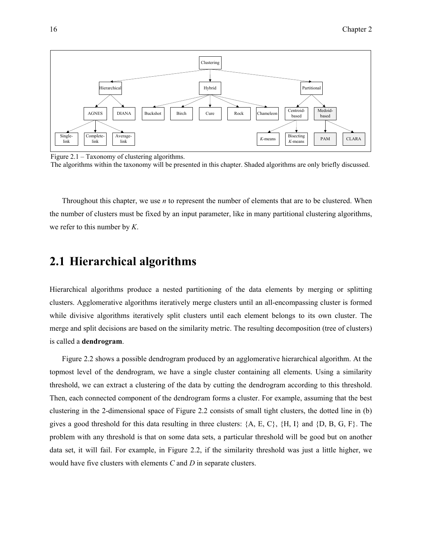

Figure 2.1 – Taxonomy of clustering algorithms.

The algorithms within the taxonomy will be presented in this chapter. Shaded algorithms are only briefly discussed.

Throughout this chapter, we use *n* to represent the number of elements that are to be clustered. When the number of clusters must be fixed by an input parameter, like in many partitional clustering algorithms, we refer to this number by *K*.

## **2.1 Hierarchical algorithms**

Hierarchical algorithms produce a nested partitioning of the data elements by merging or splitting clusters. Agglomerative algorithms iteratively merge clusters until an all-encompassing cluster is formed while divisive algorithms iteratively split clusters until each element belongs to its own cluster. The merge and split decisions are based on the similarity metric. The resulting decomposition (tree of clusters) is called a **dendrogram**.

Figure 2.2 shows a possible dendrogram produced by an agglomerative hierarchical algorithm. At the topmost level of the dendrogram, we have a single cluster containing all elements. Using a similarity threshold, we can extract a clustering of the data by cutting the dendrogram according to this threshold. Then, each connected component of the dendrogram forms a cluster. For example, assuming that the best clustering in the 2-dimensional space of Figure 2.2 consists of small tight clusters, the dotted line in (b) gives a good threshold for this data resulting in three clusters: {A, E, C}, {H, I} and {D, B, G, F}. The problem with any threshold is that on some data sets, a particular threshold will be good but on another data set, it will fail. For example, in Figure 2.2, if the similarity threshold was just a little higher, we would have five clusters with elements *C* and *D* in separate clusters.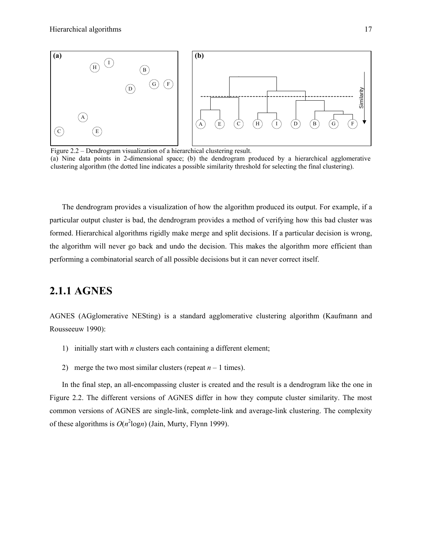

(a) Nine data points in 2-dimensional space; (b) the dendrogram produced by a hierarchical agglomerative clustering algorithm (the dotted line indicates a possible similarity threshold for selecting the final clustering).

The dendrogram provides a visualization of how the algorithm produced its output. For example, if a particular output cluster is bad, the dendrogram provides a method of verifying how this bad cluster was formed. Hierarchical algorithms rigidly make merge and split decisions. If a particular decision is wrong, the algorithm will never go back and undo the decision. This makes the algorithm more efficient than performing a combinatorial search of all possible decisions but it can never correct itself.

### **2.1.1 AGNES**

AGNES (AGglomerative NESting) is a standard agglomerative clustering algorithm (Kaufmann and Rousseeuw 1990):

- 1) initially start with *n* clusters each containing a different element;
- 2) merge the two most similar clusters (repeat  $n 1$  times).

In the final step, an all-encompassing cluster is created and the result is a dendrogram like the one in Figure 2.2. The different versions of AGNES differ in how they compute cluster similarity. The most common versions of AGNES are single-link, complete-link and average-link clustering. The complexity of these algorithms is  $O(n^2 \log n)$  (Jain, Murty, Flynn 1999).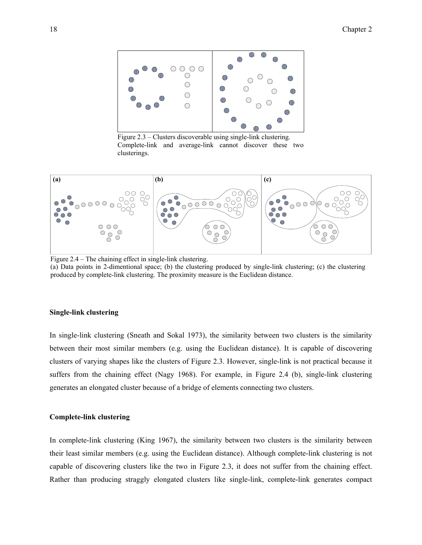

Figure 2.3 – Clusters discoverable using single-link clustering. Complete-link and average-link cannot discover these two clusterings.



Figure 2.4 – The chaining effect in single-link clustering.

(a) Data points in 2-dimentional space; (b) the clustering produced by single-link clustering; (c) the clustering produced by complete-link clustering. The proximity measure is the Euclidean distance.

#### **Single-link clustering**

In single-link clustering (Sneath and Sokal 1973), the similarity between two clusters is the similarity between their most similar members (e.g. using the Euclidean distance). It is capable of discovering clusters of varying shapes like the clusters of Figure 2.3. However, single-link is not practical because it suffers from the chaining effect (Nagy 1968). For example, in Figure 2.4 (b), single-link clustering generates an elongated cluster because of a bridge of elements connecting two clusters.

#### **Complete-link clustering**

In complete-link clustering (King 1967), the similarity between two clusters is the similarity between their least similar members (e.g. using the Euclidean distance). Although complete-link clustering is not capable of discovering clusters like the two in Figure 2.3, it does not suffer from the chaining effect. Rather than producing straggly elongated clusters like single-link, complete-link generates compact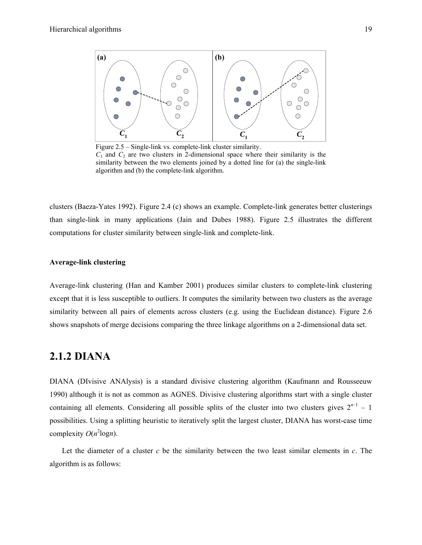

Figure 2.5 – Single-link vs. complete-link cluster similarity.  $C_1$  and  $C_2$  are two clusters in 2-dimensional space where their similarity is the similarity between the two elements joined by a dotted line for (a) the single-link algorithm and (b) the complete-link algorithm.

clusters (Baeza-Yates 1992). Figure 2.4 (c) shows an example. Complete-link generates better clusterings than single-link in many applications (Jain and Dubes 1988). Figure 2.5 illustrates the different computations for cluster similarity between single-link and complete-link.

#### **Average-link clustering**

Average-link clustering (Han and Kamber 2001) produces similar clusters to complete-link clustering except that it is less susceptible to outliers. It computes the similarity between two clusters as the average similarity between all pairs of elements across clusters (e.g. using the Euclidean distance). Figure 2.6 shows snapshots of merge decisions comparing the three linkage algorithms on a 2-dimensional data set.

### **2.1.2 DIANA**

DIANA (DIvisive ANAlysis) is a standard divisive clustering algorithm (Kaufmann and Rousseeuw 1990) although it is not as common as AGNES. Divisive clustering algorithms start with a single cluster containing all elements. Considering all possible splits of the cluster into two clusters gives  $2^{n-1} - 1$ possibilities. Using a splitting heuristic to iteratively split the largest cluster, DIANA has worst-case time complexity  $O(n^2 \log n)$ .

Let the diameter of a cluster *c* be the similarity between the two least similar elements in *c*. The algorithm is as follows: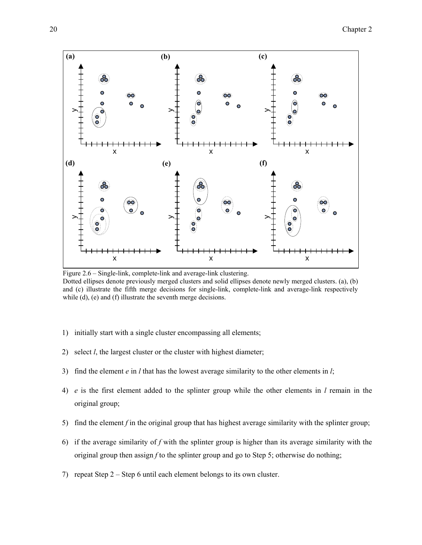

Figure 2.6 – Single-link, complete-link and average-link clustering. Dotted ellipses denote previously merged clusters and solid ellipses denote newly merged clusters. (a), (b) and (c) illustrate the fifth merge decisions for single-link, complete-link and average-link respectively while (d), (e) and (f) illustrate the seventh merge decisions.

- 1) initially start with a single cluster encompassing all elements;
- 2) select *l*, the largest cluster or the cluster with highest diameter;
- 3) find the element *e* in *l* that has the lowest average similarity to the other elements in *l*;
- 4) *e* is the first element added to the splinter group while the other elements in *l* remain in the original group;
- 5) find the element *f* in the original group that has highest average similarity with the splinter group;
- 6) if the average similarity of *f* with the splinter group is higher than its average similarity with the original group then assign *f* to the splinter group and go to Step 5; otherwise do nothing;
- 7) repeat Step 2 Step 6 until each element belongs to its own cluster.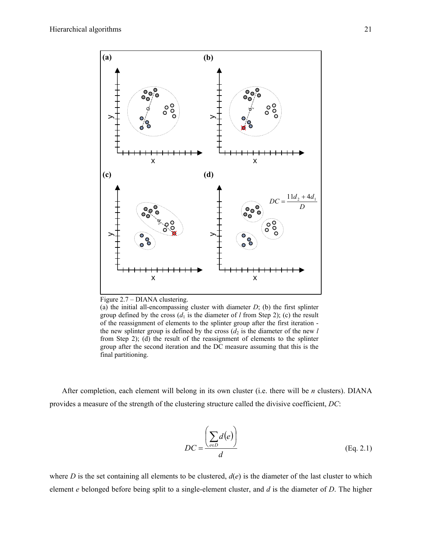

Figure 2.7 – DIANA clustering.

(a) the initial all-encompassing cluster with diameter  $D$ ; (b) the first splinter group defined by the cross  $(d_1$  is the diameter of *l* from Step 2); (c) the result of the reassignment of elements to the splinter group after the first iteration the new splinter group is defined by the cross  $(d_2)$  is the diameter of the new *l* from Step 2); (d) the result of the reassignment of elements to the splinter group after the second iteration and the DC measure assuming that this is the final partitioning.

After completion, each element will belong in its own cluster (i.e. there will be *n* clusters). DIANA provides a measure of the strength of the clustering structure called the divisive coefficient, *DC*:

$$
DC = \frac{\left(\sum_{e \in D} d(e)\right)}{d}
$$
 (Eq. 2.1)

where *D* is the set containing all elements to be clustered,  $d(e)$  is the diameter of the last cluster to which element *e* belonged before being split to a single-element cluster, and *d* is the diameter of *D*. The higher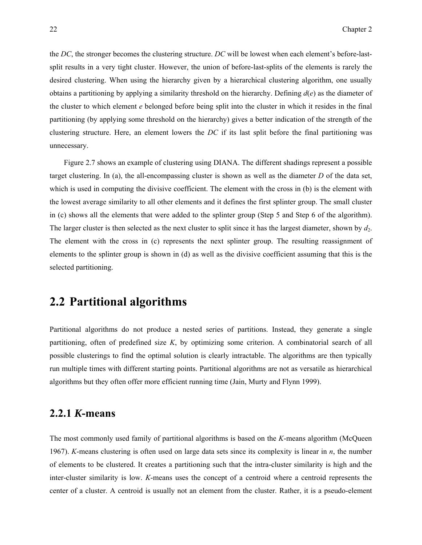the *DC*, the stronger becomes the clustering structure. *DC* will be lowest when each element's before-lastsplit results in a very tight cluster. However, the union of before-last-splits of the elements is rarely the desired clustering. When using the hierarchy given by a hierarchical clustering algorithm, one usually obtains a partitioning by applying a similarity threshold on the hierarchy. Defining *d*(*e*) as the diameter of the cluster to which element *e* belonged before being split into the cluster in which it resides in the final partitioning (by applying some threshold on the hierarchy) gives a better indication of the strength of the clustering structure. Here, an element lowers the *DC* if its last split before the final partitioning was unnecessary.

 Figure 2.7 shows an example of clustering using DIANA. The different shadings represent a possible target clustering. In (a), the all-encompassing cluster is shown as well as the diameter *D* of the data set, which is used in computing the divisive coefficient. The element with the cross in (b) is the element with the lowest average similarity to all other elements and it defines the first splinter group. The small cluster in (c) shows all the elements that were added to the splinter group (Step 5 and Step 6 of the algorithm). The larger cluster is then selected as the next cluster to split since it has the largest diameter, shown by  $d_2$ . The element with the cross in (c) represents the next splinter group. The resulting reassignment of elements to the splinter group is shown in (d) as well as the divisive coefficient assuming that this is the selected partitioning.

# **2.2 Partitional algorithms**

Partitional algorithms do not produce a nested series of partitions. Instead, they generate a single partitioning, often of predefined size *K*, by optimizing some criterion. A combinatorial search of all possible clusterings to find the optimal solution is clearly intractable. The algorithms are then typically run multiple times with different starting points. Partitional algorithms are not as versatile as hierarchical algorithms but they often offer more efficient running time (Jain, Murty and Flynn 1999).

#### **2.2.1** *K***-means**

The most commonly used family of partitional algorithms is based on the *K*-means algorithm (McQueen 1967). *K*-means clustering is often used on large data sets since its complexity is linear in *n*, the number of elements to be clustered. It creates a partitioning such that the intra-cluster similarity is high and the inter-cluster similarity is low. *K*-means uses the concept of a centroid where a centroid represents the center of a cluster. A centroid is usually not an element from the cluster. Rather, it is a pseudo-element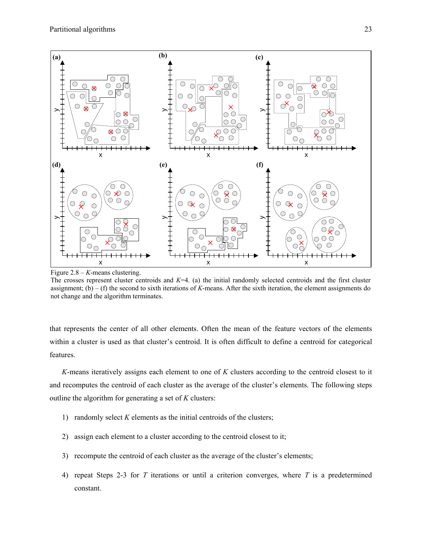

Figure 2.8 – *K*-means clustering.

The crosses represent cluster centroids and *K*=4. (a) the initial randomly selected centroids and the first cluster assignment; (b) – (f) the second to sixth iterations of *K*-means. After the sixth iteration, the element assignments do not change and the algorithm terminates.

that represents the center of all other elements. Often the mean of the feature vectors of the elements within a cluster is used as that cluster's centroid. It is often difficult to define a centroid for categorical features.

*K*-means iteratively assigns each element to one of *K* clusters according to the centroid closest to it and recomputes the centroid of each cluster as the average of the cluster's elements. The following steps outline the algorithm for generating a set of *K* clusters:

- 1) randomly select *K* elements as the initial centroids of the clusters;
- 2) assign each element to a cluster according to the centroid closest to it;
- 3) recompute the centroid of each cluster as the average of the cluster's elements;
- 4) repeat Steps 2-3 for *T* iterations or until a criterion converges, where *T* is a predetermined constant.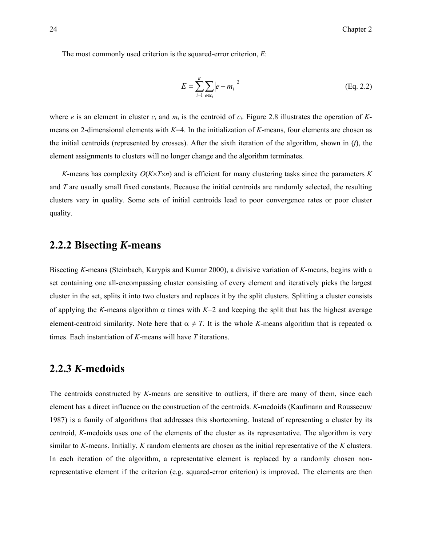The most commonly used criterion is the squared-error criterion, *E*:

$$
E = \sum_{i=1}^{K} \sum_{e \in c_i} |e - m_i|^2
$$
 (Eq. 2.2)

where *e* is an element in cluster  $c_i$  and  $m_i$  is the centroid of  $c_i$ . Figure 2.8 illustrates the operation of *K*means on 2-dimensional elements with *K*=4. In the initialization of *K*-means, four elements are chosen as the initial centroids (represented by crosses). After the sixth iteration of the algorithm, shown in (*f*), the element assignments to clusters will no longer change and the algorithm terminates.

*K*-means has complexity *O*(*K*×*T*×*n*) and is efficient for many clustering tasks since the parameters *K* and *T* are usually small fixed constants. Because the initial centroids are randomly selected, the resulting clusters vary in quality. Some sets of initial centroids lead to poor convergence rates or poor cluster quality.

#### **2.2.2 Bisecting** *K***-means**

Bisecting *K*-means (Steinbach, Karypis and Kumar 2000), a divisive variation of *K*-means, begins with a set containing one all-encompassing cluster consisting of every element and iteratively picks the largest cluster in the set, splits it into two clusters and replaces it by the split clusters. Splitting a cluster consists of applying the *K*-means algorithm  $\alpha$  times with  $K=2$  and keeping the split that has the highest average element-centroid similarity. Note here that  $\alpha \neq T$ . It is the whole *K*-means algorithm that is repeated  $\alpha$ times. Each instantiation of *K*-means will have *T* iterations.

### **2.2.3** *K***-medoids**

The centroids constructed by *K*-means are sensitive to outliers, if there are many of them, since each element has a direct influence on the construction of the centroids. *K*-medoids (Kaufmann and Rousseeuw 1987) is a family of algorithms that addresses this shortcoming. Instead of representing a cluster by its centroid, *K*-medoids uses one of the elements of the cluster as its representative. The algorithm is very similar to *K*-means. Initially, *K* random elements are chosen as the initial representative of the *K* clusters. In each iteration of the algorithm, a representative element is replaced by a randomly chosen nonrepresentative element if the criterion (e.g. squared-error criterion) is improved. The elements are then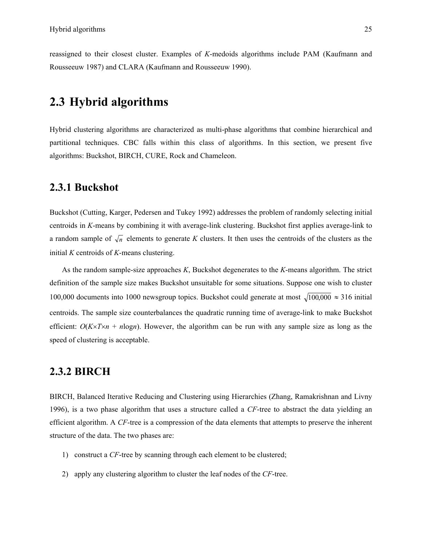reassigned to their closest cluster. Examples of *K*-medoids algorithms include PAM (Kaufmann and Rousseeuw 1987) and CLARA (Kaufmann and Rousseeuw 1990).

# **2.3 Hybrid algorithms**

Hybrid clustering algorithms are characterized as multi-phase algorithms that combine hierarchical and partitional techniques. CBC falls within this class of algorithms. In this section, we present five algorithms: Buckshot, BIRCH, CURE, Rock and Chameleon.

#### **2.3.1 Buckshot**

Buckshot (Cutting, Karger, Pedersen and Tukey 1992) addresses the problem of randomly selecting initial centroids in *K*-means by combining it with average-link clustering. Buckshot first applies average-link to a random sample of  $\sqrt{n}$  elements to generate *K* clusters. It then uses the centroids of the clusters as the initial *K* centroids of *K*-means clustering.

As the random sample-size approaches *K*, Buckshot degenerates to the *K*-means algorithm. The strict definition of the sample size makes Buckshot unsuitable for some situations. Suppose one wish to cluster 100,000 documents into 1000 newsgroup topics. Buckshot could generate at most  $\sqrt{100,000} \approx 316$  initial centroids. The sample size counterbalances the quadratic running time of average-link to make Buckshot efficient:  $O(K \times T \times n + n \log n)$ . However, the algorithm can be run with any sample size as long as the speed of clustering is acceptable.

#### **2.3.2 BIRCH**

BIRCH, Balanced Iterative Reducing and Clustering using Hierarchies (Zhang, Ramakrishnan and Livny 1996), is a two phase algorithm that uses a structure called a *CF*-tree to abstract the data yielding an efficient algorithm. A *CF*-tree is a compression of the data elements that attempts to preserve the inherent structure of the data. The two phases are:

- 1) construct a *CF*-tree by scanning through each element to be clustered;
- 2) apply any clustering algorithm to cluster the leaf nodes of the *CF*-tree.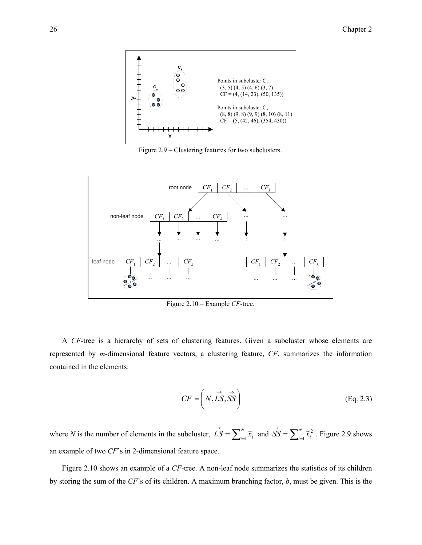

Figure 2.9 – Clustering features for two subclusters.



Figure 2.10 – Example *CF*-tree.

A *CF*-tree is a hierarchy of sets of clustering features. Given a subcluster whose elements are represented by *m*-dimensional feature vectors, a clustering feature, *CF*, summarizes the information contained in the elements:

$$
CF = \left( N, \overrightarrow{LS}, \overrightarrow{SS} \right) \tag{Eq. 2.3}
$$

where *N* is the number of elements in the subcluster,  $\vec{LS} = \sum_{i=1}^{N} \vec{x}_i$  and  $\vec{SS} = \sum_{i=1}^{N} \vec{x}_i^2$ . Figure 2.9 shows an example of two *CF*'s in 2-dimensional feature space.

Figure 2.10 shows an example of a *CF*-tree. A non-leaf node summarizes the statistics of its children by storing the sum of the *CF*'s of its children. A maximum branching factor, *b*, must be given. This is the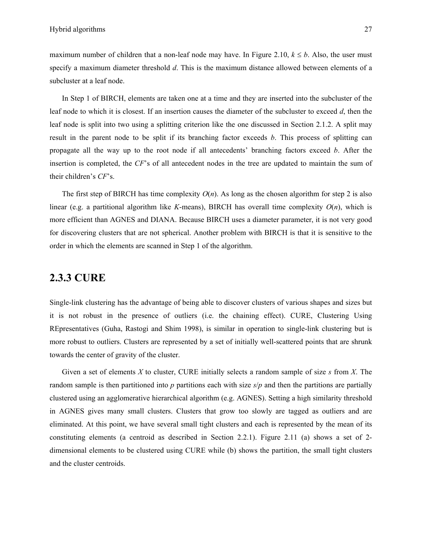maximum number of children that a non-leaf node may have. In Figure 2.10,  $k \leq b$ . Also, the user must specify a maximum diameter threshold *d*. This is the maximum distance allowed between elements of a subcluster at a leaf node.

In Step 1 of BIRCH, elements are taken one at a time and they are inserted into the subcluster of the leaf node to which it is closest. If an insertion causes the diameter of the subcluster to exceed *d*, then the leaf node is split into two using a splitting criterion like the one discussed in Section 2.1.2. A split may result in the parent node to be split if its branching factor exceeds *b*. This process of splitting can propagate all the way up to the root node if all antecedents' branching factors exceed *b*. After the insertion is completed, the *CF*'s of all antecedent nodes in the tree are updated to maintain the sum of their children's *CF*'s.

The first step of BIRCH has time complexity  $O(n)$ . As long as the chosen algorithm for step 2 is also linear (e.g. a partitional algorithm like *K*-means), BIRCH has overall time complexity  $O(n)$ , which is more efficient than AGNES and DIANA. Because BIRCH uses a diameter parameter, it is not very good for discovering clusters that are not spherical. Another problem with BIRCH is that it is sensitive to the order in which the elements are scanned in Step 1 of the algorithm.

## **2.3.3 CURE**

Single-link clustering has the advantage of being able to discover clusters of various shapes and sizes but it is not robust in the presence of outliers (i.e. the chaining effect). CURE, Clustering Using REpresentatives (Guha, Rastogi and Shim 1998), is similar in operation to single-link clustering but is more robust to outliers. Clusters are represented by a set of initially well-scattered points that are shrunk towards the center of gravity of the cluster.

Given a set of elements *X* to cluster, CURE initially selects a random sample of size *s* from *X*. The random sample is then partitioned into *p* partitions each with size *s*/*p* and then the partitions are partially clustered using an agglomerative hierarchical algorithm (e.g. AGNES). Setting a high similarity threshold in AGNES gives many small clusters. Clusters that grow too slowly are tagged as outliers and are eliminated. At this point, we have several small tight clusters and each is represented by the mean of its constituting elements (a centroid as described in Section 2.2.1). Figure 2.11 (a) shows a set of 2 dimensional elements to be clustered using CURE while (b) shows the partition, the small tight clusters and the cluster centroids.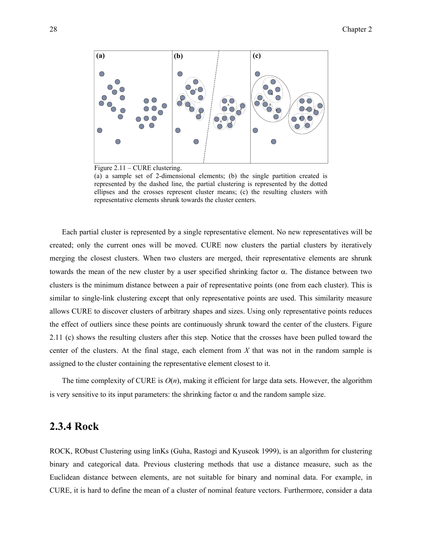

Figure 2.11 – CURE clustering.

(a) a sample set of 2-dimensional elements; (b) the single partition created is represented by the dashed line, the partial clustering is represented by the dotted ellipses and the crosses represent cluster means; (c) the resulting clusters with representative elements shrunk towards the cluster centers.

Each partial cluster is represented by a single representative element. No new representatives will be created; only the current ones will be moved. CURE now clusters the partial clusters by iteratively merging the closest clusters. When two clusters are merged, their representative elements are shrunk towards the mean of the new cluster by a user specified shrinking factor α. The distance between two clusters is the minimum distance between a pair of representative points (one from each cluster). This is similar to single-link clustering except that only representative points are used. This similarity measure allows CURE to discover clusters of arbitrary shapes and sizes. Using only representative points reduces the effect of outliers since these points are continuously shrunk toward the center of the clusters. Figure 2.11 (c) shows the resulting clusters after this step. Notice that the crosses have been pulled toward the center of the clusters. At the final stage, each element from *X* that was not in the random sample is assigned to the cluster containing the representative element closest to it.

The time complexity of CURE is  $O(n)$ , making it efficient for large data sets. However, the algorithm is very sensitive to its input parameters: the shrinking factor  $\alpha$  and the random sample size.

#### **2.3.4 Rock**

ROCK, RObust Clustering using linKs (Guha, Rastogi and Kyuseok 1999), is an algorithm for clustering binary and categorical data. Previous clustering methods that use a distance measure, such as the Euclidean distance between elements, are not suitable for binary and nominal data. For example, in CURE, it is hard to define the mean of a cluster of nominal feature vectors. Furthermore, consider a data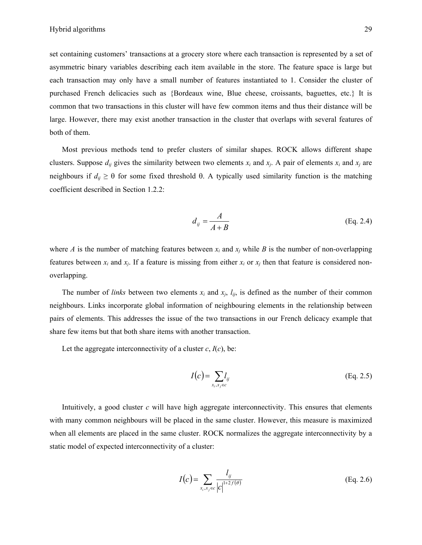set containing customers' transactions at a grocery store where each transaction is represented by a set of asymmetric binary variables describing each item available in the store. The feature space is large but each transaction may only have a small number of features instantiated to 1. Consider the cluster of purchased French delicacies such as {Bordeaux wine, Blue cheese, croissants, baguettes, etc.} It is common that two transactions in this cluster will have few common items and thus their distance will be large. However, there may exist another transaction in the cluster that overlaps with several features of both of them.

Most previous methods tend to prefer clusters of similar shapes. ROCK allows different shape clusters. Suppose  $d_{ij}$  gives the similarity between two elements  $x_i$  and  $x_j$ . A pair of elements  $x_i$  and  $x_j$  are neighbours if  $d_{ij} \geq 0$  for some fixed threshold θ. A typically used similarity function is the matching coefficient described in Section 1.2.2:

$$
d_{ij} = \frac{A}{A+B}
$$
 (Eq. 2.4)

where *A* is the number of matching features between  $x_i$  and  $x_j$  while *B* is the number of non-overlapping features between  $x_i$  and  $x_j$ . If a feature is missing from either  $x_i$  or  $x_j$  then that feature is considered nonoverlapping.

The number of *links* between two elements  $x_i$  and  $x_j$ ,  $l_{ij}$ , is defined as the number of their common neighbours. Links incorporate global information of neighbouring elements in the relationship between pairs of elements. This addresses the issue of the two transactions in our French delicacy example that share few items but that both share items with another transaction.

Let the aggregate interconnectivity of a cluster  $c$ ,  $I(c)$ , be:

$$
I(c) = \sum_{x_i, x_j \in c} l_{ij}
$$
 (Eq. 2.5)

Intuitively, a good cluster  $c$  will have high aggregate interconnectivity. This ensures that elements with many common neighbours will be placed in the same cluster. However, this measure is maximized when all elements are placed in the same cluster. ROCK normalizes the aggregate interconnectivity by a static model of expected interconnectivity of a cluster:

$$
I(c) = \sum_{x_i, x_j \in c} \frac{l_{ij}}{|c|^{1+2f(\theta)}} \tag{Eq. 2.6}
$$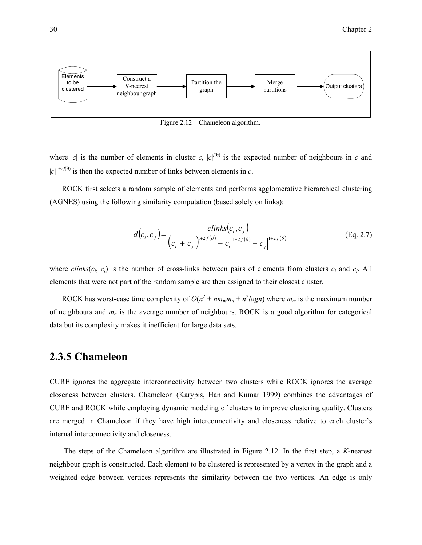

Figure 2.12 – Chameleon algorithm.

where |*c*| is the number of elements in cluster *c*,  $|c|^{(0)}$  is the expected number of neighbours in *c* and  $|c|^{1+2f(\theta)}$  is then the expected number of links between elements in *c*.

ROCK first selects a random sample of elements and performs agglomerative hierarchical clustering (AGNES) using the following similarity computation (based solely on links):

$$
d(c_i, c_j) = \frac{clinks(c_i, c_j)}{(|c_i| + |c_j|)^{1+2f(\theta)} - |c_i|^{1+2f(\theta)} - |c_j|^{1+2f(\theta)}}
$$
(Eq. 2.7)

where  $\text{clinks}(c_i, c_j)$  is the number of cross-links between pairs of elements from clusters  $c_i$  and  $c_j$ . All elements that were not part of the random sample are then assigned to their closest cluster.

ROCK has worst-case time complexity of  $O(n^2 + nm_m m_a + n^2 log n)$  where  $m_m$  is the maximum number of neighbours and *ma* is the average number of neighbours. ROCK is a good algorithm for categorical data but its complexity makes it inefficient for large data sets.

#### **2.3.5 Chameleon**

CURE ignores the aggregate interconnectivity between two clusters while ROCK ignores the average closeness between clusters. Chameleon (Karypis, Han and Kumar 1999) combines the advantages of CURE and ROCK while employing dynamic modeling of clusters to improve clustering quality. Clusters are merged in Chameleon if they have high interconnectivity and closeness relative to each cluster's internal interconnectivity and closeness.

 The steps of the Chameleon algorithm are illustrated in Figure 2.12. In the first step, a *K*-nearest neighbour graph is constructed. Each element to be clustered is represented by a vertex in the graph and a weighted edge between vertices represents the similarity between the two vertices. An edge is only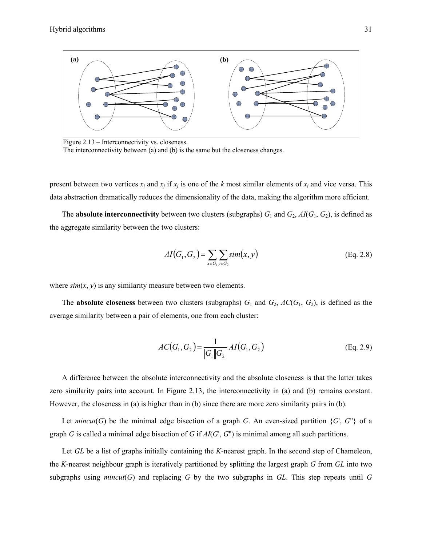

Figure 2.13 – Interconnectivity vs. closeness. The interconnectivity between (a) and (b) is the same but the closeness changes.

present between two vertices  $x_i$  and  $x_j$  if  $x_j$  is one of the *k* most similar elements of  $x_i$  and vice versa. This data abstraction dramatically reduces the dimensionality of the data, making the algorithm more efficient.

The **absolute interconnectivity** between two clusters (subgraphs)  $G_1$  and  $G_2$ ,  $AI(G_1, G_2)$ , is defined as the aggregate similarity between the two clusters:

$$
AI(G_1, G_2) = \sum_{x \in G_1} \sum_{y \in G_2} sim(x, y)
$$
 (Eq. 2.8)

where  $\sin(x, y)$  is any similarity measure between two elements.

The **absolute closeness** between two clusters (subgraphs)  $G_1$  and  $G_2$ ,  $AC(G_1, G_2)$ , is defined as the average similarity between a pair of elements, one from each cluster:

$$
AC(G_1, G_2) = \frac{1}{|G_1||G_2|} AI(G_1, G_2)
$$
 (Eq. 2.9)

A difference between the absolute interconnectivity and the absolute closeness is that the latter takes zero similarity pairs into account. In Figure 2.13, the interconnectivity in (a) and (b) remains constant. However, the closeness in (a) is higher than in (b) since there are more zero similarity pairs in (b).

Let *mincut*(*G*) be the minimal edge bisection of a graph *G*. An even-sized partition  $\{G, G''\}$  of a graph *G* is called a minimal edge bisection of *G* if *AI*(*G*', *G*'') is minimal among all such partitions.

Let *GL* be a list of graphs initially containing the *K*-nearest graph. In the second step of Chameleon, the *K*-nearest neighbour graph is iteratively partitioned by splitting the largest graph *G* from *GL* into two subgraphs using *mincut*(*G*) and replacing *G* by the two subgraphs in *GL*. This step repeats until *G*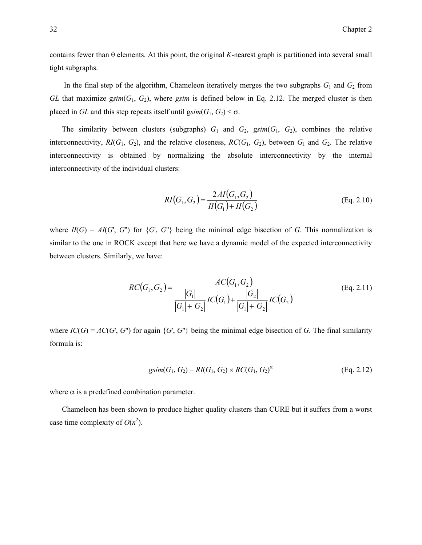contains fewer than θ elements. At this point, the original *K*-nearest graph is partitioned into several small tight subgraphs.

In the final step of the algorithm, Chameleon iteratively merges the two subgraphs  $G_1$  and  $G_2$  from *GL* that maximize g*sim*(*G*1, *G*2), where *gsim* is defined below in Eq. 2.12. The merged cluster is then placed in *GL* and this step repeats itself until  $gsim(G_1, G_2) < \sigma$ .

The similarity between clusters (subgraphs)  $G_1$  and  $G_2$ ,  $g\text{sim}(G_1, G_2)$ , combines the relative interconnectivity,  $RI(G_1, G_2)$ , and the relative closeness,  $RC(G_1, G_2)$ , between  $G_1$  and  $G_2$ . The relative interconnectivity is obtained by normalizing the absolute interconnectivity by the internal interconnectivity of the individual clusters:

$$
RI(G_1, G_2) = \frac{2AI(G_1, G_2)}{II(G_1) + II(G_2)}
$$
(Eq. 2.10)

where  $II(G) = AI(G, G'')$  for  $\{G', G''\}$  being the minimal edge bisection of *G*. This normalization is similar to the one in ROCK except that here we have a dynamic model of the expected interconnectivity between clusters. Similarly, we have:

$$
RC(G_1, G_2) = \frac{AC(G_1, G_2)}{|G_1| + |G_2|} \frac{IC(G_1, G_2)}{|G_1| + |G_2|} \frac{|G_2|}{|G_1| + |G_2|} \frac{IC(G_2)}{|G_2|}
$$
(Eq. 2.11)

where  $IC(G) = AC(G', G'')$  for again  $\{G', G''\}$  being the minimal edge bisection of G. The final similarity formula is:

$$
gsim(G_1, G_2) = RI(G_1, G_2) \times RC(G_1, G_2)^{\alpha}
$$
 (Eq. 2.12)

where  $\alpha$  is a predefined combination parameter.

Chameleon has been shown to produce higher quality clusters than CURE but it suffers from a worst case time complexity of  $O(n^2)$ .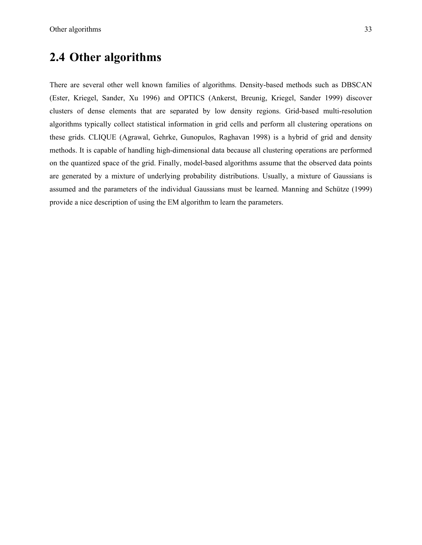# **2.4 Other algorithms**

There are several other well known families of algorithms. Density-based methods such as DBSCAN (Ester, Kriegel, Sander, Xu 1996) and OPTICS (Ankerst, Breunig, Kriegel, Sander 1999) discover clusters of dense elements that are separated by low density regions. Grid-based multi-resolution algorithms typically collect statistical information in grid cells and perform all clustering operations on these grids. CLIQUE (Agrawal, Gehrke, Gunopulos, Raghavan 1998) is a hybrid of grid and density methods. It is capable of handling high-dimensional data because all clustering operations are performed on the quantized space of the grid. Finally, model-based algorithms assume that the observed data points are generated by a mixture of underlying probability distributions. Usually, a mixture of Gaussians is assumed and the parameters of the individual Gaussians must be learned. Manning and Schütze (1999) provide a nice description of using the EM algorithm to learn the parameters.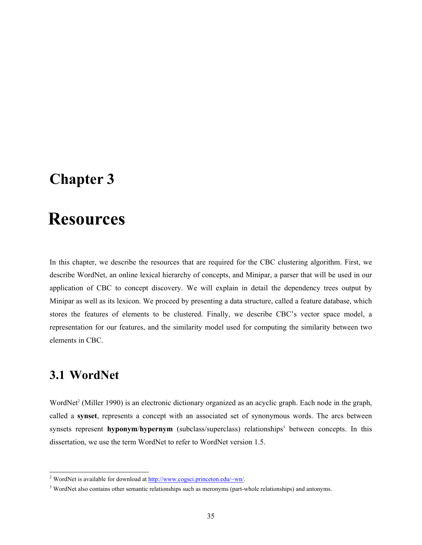# **Chapter 3**

# 3 **Resources**

In this chapter, we describe the resources that are required for the CBC clustering algorithm. First, we describe WordNet, an online lexical hierarchy of concepts, and Minipar, a parser that will be used in our application of CBC to concept discovery. We will explain in detail the dependency trees output by Minipar as well as its lexicon. We proceed by presenting a data structure, called a feature database, which stores the features of elements to be clustered. Finally, we describe CBC's vector space model, a representation for our features, and the similarity model used for computing the similarity between two elements in CBC.

# **3.1 WordNet**

WordNet<sup>2</sup> (Miller 1990) is an electronic dictionary organized as an acyclic graph. Each node in the graph, called a **synset**, represents a concept with an associated set of synonymous words. The arcs between synsets represent **hyponym/hypernym** (subclass/superclass) relationships<sup>3</sup> between concepts. In this dissertation, we use the term WordNet to refer to WordNet version 1.5.

<sup>&</sup>lt;sup>2</sup> WordNet is available for download at http://www.cogsci.princeton.edu/~wn/.

<sup>&</sup>lt;sup>3</sup> WordNet also contains other semantic relationships such as meronyms (part-whole relationships) and antonyms.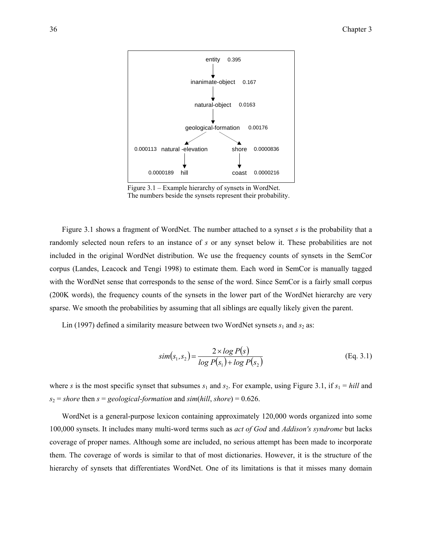

Figure 3.1 – Example hierarchy of synsets in WordNet. The numbers beside the synsets represent their probability.

Figure 3.1 shows a fragment of WordNet. The number attached to a synset *s* is the probability that a randomly selected noun refers to an instance of *s* or any synset below it. These probabilities are not included in the original WordNet distribution. We use the frequency counts of synsets in the SemCor corpus (Landes, Leacock and Tengi 1998) to estimate them. Each word in SemCor is manually tagged with the WordNet sense that corresponds to the sense of the word. Since SemCor is a fairly small corpus (200K words), the frequency counts of the synsets in the lower part of the WordNet hierarchy are very sparse. We smooth the probabilities by assuming that all siblings are equally likely given the parent.

Lin (1997) defined a similarity measure between two WordNet synsets  $s_1$  and  $s_2$  as:

$$
sim(s_1, s_2) = \frac{2 \times \log P(s)}{\log P(s_1) + \log P(s_2)}
$$
 (Eq. 3.1)

where *s* is the most specific synset that subsumes  $s_1$  and  $s_2$ . For example, using Figure 3.1, if  $s_1 = \text{hill}$  and  $s_2$  = *shore* then *s* = *geological-formation* and *sim*(*hill*, *shore*) = 0.626.

WordNet is a general-purpose lexicon containing approximately 120,000 words organized into some 100,000 synsets. It includes many multi-word terms such as *act of God* and *Addison's syndrome* but lacks coverage of proper names. Although some are included, no serious attempt has been made to incorporate them. The coverage of words is similar to that of most dictionaries. However, it is the structure of the hierarchy of synsets that differentiates WordNet. One of its limitations is that it misses many domain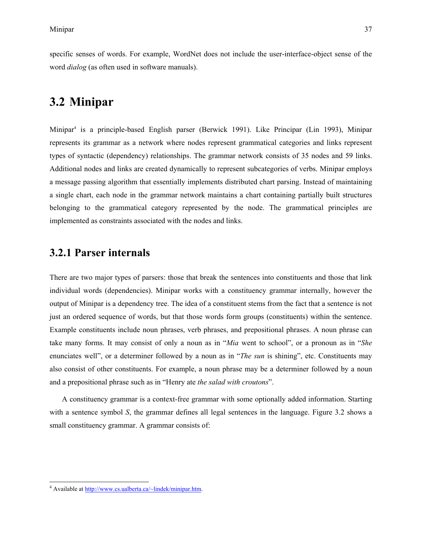specific senses of words. For example, WordNet does not include the user-interface-object sense of the word *dialog* (as often used in software manuals).

## **3.2 Minipar**

Minipar4 is a principle-based English parser (Berwick 1991). Like Principar (Lin 1993), Minipar represents its grammar as a network where nodes represent grammatical categories and links represent types of syntactic (dependency) relationships. The grammar network consists of 35 nodes and 59 links. Additional nodes and links are created dynamically to represent subcategories of verbs. Minipar employs a message passing algorithm that essentially implements distributed chart parsing. Instead of maintaining a single chart, each node in the grammar network maintains a chart containing partially built structures belonging to the grammatical category represented by the node. The grammatical principles are implemented as constraints associated with the nodes and links.

## **3.2.1 Parser internals**

There are two major types of parsers: those that break the sentences into constituents and those that link individual words (dependencies). Minipar works with a constituency grammar internally, however the output of Minipar is a dependency tree. The idea of a constituent stems from the fact that a sentence is not just an ordered sequence of words, but that those words form groups (constituents) within the sentence. Example constituents include noun phrases, verb phrases, and prepositional phrases. A noun phrase can take many forms. It may consist of only a noun as in "*Mia* went to school", or a pronoun as in "*She*  enunciates well", or a determiner followed by a noun as in "*The sun* is shining", etc. Constituents may also consist of other constituents. For example, a noun phrase may be a determiner followed by a noun and a prepositional phrase such as in "Henry ate *the salad with croutons*".

A constituency grammar is a context-free grammar with some optionally added information. Starting with a sentence symbol *S*, the grammar defines all legal sentences in the language. Figure 3.2 shows a small constituency grammar. A grammar consists of:

<sup>&</sup>lt;sup>4</sup> Available at http://www.cs.ualberta.ca/~lindek/minipar.htm.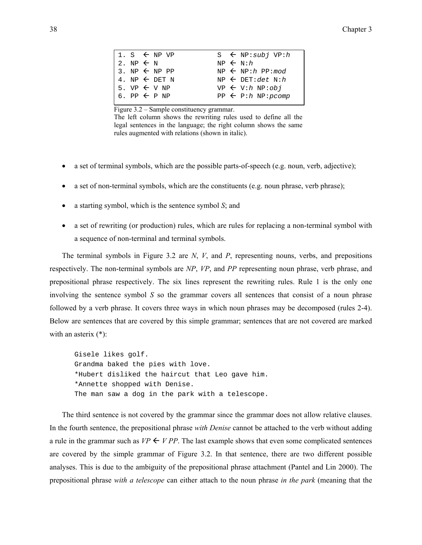Figure 3.2 – Sample constituency grammar.

The left column shows the rewriting rules used to define all the legal sentences in the language; the right column shows the same rules augmented with relations (shown in italic).

- a set of terminal symbols, which are the possible parts-of-speech (e.g. noun, verb, adjective);
- a set of non-terminal symbols, which are the constituents (e.g. noun phrase, verb phrase);
- a starting symbol, which is the sentence symbol *S*; and
- a set of rewriting (or production) rules, which are rules for replacing a non-terminal symbol with a sequence of non-terminal and terminal symbols.

The terminal symbols in Figure 3.2 are *N*, *V*, and *P*, representing nouns, verbs, and prepositions respectively. The non-terminal symbols are *NP*, *VP*, and *PP* representing noun phrase, verb phrase, and prepositional phrase respectively. The six lines represent the rewriting rules. Rule 1 is the only one involving the sentence symbol *S* so the grammar covers all sentences that consist of a noun phrase followed by a verb phrase. It covers three ways in which noun phrases may be decomposed (rules 2-4). Below are sentences that are covered by this simple grammar; sentences that are not covered are marked with an asterix (\*):

Gisele likes golf. Grandma baked the pies with love. \*Hubert disliked the haircut that Leo gave him. \*Annette shopped with Denise. The man saw a dog in the park with a telescope.

The third sentence is not covered by the grammar since the grammar does not allow relative clauses. In the fourth sentence, the prepositional phrase *with Denise* cannot be attached to the verb without adding a rule in the grammar such as  $VP \leftarrow VP$ . The last example shows that even some complicated sentences are covered by the simple grammar of Figure 3.2. In that sentence, there are two different possible analyses. This is due to the ambiguity of the prepositional phrase attachment (Pantel and Lin 2000). The prepositional phrase *with a telescope* can either attach to the noun phrase *in the park* (meaning that the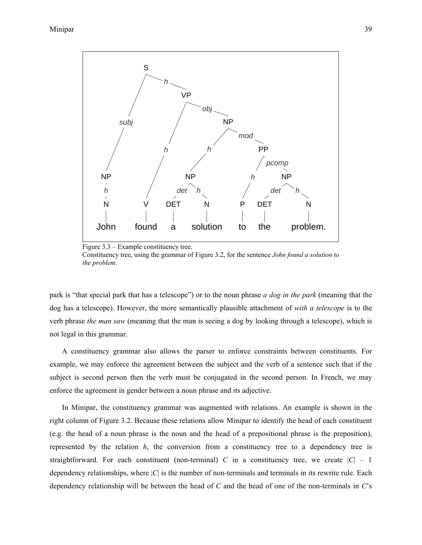

Figure 3.3 – Example constituency tree.

Constituency tree, using the grammar of Figure 3.2, for the sentence *John found a solution to the problem*.

park is "that special park that has a telescope") or to the noun phrase *a dog in the park* (meaning that the dog has a telescope). However, the more semantically plausible attachment of *with a telescope* is to the verb phrase *the man saw* (meaning that the man is seeing a dog by looking through a telescope), which is not legal in this grammar.

A constituency grammar also allows the parser to enforce constraints between constituents. For example, we may enforce the agreement between the subject and the verb of a sentence such that if the subject is second person then the verb must be conjugated in the second person. In French, we may enforce the agreement in gender between a noun phrase and its adjective.

In Minipar, the constituency grammar was augmented with relations. An example is shown in the right column of Figure 3.2. Because these relations allow Minipar to identify the head of each constituent (e.g. the head of a noun phrase is the noun and the head of a prepositional phrase is the preposition), represented by the relation  $h$ , the conversion from a constituency tree to a dependency tree is straightforward. For each constituent (non-terminal) *C* in a constituency tree, we create  $|C| - 1$ dependency relationships, where |*C*| is the number of non-terminals and terminals in its rewrite rule. Each dependency relationship will be between the head of *C* and the head of one of the non-terminals in *C*'s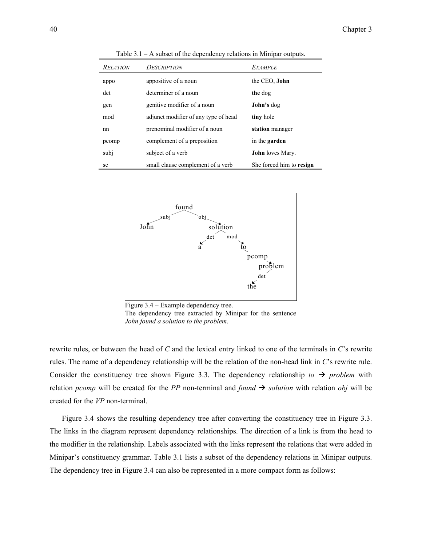| <b>RELATION</b> | DESCRIPTION                          | <b>EXAMPLE</b>           |
|-----------------|--------------------------------------|--------------------------|
| appo            | appositive of a noun                 | the CEO, <b>John</b>     |
| det             | determiner of a noun                 | the dog                  |
| gen             | genitive modifier of a noun          | John's dog               |
| mod             | adjunct modifier of any type of head | tiny hole                |
| nn              | prenominal modifier of a noun        | station manager          |
| pcomp           | complement of a preposition          | in the garden            |
| subj            | subject of a verb                    | <b>John</b> loves Mary.  |
| sc              | small clause complement of a verb    | She forced him to resign |

Table 3.1 – A subset of the dependency relations in Minipar outputs.



Figure 3.4 – Example dependency tree. The dependency tree extracted by Minipar for the sentence *John found a solution to the problem*.

rewrite rules, or between the head of *C* and the lexical entry linked to one of the terminals in *C*'s rewrite rules. The name of a dependency relationship will be the relation of the non-head link in *C*'s rewrite rule. Consider the constituency tree shown Figure 3.3. The dependency relationship *to*  $\rightarrow$  *problem* with relation *pcomp* will be created for the *PP* non-terminal and *found*  $\rightarrow$  *solution* with relation *obj* will be created for the *VP* non-terminal.

Figure 3.4 shows the resulting dependency tree after converting the constituency tree in Figure 3.3. The links in the diagram represent dependency relationships. The direction of a link is from the head to the modifier in the relationship. Labels associated with the links represent the relations that were added in Minipar's constituency grammar. Table 3.1 lists a subset of the dependency relations in Minipar outputs. The dependency tree in Figure 3.4 can also be represented in a more compact form as follows: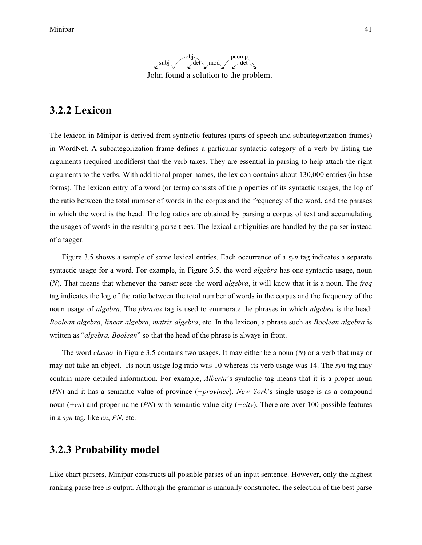

### **3.2.2 Lexicon**

The lexicon in Minipar is derived from syntactic features (parts of speech and subcategorization frames) in WordNet. A subcategorization frame defines a particular syntactic category of a verb by listing the arguments (required modifiers) that the verb takes. They are essential in parsing to help attach the right arguments to the verbs. With additional proper names, the lexicon contains about 130,000 entries (in base forms). The lexicon entry of a word (or term) consists of the properties of its syntactic usages, the log of the ratio between the total number of words in the corpus and the frequency of the word, and the phrases in which the word is the head. The log ratios are obtained by parsing a corpus of text and accumulating the usages of words in the resulting parse trees. The lexical ambiguities are handled by the parser instead of a tagger.

Figure 3.5 shows a sample of some lexical entries. Each occurrence of a *syn* tag indicates a separate syntactic usage for a word. For example, in Figure 3.5, the word *algebra* has one syntactic usage, noun (*N*). That means that whenever the parser sees the word *algebra*, it will know that it is a noun. The *freq* tag indicates the log of the ratio between the total number of words in the corpus and the frequency of the noun usage of *algebra*. The *phrases* tag is used to enumerate the phrases in which *algebra* is the head: *Boolean algebra*, *linear algebra*, *matrix algebra*, etc. In the lexicon, a phrase such as *Boolean algebra* is written as "*algebra, Boolean*" so that the head of the phrase is always in front.

The word *cluster* in Figure 3.5 contains two usages. It may either be a noun (*N*) or a verb that may or may not take an object. Its noun usage log ratio was 10 whereas its verb usage was 14. The *syn* tag may contain more detailed information. For example, *Alberta*'s syntactic tag means that it is a proper noun (*PN*) and it has a semantic value of province (*+province*). *New York*'s single usage is as a compound noun (*+cn*) and proper name (*PN*) with semantic value city (*+city*). There are over 100 possible features in a *syn* tag, like *cn*, *PN*, etc.

#### **3.2.3 Probability model**

Like chart parsers, Minipar constructs all possible parses of an input sentence. However, only the highest ranking parse tree is output. Although the grammar is manually constructed, the selection of the best parse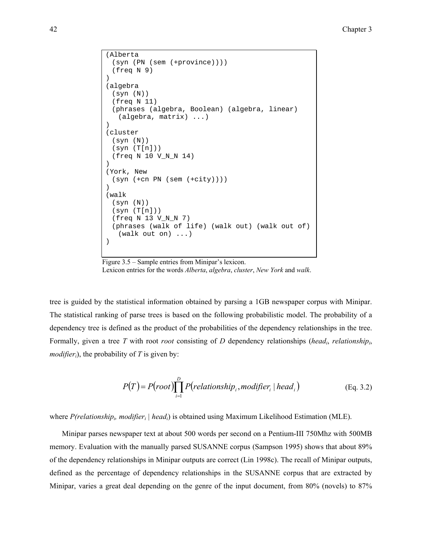```
(Alberta 
  (syn (PN (sem (+province)))) 
  (freq N 9) 
) 
(algebra 
  (syn (N)) 
  (freq N 11) 
  (phrases (algebra, Boolean) (algebra, linear) 
   (algebra, matrix) ...) 
)(cluster 
  (syn (N)) 
  (syn (T[n])) 
 (freq N 10 V N N 14)) 
(York, New 
  (syn (+cn PN (sem (+city)))) 
) 
(walk 
  (syn (N)) 
 (syn (T[n])) (freq N 13 V_N_N 7) 
  (phrases (walk of life) (walk out) (walk out of) 
   (walk out on) ...) 
)
```
Figure 3.5 – Sample entries from Minipar's lexicon.

Lexicon entries for the words *Alberta*, *algebra*, *cluster*, *New York* and *walk*.

tree is guided by the statistical information obtained by parsing a 1GB newspaper corpus with Minipar. The statistical ranking of parse trees is based on the following probabilistic model. The probability of a dependency tree is defined as the product of the probabilities of the dependency relationships in the tree. Formally, given a tree *T* with root *root* consisting of *D* dependency relationships (*headi*, *relationshipi*, *modifier<sub>i</sub>*), the probability of *T* is given by:

$$
P(T) = P(root) \prod_{i=1}^{D} P(relationship_i, modifier_i \mid head_i)
$$
 (Eq. 3.2)

where *P(relationship<sub>i</sub>, modifier<sub>i</sub>* | *head<sub>i</sub>*) is obtained using Maximum Likelihood Estimation (MLE).

Minipar parses newspaper text at about 500 words per second on a Pentium-III 750Mhz with 500MB memory. Evaluation with the manually parsed SUSANNE corpus (Sampson 1995) shows that about 89% of the dependency relationships in Minipar outputs are correct (Lin 1998c). The recall of Minipar outputs, defined as the percentage of dependency relationships in the SUSANNE corpus that are extracted by Minipar, varies a great deal depending on the genre of the input document, from 80% (novels) to 87%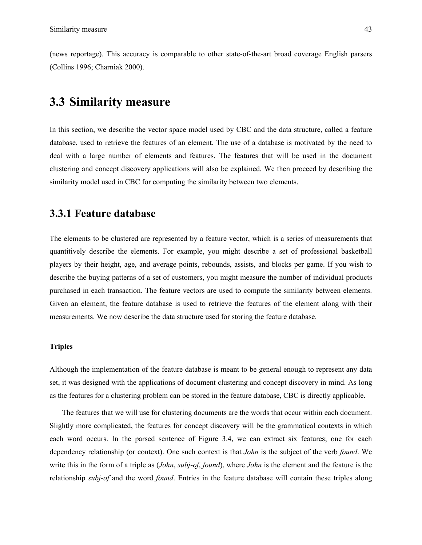(news reportage). This accuracy is comparable to other state-of-the-art broad coverage English parsers (Collins 1996; Charniak 2000).

## **3.3 Similarity measure**

In this section, we describe the vector space model used by CBC and the data structure, called a feature database, used to retrieve the features of an element. The use of a database is motivated by the need to deal with a large number of elements and features. The features that will be used in the document clustering and concept discovery applications will also be explained. We then proceed by describing the similarity model used in CBC for computing the similarity between two elements.

### **3.3.1 Feature database**

The elements to be clustered are represented by a feature vector, which is a series of measurements that quantitively describe the elements. For example, you might describe a set of professional basketball players by their height, age, and average points, rebounds, assists, and blocks per game. If you wish to describe the buying patterns of a set of customers, you might measure the number of individual products purchased in each transaction. The feature vectors are used to compute the similarity between elements. Given an element, the feature database is used to retrieve the features of the element along with their measurements. We now describe the data structure used for storing the feature database.

#### **Triples**

Although the implementation of the feature database is meant to be general enough to represent any data set, it was designed with the applications of document clustering and concept discovery in mind. As long as the features for a clustering problem can be stored in the feature database, CBC is directly applicable.

The features that we will use for clustering documents are the words that occur within each document. Slightly more complicated, the features for concept discovery will be the grammatical contexts in which each word occurs. In the parsed sentence of Figure 3.4, we can extract six features; one for each dependency relationship (or context). One such context is that *John* is the subject of the verb *found*. We write this in the form of a triple as (*John*, *subj-of*, *found*), where *John* is the element and the feature is the relationship *subj*-*of* and the word *found*. Entries in the feature database will contain these triples along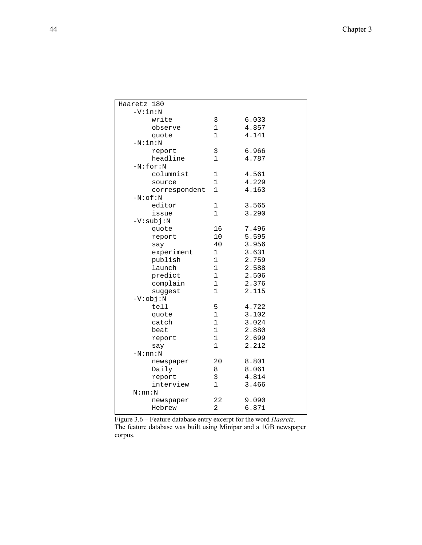| Haaretz 180   |                |       |  |
|---------------|----------------|-------|--|
| $-V:in:N$     |                |       |  |
| write         | 3              | 6.033 |  |
| observe       | 1              | 4.857 |  |
| quote         | 1              | 4.141 |  |
| $-N:in:N$     |                |       |  |
| report        | 3              | 6.966 |  |
| headline      | 1              | 4.787 |  |
| $-N:for:N$    |                |       |  |
| columnist     | 1              | 4.561 |  |
| source        | 1              | 4.229 |  |
| correspondent | 1              | 4.163 |  |
| $-N:$ of : N  |                |       |  |
| editor        | 1              | 3.565 |  |
| issue         | 1              | 3.290 |  |
| $-V:subj:N$   |                |       |  |
| quote         | 16             | 7.496 |  |
| report        | 10             | 5.595 |  |
| say           | 40             | 3.956 |  |
| experiment    | $\mathbf 1$    | 3.631 |  |
| publish       | 1              | 2.759 |  |
| launch        | 1              | 2.588 |  |
| predict       | 1              | 2.506 |  |
| complain      | 1              | 2.376 |  |
| suggest       | $\mathbf{1}$   | 2.115 |  |
| $-V:obj:N$    |                |       |  |
| tell          | 5              | 4.722 |  |
| quote         | $\mathbf 1$    | 3.102 |  |
| catch         | 1              | 3.024 |  |
| beat          | $\mathbf{1}$   | 2.880 |  |
| report        | $\mathbf 1$    | 2.699 |  |
| say           | 1              | 2.212 |  |
| $-N:nn:N$     |                |       |  |
| newspaper     | 20             | 8.801 |  |
| Daily         | 8              | 8.061 |  |
| report        | 3              | 4.814 |  |
| interview     | 1              | 3.466 |  |
| N:nn:N        |                |       |  |
| newspaper     | 22             | 9.090 |  |
| Hebrew        | $\overline{2}$ | 6.871 |  |
|               |                |       |  |

Figure 3.6 – Feature database entry excerpt for the word *Haaretz*. The feature database was built using Minipar and a 1GB newspaper corpus.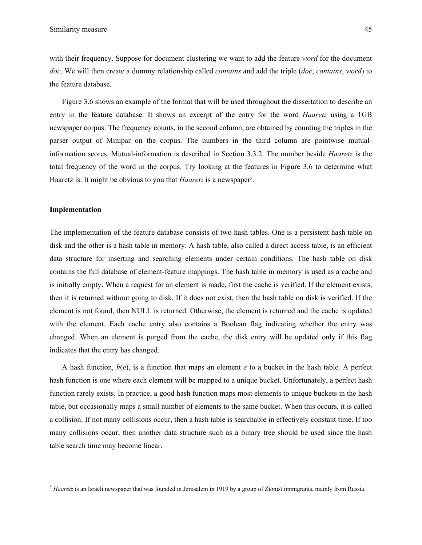with their frequency. Suppose for document clustering we want to add the feature *word* for the document *doc*. We will then create a dummy relationship called *contains* and add the triple (*doc*, *contains*, *word*) to the feature database.

Figure 3.6 shows an example of the format that will be used throughout the dissertation to describe an entry in the feature database. It shows an excerpt of the entry for the word *Haaretz* using a 1GB newspaper corpus. The frequency counts, in the second column, are obtained by counting the triples in the parser output of Minipar on the corpus. The numbers in the third column are pointwise mutualinformation scores. Mutual-information is described in Section 3.3.2. The number beside *Haaretz* is the total frequency of the word in the corpus. Try looking at the features in Figure 3.6 to determine what Haaretz is. It might be obvious to you that *Haaretz* is a newspaper<sup>5</sup>.

#### **Implementation**

1

The implementation of the feature database consists of two hash tables. One is a persistent hash table on disk and the other is a hash table in memory. A hash table, also called a direct access table, is an efficient data structure for inserting and searching elements under certain conditions. The hash table on disk contains the full database of element-feature mappings. The hash table in memory is used as a cache and is initially empty. When a request for an element is made, first the cache is verified. If the element exists, then it is returned without going to disk. If it does not exist, then the hash table on disk is verified. If the element is not found, then NULL is returned. Otherwise, the element is returned and the cache is updated with the element. Each cache entry also contains a Boolean flag indicating whether the entry was changed. When an element is purged from the cache, the disk entry will be updated only if this flag indicates that the entry has changed.

A hash function,  $h(e)$ , is a function that maps an element  $e$  to a bucket in the hash table. A perfect hash function is one where each element will be mapped to a unique bucket. Unfortunately, a perfect hash function rarely exists. In practice, a good hash function maps most elements to unique buckets in the hash table, but occasionally maps a small number of elements to the same bucket. When this occurs, it is called a collision. If not many collisions occur, then a hash table is searchable in effectively constant time. If too many collisions occur, then another data structure such as a binary tree should be used since the hash table search time may become linear.

<sup>&</sup>lt;sup>5</sup> *Haaretz* is an Israeli newspaper that was founded in Jerusalem in 1919 by a group of Zionist immigrants, mainly from Russia.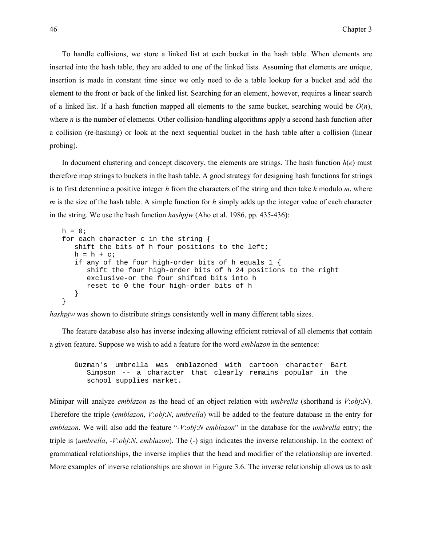To handle collisions, we store a linked list at each bucket in the hash table. When elements are inserted into the hash table, they are added to one of the linked lists. Assuming that elements are unique, insertion is made in constant time since we only need to do a table lookup for a bucket and add the element to the front or back of the linked list. Searching for an element, however, requires a linear search of a linked list. If a hash function mapped all elements to the same bucket, searching would be  $O(n)$ , where *n* is the number of elements. Other collision-handling algorithms apply a second hash function after a collision (re-hashing) or look at the next sequential bucket in the hash table after a collision (linear probing).

In document clustering and concept discovery, the elements are strings. The hash function  $h(e)$  must therefore map strings to buckets in the hash table. A good strategy for designing hash functions for strings is to first determine a positive integer *h* from the characters of the string and then take *h* modulo *m*, where *m* is the size of the hash table. A simple function for *h* simply adds up the integer value of each character in the string. We use the hash function *hashpjw* (Aho et al. 1986, pp. 435-436):

```
h = 0;for each character c in the string { 
  shift the bits of h four positions to the left; 
  h = h + ciif any of the four high-order bits of h equals 1 { 
      shift the four high-order bits of h 24 positions to the right 
      exclusive-or the four shifted bits into h 
      reset to 0 the four high-order bits of h 
   } 
}
```
*hashpjw* was shown to distribute strings consistently well in many different table sizes.

The feature database also has inverse indexing allowing efficient retrieval of all elements that contain a given feature. Suppose we wish to add a feature for the word *emblazon* in the sentence:

Guzman's umbrella was emblazoned with cartoon character Bart Simpson -- a character that clearly remains popular in the school supplies market.

Minipar will analyze *emblazon* as the head of an object relation with *umbrella* (shorthand is *V*:*obj*:*N*). Therefore the triple (*emblazon*, *V*:*obj*:*N*, *umbrella*) will be added to the feature database in the entry for *emblazon*. We will also add the feature "-*V*:*obj*:*N emblazon*" in the database for the *umbrella* entry; the triple is (*umbrella*, -*V*:*obj*:*N*, *emblazon*). The (-) sign indicates the inverse relationship. In the context of grammatical relationships, the inverse implies that the head and modifier of the relationship are inverted. More examples of inverse relationships are shown in Figure 3.6. The inverse relationship allows us to ask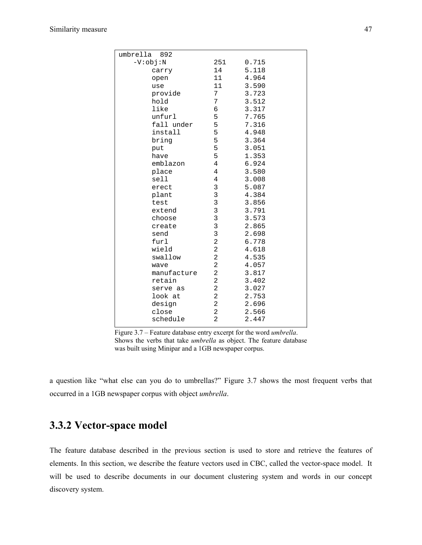| umbrella<br>892 |                         |       |
|-----------------|-------------------------|-------|
| $-V:obj:N$      | 251                     | 0.715 |
| carry           | 14                      | 5.118 |
| open            | 11                      | 4.964 |
| use             | 11                      | 3.590 |
| provide         | 7                       | 3.723 |
| hold            | 7                       | 3.512 |
| like            | 6                       | 3.317 |
| unfurl          | 5                       | 7.765 |
| fall under      | 5                       | 7.316 |
| install         | 5                       | 4.948 |
| bring           | 5                       | 3.364 |
| put             | 5                       | 3.051 |
| have            | 5                       | 1.353 |
| emblazon        | 4                       | 6.924 |
| place           | 4                       | 3.580 |
| sell            | 4                       | 3.008 |
| erect           | 3                       | 5.087 |
| plant           | 3                       | 4.384 |
| test            | 3                       | 3.856 |
| extend          | 3                       | 3.791 |
| choose          | 3                       | 3.573 |
| create          | 3                       | 2.865 |
| send            | 3                       | 2.698 |
| furl            | $\overline{a}$          | 6.778 |
| wield           | $\overline{c}$          | 4.618 |
| swallow         | $\overline{c}$          | 4.535 |
| wave            | $\overline{2}$          | 4.057 |
| manufacture     | $\overline{2}$          | 3.817 |
| retain          | $\overline{2}$          | 3.402 |
| serve as        | $\overline{a}$          | 3.027 |
| look at         | $\overline{\mathbf{c}}$ | 2.753 |
| design          | 2                       | 2.696 |
| close           | $\overline{a}$          | 2.566 |
| schedule        | $\overline{2}$          | 2.447 |

Figure 3.7 – Feature database entry excerpt for the word *umbrella*. Shows the verbs that take *umbrella* as object. The feature database was built using Minipar and a 1GB newspaper corpus.

a question like "what else can you do to umbrellas?" Figure 3.7 shows the most frequent verbs that occurred in a 1GB newspaper corpus with object *umbrella*.

## **3.3.2 Vector-space model**

The feature database described in the previous section is used to store and retrieve the features of elements. In this section, we describe the feature vectors used in CBC, called the vector-space model. It will be used to describe documents in our document clustering system and words in our concept discovery system.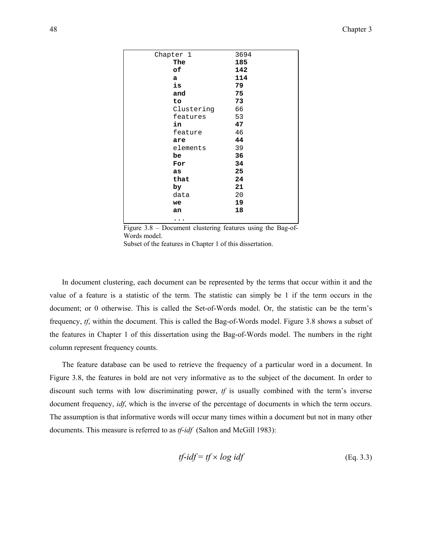| Chapter 1  | 3694 |
|------------|------|
| The        | 185  |
| оf         | 142  |
| a          | 114  |
| is         | 79   |
| and        | 75   |
| to         | 73   |
| Clustering | 66   |
| features   | 53   |
| in         | 47   |
| feature    | 46   |
| are        | 44   |
| elements   | 39   |
| be         | 36   |
| For        | 34   |
| as         | 25   |
| that       | 24   |
| by         | 21   |
| data       | 20   |
| we         | 19   |
| an         | 18   |
| .          |      |

Figure 3.8 – Document clustering features using the Bag-of-Words model. Subset of the features in Chapter 1 of this dissertation.

In document clustering, each document can be represented by the terms that occur within it and the value of a feature is a statistic of the term. The statistic can simply be 1 if the term occurs in the document; or 0 otherwise. This is called the Set-of-Words model. Or, the statistic can be the term's frequency, *tf*, within the document. This is called the Bag-of-Words model. Figure 3.8 shows a subset of the features in Chapter 1 of this dissertation using the Bag-of-Words model. The numbers in the right column represent frequency counts.

The feature database can be used to retrieve the frequency of a particular word in a document. In Figure 3.8, the features in bold are not very informative as to the subject of the document. In order to discount such terms with low discriminating power, *tf* is usually combined with the term's inverse document frequency, *idf*, which is the inverse of the percentage of documents in which the term occurs. The assumption is that informative words will occur many times within a document but not in many other documents. This measure is referred to as *tf*-*idf* (Salton and McGill 1983):

$$
tf-idf = tf \times log idf
$$
 (Eq. 3.3)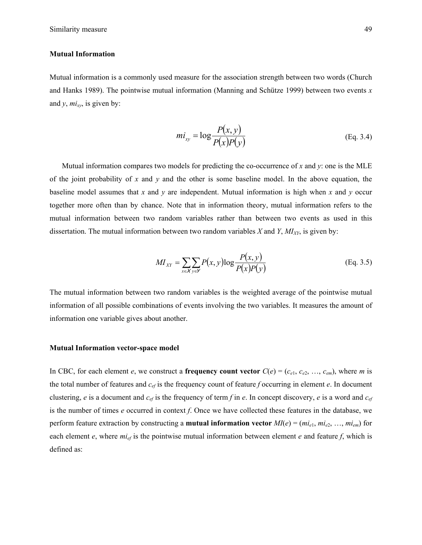#### **Mutual Information**

Mutual information is a commonly used measure for the association strength between two words (Church and Hanks 1989). The pointwise mutual information (Manning and Schütze 1999) between two events *x* and  $y$ ,  $mi_{xy}$ , is given by:

$$
mi_{xy} = \log \frac{P(x, y)}{P(x)P(y)} \tag{Eq. 3.4}
$$

Mutual information compares two models for predicting the co-occurrence of *x* and *y*: one is the MLE of the joint probability of *x* and *y* and the other is some baseline model. In the above equation, the baseline model assumes that *x* and *y* are independent. Mutual information is high when *x* and *y* occur together more often than by chance. Note that in information theory, mutual information refers to the mutual information between two random variables rather than between two events as used in this dissertation. The mutual information between two random variables  $X$  and  $Y$ ,  $MI<sub>XY</sub>$ , is given by:

$$
MI_{XY} = \sum_{x \in X} \sum_{y \in Y} P(x, y) \log \frac{P(x, y)}{P(x)P(y)}
$$
(Eq. 3.5)

The mutual information between two random variables is the weighted average of the pointwise mutual information of all possible combinations of events involving the two variables. It measures the amount of information one variable gives about another.

#### **Mutual Information vector-space model**

In CBC, for each element *e*, we construct a **frequency count vector**  $C(e) = (c_{e1}, c_{e2}, \ldots, c_{em})$ , where *m* is the total number of features and *cef* is the frequency count of feature *f* occurring in element *e*. In document clustering, *e* is a document and  $c_{ef}$  is the frequency of term *f* in *e*. In concept discovery, *e* is a word and  $c_{ef}$ is the number of times *e* occurred in context *f*. Once we have collected these features in the database, we perform feature extraction by constructing a **mutual information vector**  $MI(e) = (mi_{e1}, mi_{e2}, ..., mi_{em})$  for each element  $e$ , where  $mi_{ef}$  is the pointwise mutual information between element  $e$  and feature  $f$ , which is defined as: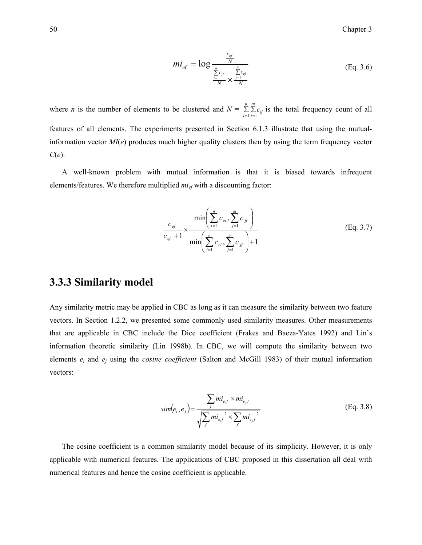$$
mi_{ef} = \log \frac{\frac{c_{ef}}{N}}{\frac{\sum\limits_{i=1}^{n} c_{if}}{N} \times \frac{\sum\limits_{j=1}^{m} c_{ej}}{N}}
$$
(Eq. 3.6)

where *n* is the number of elements to be clustered and  $N = \sum_{i=1}^{n} \sum_{j=1}^{n}$ *n i*  $\sum_{i,j=1}^{m} c_{ij}$  is the total frequency count of all features of all elements. The experiments presented in Section 6.1.3 illustrate that using the mutualinformation vector *MI*(*e*) produces much higher quality clusters then by using the term frequency vector *C*(*e*).

A well-known problem with mutual information is that it is biased towards infrequent elements/features. We therefore multiplied *mief* with a discounting factor:

$$
\frac{c_{e^f}}{c_{e^f} + 1} \times \frac{\min\left(\sum_{i=1}^n c_{e^i}, \sum_{j=1}^m c_{j^f}\right)}{\min\left(\sum_{i=1}^n c_{e^i}, \sum_{j=1}^m c_{j^f}\right) + 1}
$$
(Eq. 3.7)

#### **3.3.3 Similarity model**

Any similarity metric may be applied in CBC as long as it can measure the similarity between two feature vectors. In Section 1.2.2, we presented some commonly used similarity measures. Other measurements that are applicable in CBC include the Dice coefficient (Frakes and Baeza-Yates 1992) and Lin's information theoretic similarity (Lin 1998b). In CBC, we will compute the similarity between two elements *ei* and *ej* using the *cosine coefficient* (Salton and McGill 1983) of their mutual information vectors:

$$
sim(e_i, e_j) = \frac{\sum m i_{e,f} \times m i_{e,f}}{\sqrt{\sum_{f} m i_{e,f}^2 \times \sum_{f} m i_{e,f}^2}}
$$
(Eq. 3.8)

The cosine coefficient is a common similarity model because of its simplicity. However, it is only applicable with numerical features. The applications of CBC proposed in this dissertation all deal with numerical features and hence the cosine coefficient is applicable.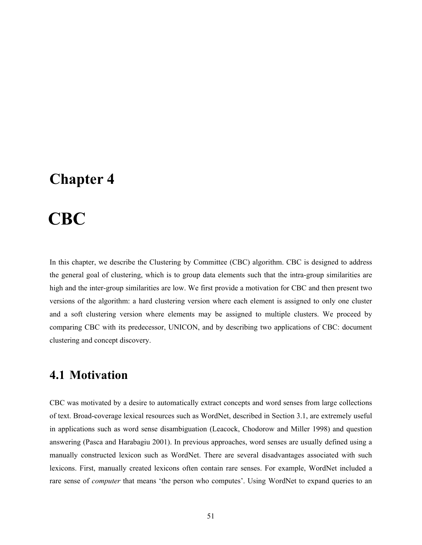# **Chapter 4**

# 4 **CBC**

In this chapter, we describe the Clustering by Committee (CBC) algorithm. CBC is designed to address the general goal of clustering, which is to group data elements such that the intra-group similarities are high and the inter-group similarities are low. We first provide a motivation for CBC and then present two versions of the algorithm: a hard clustering version where each element is assigned to only one cluster and a soft clustering version where elements may be assigned to multiple clusters. We proceed by comparing CBC with its predecessor, UNICON, and by describing two applications of CBC: document clustering and concept discovery.

# **4.1 Motivation**

CBC was motivated by a desire to automatically extract concepts and word senses from large collections of text. Broad-coverage lexical resources such as WordNet, described in Section 3.1, are extremely useful in applications such as word sense disambiguation (Leacock, Chodorow and Miller 1998) and question answering (Pasca and Harabagiu 2001). In previous approaches, word senses are usually defined using a manually constructed lexicon such as WordNet. There are several disadvantages associated with such lexicons. First, manually created lexicons often contain rare senses. For example, WordNet included a rare sense of *computer* that means 'the person who computes'. Using WordNet to expand queries to an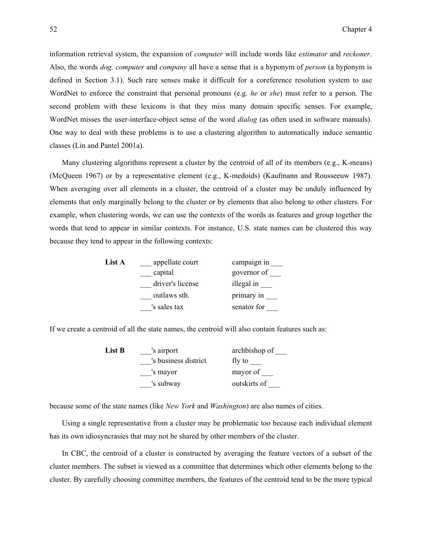information retrieval system, the expansion of *computer* will include words like *estimator* and *reckoner*. Also, the words *dog, computer* and *company* all have a sense that is a hyponym of *person* (a hyponym is defined in Section 3.1). Such rare senses make it difficult for a coreference resolution system to use WordNet to enforce the constraint that personal pronouns (e.g. *he* or *she*) must refer to a person. The second problem with these lexicons is that they miss many domain specific senses. For example, WordNet misses the user-interface-object sense of the word *dialog* (as often used in software manuals). One way to deal with these problems is to use a clustering algorithm to automatically induce semantic classes (Lin and Pantel 2001a).

Many clustering algorithms represent a cluster by the centroid of all of its members (e.g., K-means) (McQueen 1967) or by a representative element (e.g., K-medoids) (Kaufmann and Rousseeuw 1987). When averaging over all elements in a cluster, the centroid of a cluster may be unduly influenced by elements that only marginally belong to the cluster or by elements that also belong to other clusters. For example, when clustering words, we can use the contexts of the words as features and group together the words that tend to appear in similar contexts. For instance, U.S. state names can be clustered this way because they tend to appear in the following contexts:

| List A | appellate court  | campaign in |
|--------|------------------|-------------|
|        | capital          | governor of |
|        | driver's license | illegal in  |
|        | outlaws sth.     | primary in  |
|        | 's sales tax     | senator for |

If we create a centroid of all the state names, the centroid will also contain features such as:

| List B | 's airport           | archbishop of |
|--------|----------------------|---------------|
|        | 's business district | fly to        |
|        | 's mayor             | mayor of      |
|        | 's subway            | outskirts of  |
|        |                      |               |

because some of the state names (like *New York* and *Washington*) are also names of cities.

Using a single representative from a cluster may be problematic too because each individual element has its own idiosyncrasies that may not be shared by other members of the cluster.

In CBC, the centroid of a cluster is constructed by averaging the feature vectors of a subset of the cluster members. The subset is viewed as a committee that determines which other elements belong to the cluster. By carefully choosing committee members, the features of the centroid tend to be the more typical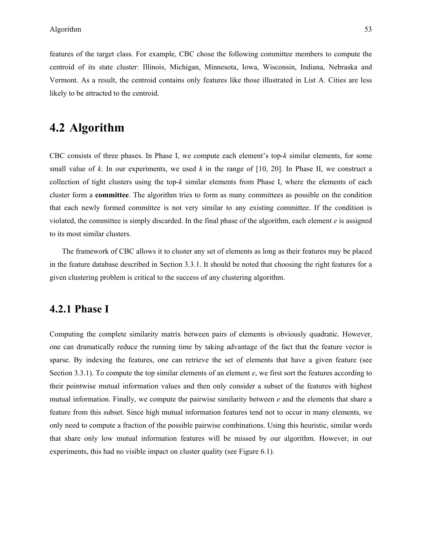features of the target class. For example, CBC chose the following committee members to compute the centroid of its state cluster: Illinois, Michigan, Minnesota, Iowa, Wisconsin, Indiana, Nebraska and Vermont. As a result, the centroid contains only features like those illustrated in List A. Cities are less likely to be attracted to the centroid.

# **4.2 Algorithm**

CBC consists of three phases. In Phase I, we compute each element's top-*k* similar elements, for some small value of *k*. In our experiments, we used *k* in the range of [10, 20]. In Phase II, we construct a collection of tight clusters using the top- $k$  similar elements from Phase I, where the elements of each cluster form a **committee**. The algorithm tries to form as many committees as possible on the condition that each newly formed committee is not very similar to any existing committee. If the condition is violated, the committee is simply discarded. In the final phase of the algorithm, each element *e* is assigned to its most similar clusters.

The framework of CBC allows it to cluster any set of elements as long as their features may be placed in the feature database described in Section 3.3.1. It should be noted that choosing the right features for a given clustering problem is critical to the success of any clustering algorithm.

## **4.2.1 Phase I**

Computing the complete similarity matrix between pairs of elements is obviously quadratic. However, one can dramatically reduce the running time by taking advantage of the fact that the feature vector is sparse. By indexing the features, one can retrieve the set of elements that have a given feature (see Section 3.3.1). To compute the top similar elements of an element *e*, we first sort the features according to their pointwise mutual information values and then only consider a subset of the features with highest mutual information. Finally, we compute the pairwise similarity between *e* and the elements that share a feature from this subset. Since high mutual information features tend not to occur in many elements, we only need to compute a fraction of the possible pairwise combinations. Using this heuristic, similar words that share only low mutual information features will be missed by our algorithm. However, in our experiments, this had no visible impact on cluster quality (see Figure 6.1).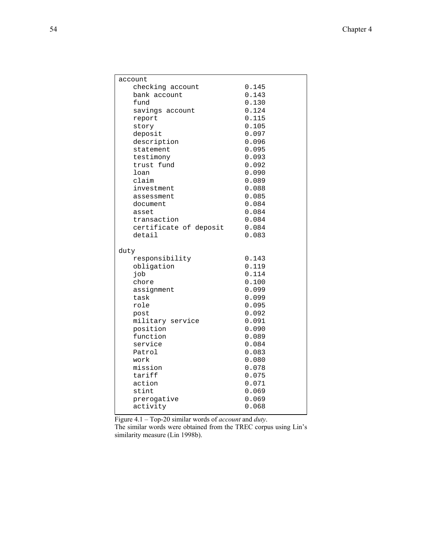| account                |       |  |
|------------------------|-------|--|
| checking account       | 0.145 |  |
| bank account           | 0.143 |  |
| fund                   | 0.130 |  |
| savings account        | 0.124 |  |
| report                 | 0.115 |  |
| story                  | 0.105 |  |
| deposit                | 0.097 |  |
| description            | 0.096 |  |
| statement              | 0.095 |  |
| testimony              | 0.093 |  |
| trust fund             | 0.092 |  |
| loan                   | 0.090 |  |
| claim                  | 0.089 |  |
| investment             | 0.088 |  |
| assessment             | 0.085 |  |
| document               | 0.084 |  |
| asset                  | 0.084 |  |
| transaction            | 0.084 |  |
|                        |       |  |
| certificate of deposit | 0.084 |  |
| detail                 | 0.083 |  |
|                        |       |  |
| duty                   |       |  |
| responsibility         | 0.143 |  |
| obligation             | 0.119 |  |
| dor                    | 0.114 |  |
| chore                  | 0.100 |  |
| assignment             | 0.099 |  |
| task                   | 0.099 |  |
| role                   | 0.095 |  |
| post                   | 0.092 |  |
| military service       | 0.091 |  |
| position               | 0.090 |  |
| function               | 0.089 |  |
| service                | 0.084 |  |
| Patrol                 | 0.083 |  |
| work                   | 0.080 |  |
| mission                | 0.078 |  |
| tariff                 | 0.075 |  |
| action                 | 0.071 |  |
| stint                  | 0.069 |  |
| prerogative            | 0.069 |  |
| activity               | 0.068 |  |
|                        |       |  |

Figure 4.1 – Top-20 similar words of *account* and *duty*.

The similar words were obtained from the TREC corpus using Lin's similarity measure (Lin 1998b).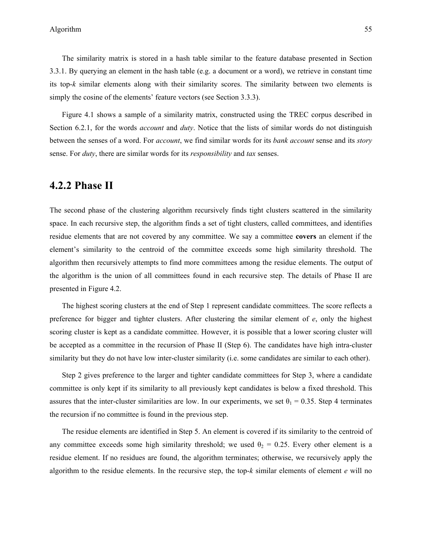The similarity matrix is stored in a hash table similar to the feature database presented in Section 3.3.1. By querying an element in the hash table (e.g. a document or a word), we retrieve in constant time its top-*k* similar elements along with their similarity scores. The similarity between two elements is simply the cosine of the elements' feature vectors (see Section 3.3.3).

Figure 4.1 shows a sample of a similarity matrix, constructed using the TREC corpus described in Section 6.2.1, for the words *account* and *duty*. Notice that the lists of similar words do not distinguish between the senses of a word. For *account*, we find similar words for its *bank account* sense and its *story* sense. For *duty*, there are similar words for its *responsibility* and *tax* senses.

#### **4.2.2 Phase II**

The second phase of the clustering algorithm recursively finds tight clusters scattered in the similarity space. In each recursive step, the algorithm finds a set of tight clusters, called committees, and identifies residue elements that are not covered by any committee. We say a committee **covers** an element if the element's similarity to the centroid of the committee exceeds some high similarity threshold. The algorithm then recursively attempts to find more committees among the residue elements. The output of the algorithm is the union of all committees found in each recursive step. The details of Phase II are presented in Figure 4.2.

The highest scoring clusters at the end of Step 1 represent candidate committees. The score reflects a preference for bigger and tighter clusters. After clustering the similar element of *e*, only the highest scoring cluster is kept as a candidate committee. However, it is possible that a lower scoring cluster will be accepted as a committee in the recursion of Phase II (Step 6). The candidates have high intra-cluster similarity but they do not have low inter-cluster similarity (i.e. some candidates are similar to each other).

Step 2 gives preference to the larger and tighter candidate committees for Step 3, where a candidate committee is only kept if its similarity to all previously kept candidates is below a fixed threshold. This assures that the inter-cluster similarities are low. In our experiments, we set  $\theta_1 = 0.35$ . Step 4 terminates the recursion if no committee is found in the previous step.

The residue elements are identified in Step 5. An element is covered if its similarity to the centroid of any committee exceeds some high similarity threshold; we used  $\theta_2 = 0.25$ . Every other element is a residue element. If no residues are found, the algorithm terminates; otherwise, we recursively apply the algorithm to the residue elements. In the recursive step, the top-*k* similar elements of element *e* will no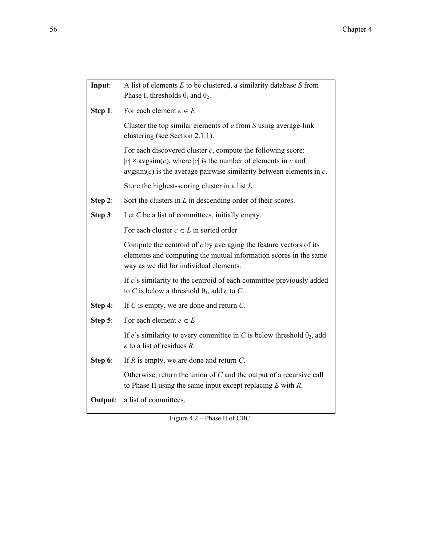| Input:     | A list of elements $E$ to be clustered, a similarity database $S$ from<br>Phase I, thresholds $\theta_1$ and $\theta_2$ .                                                                                                  |
|------------|----------------------------------------------------------------------------------------------------------------------------------------------------------------------------------------------------------------------------|
| Step $1$ : | For each element $e \in E$                                                                                                                                                                                                 |
|            | Cluster the top similar elements of $e$ from $S$ using average-link<br>clustering (see Section 2.1.1).                                                                                                                     |
|            | For each discovered cluster $c$ , compute the following score:<br>$ c  \times \text{avgsim}(c)$ , where  c  is the number of elements in c and<br>$avgsim(c)$ is the average pairwise similarity between elements in $c$ . |
|            | Store the highest-scoring cluster in a list $L$ .                                                                                                                                                                          |
| Step 2:    | Sort the clusters in $L$ in descending order of their scores.                                                                                                                                                              |
| Step $3$ : | Let $C$ be a list of committees, initially empty.                                                                                                                                                                          |
|            | For each cluster $c \in L$ in sorted order                                                                                                                                                                                 |
|            | Compute the centroid of $c$ by averaging the feature vectors of its<br>elements and computing the mutual information scores in the same<br>way as we did for individual elements.                                          |
|            | If $c$ 's similarity to the centroid of each committee previously added<br>to C is below a threshold $\theta_1$ , add c to C.                                                                                              |
| Step 4:    | If $C$ is empty, we are done and return $C$ .                                                                                                                                                                              |
| Step $5$ : | For each element $e \in E$                                                                                                                                                                                                 |
|            | If e's similarity to every committee in C is below threshold $\theta_2$ , add<br>$e$ to a list of residues $R$ .                                                                                                           |
| Step 6:    | If $R$ is empty, we are done and return $C$ .                                                                                                                                                                              |
|            | Otherwise, return the union of $C$ and the output of a recursive call<br>to Phase II using the same input except replacing $E$ with $R$ .                                                                                  |
| Output:    | a list of committees.                                                                                                                                                                                                      |

Figure 4.2 – Phase II of CBC.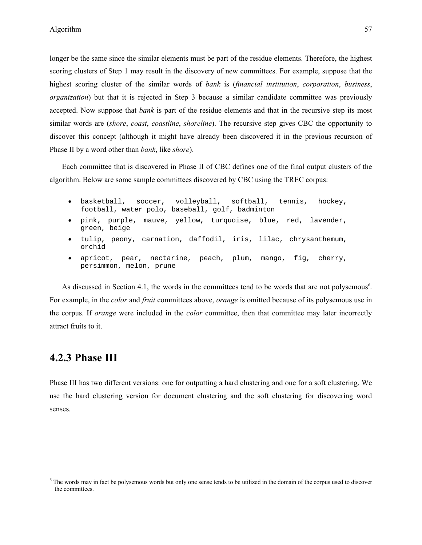longer be the same since the similar elements must be part of the residue elements. Therefore, the highest scoring clusters of Step 1 may result in the discovery of new committees. For example, suppose that the highest scoring cluster of the similar words of *bank* is (*financial institution*, *corporation*, *business*, *organization*) but that it is rejected in Step 3 because a similar candidate committee was previously accepted. Now suppose that *bank* is part of the residue elements and that in the recursive step its most similar words are (*shore*, *coast*, *coastline*, *shoreline*). The recursive step gives CBC the opportunity to discover this concept (although it might have already been discovered it in the previous recursion of Phase II by a word other than *bank*, like *shore*).

Each committee that is discovered in Phase II of CBC defines one of the final output clusters of the algorithm. Below are some sample committees discovered by CBC using the TREC corpus:

- basketball, soccer, volleyball, softball, tennis, hockey, football, water polo, baseball, golf, badminton
- pink, purple, mauve, yellow, turquoise, blue, red, lavender, green, beige
- tulip, peony, carnation, daffodil, iris, lilac, chrysanthemum, orchid
- apricot, pear, nectarine, peach, plum, mango, fig, cherry, persimmon, melon, prune

As discussed in Section 4.1, the words in the committees tend to be words that are not polysemous<sup>6</sup>. For example, in the *color* and *fruit* committees above, *orange* is omitted because of its polysemous use in the corpus. If *orange* were included in the *color* committee, then that committee may later incorrectly attract fruits to it.

#### **4.2.3 Phase III**

 $\overline{a}$ 

Phase III has two different versions: one for outputting a hard clustering and one for a soft clustering. We use the hard clustering version for document clustering and the soft clustering for discovering word senses.

<sup>&</sup>lt;sup>6</sup> The words may in fact be polysemous words but only one sense tends to be utilized in the domain of the corpus used to discover the committees.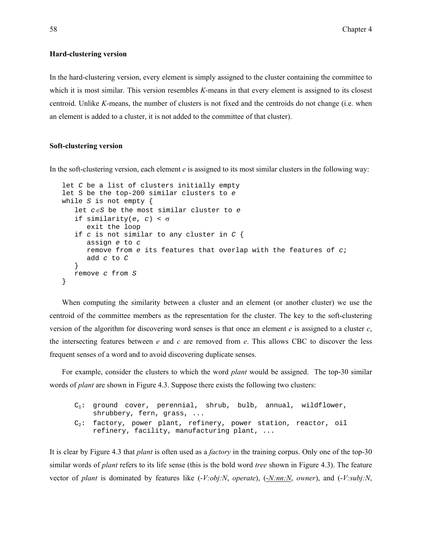#### **Hard-clustering version**

In the hard-clustering version, every element is simply assigned to the cluster containing the committee to which it is most similar. This version resembles *K*-means in that every element is assigned to its closest centroid. Unlike *K*-means, the number of clusters is not fixed and the centroids do not change (i.e. when an element is added to a cluster, it is not added to the committee of that cluster).

#### **Soft-clustering version**

In the soft-clustering version, each element *e* is assigned to its most similar clusters in the following way:

```
let C be a list of clusters initially empty 
let S be the top-200 similar clusters to e
while S is not empty { 
    let c∈S be the most similar cluster to e 
    if similarity(e, c) < σ
       exit the loop 
    if c is not similar to any cluster in C { 
       assign e to c 
       remove from e its features that overlap with the features of c; 
       add c to C
    } 
    remove c from S 
}
```
When computing the similarity between a cluster and an element (or another cluster) we use the centroid of the committee members as the representation for the cluster. The key to the soft-clustering version of the algorithm for discovering word senses is that once an element *e* is assigned to a cluster *c*, the intersecting features between *e* and *c* are removed from *e*. This allows CBC to discover the less frequent senses of a word and to avoid discovering duplicate senses.

For example, consider the clusters to which the word *plant* would be assigned. The top-30 similar words of *plant* are shown in Figure 4.3. Suppose there exists the following two clusters:

```
C_1: ground cover, perennial, shrub, bulb, annual, wildflower,
    shrubbery, fern, grass, ... 
C_2: factory, power plant, refinery, power station, reactor, oil
    refinery, facility, manufacturing plant, ...
```
It is clear by Figure 4.3 that *plant* is often used as a *factory* in the training corpus. Only one of the top-30 similar words of *plant* refers to its life sense (this is the bold word *tree* shown in Figure 4.3). The feature vector of *plant* is dominated by features like (-*V:obj:N*, *operate*), (-*N:nn:N*, *owner*), and (-*V:subj:N*,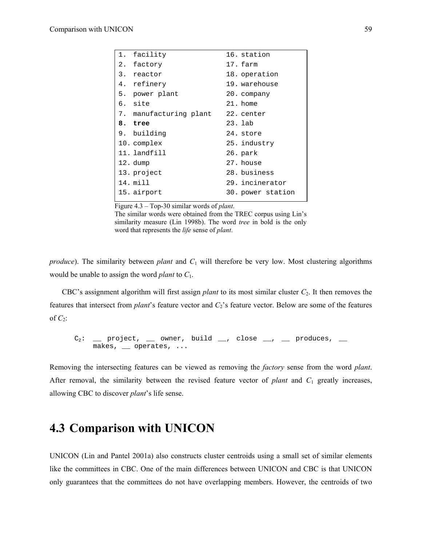| 1. facility            | 16. station       |
|------------------------|-------------------|
| 2. factory             | 17. farm          |
| 3. reactor             | 18. operation     |
| 4. refinery            | 19. warehouse     |
| 5. power plant         | 20. company       |
| 6. site                | 21. home          |
| 7. manufacturing plant | 22. center        |
| 8. tree                | 23. lab           |
| 9. building            | 24. store         |
| 10. complex            | 25. industry      |
| 11. landfill           | 26. park          |
| 12. dump               | 27. house         |
| 13. project            | 28. business      |
| 14. mill               | 29. incinerator   |
| 15. airport            | 30. power station |

Figure 4.3 – Top-30 similar words of *plant*.

The similar words were obtained from the TREC corpus using Lin's similarity measure (Lin 1998b). The word *tree* in bold is the only word that represents the *life* sense of *plant*.

*produce*). The similarity between *plant* and  $C_1$  will therefore be very low. Most clustering algorithms would be unable to assign the word *plant* to *C*1.

CBC's assignment algorithm will first assign *plant* to its most similar cluster *C*2. It then removes the features that intersect from *plant*'s feature vector and *C*2's feature vector. Below are some of the features of  $C_2$ :

$$
C_2: \underline{\hspace{1cm}} \text{project, } \underline{\hspace{1cm}} \text{owner, build } \underline{\hspace{1cm}}, \text{ close } \underline{\hspace{1cm}}, \underline{\hspace{1cm}} \text{produces, } \underline{\hspace{1cm}} \\ \underline{\hspace{1cm}} \text{makes, } \underline{\hspace{1cm}} \text{ operates, } \ldots
$$

Removing the intersecting features can be viewed as removing the *factory* sense from the word *plant*. After removal, the similarity between the revised feature vector of *plant* and  $C_1$  greatly increases, allowing CBC to discover *plant*'s life sense.

# **4.3 Comparison with UNICON**

UNICON (Lin and Pantel 2001a) also constructs cluster centroids using a small set of similar elements like the committees in CBC. One of the main differences between UNICON and CBC is that UNICON only guarantees that the committees do not have overlapping members. However, the centroids of two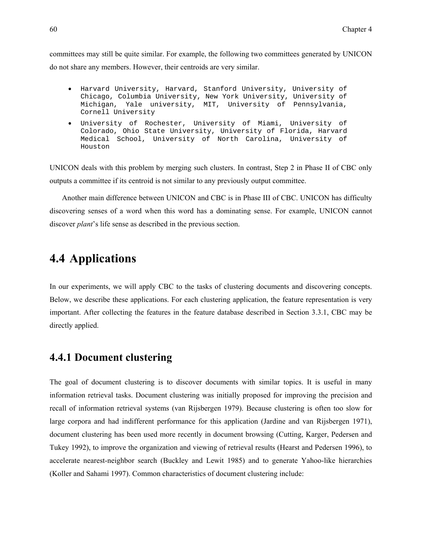committees may still be quite similar. For example, the following two committees generated by UNICON do not share any members. However, their centroids are very similar.

- Harvard University, Harvard, Stanford University, University of Chicago, Columbia University, New York University, University of Michigan, Yale university, MIT, University of Pennsylvania, Cornell University
- University of Rochester, University of Miami, University of Colorado, Ohio State University, University of Florida, Harvard Medical School, University of North Carolina, University of Houston

UNICON deals with this problem by merging such clusters. In contrast, Step 2 in Phase II of CBC only outputs a committee if its centroid is not similar to any previously output committee.

Another main difference between UNICON and CBC is in Phase III of CBC. UNICON has difficulty discovering senses of a word when this word has a dominating sense. For example, UNICON cannot discover *plant*'s life sense as described in the previous section.

# **4.4 Applications**

In our experiments, we will apply CBC to the tasks of clustering documents and discovering concepts. Below, we describe these applications. For each clustering application, the feature representation is very important. After collecting the features in the feature database described in Section 3.3.1, CBC may be directly applied.

#### **4.4.1 Document clustering**

The goal of document clustering is to discover documents with similar topics. It is useful in many information retrieval tasks. Document clustering was initially proposed for improving the precision and recall of information retrieval systems (van Rijsbergen 1979). Because clustering is often too slow for large corpora and had indifferent performance for this application (Jardine and van Rijsbergen 1971), document clustering has been used more recently in document browsing (Cutting, Karger, Pedersen and Tukey 1992), to improve the organization and viewing of retrieval results (Hearst and Pedersen 1996), to accelerate nearest-neighbor search (Buckley and Lewit 1985) and to generate Yahoo-like hierarchies (Koller and Sahami 1997). Common characteristics of document clustering include: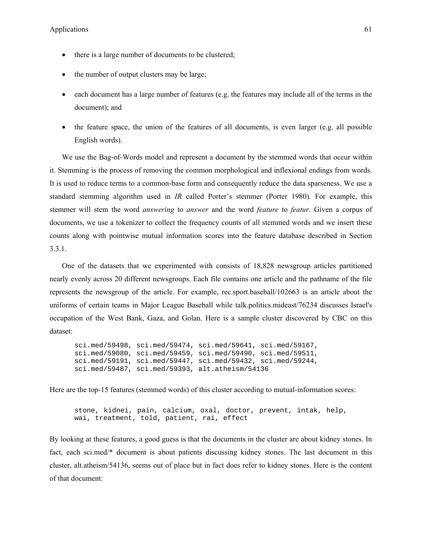- there is a large number of documents to be clustered;
- the number of output clusters may be large;
- each document has a large number of features (e.g. the features may include all of the terms in the document); and
- the feature space, the union of the features of all documents, is even larger (e.g. all possible English words).

We use the Bag-of-Words model and represent a document by the stemmed words that occur within it. Stemming is the process of removing the common morphological and inflexional endings from words. It is used to reduce terms to a common-base form and consequently reduce the data sparseness. We use a standard stemming algorithm used in *IR* called Porter's stemmer (Porter 1980). For example, this stemmer will stem the word *answering* to *answer* and the word *feature* to *featur*. Given a corpus of documents, we use a tokenizer to collect the frequency counts of all stemmed words and we insert these counts along with pointwise mutual information scores into the feature database described in Section 3.3.1.

One of the datasets that we experimented with consists of 18,828 newsgroup articles partitioned nearly evenly across 20 different newsgroups. Each file contains one article and the pathname of the file represents the newsgroup of the article. For example, rec.sport.baseball/102663 is an article about the uniforms of certain teams in Major League Baseball while talk.politics.mideast/76234 discusses Israel's occupation of the West Bank, Gaza, and Golan. Here is a sample cluster discovered by CBC on this dataset:

```
sci.med/59498, sci.med/59474, sci.med/59641, sci.med/59167, 
sci.med/59080, sci.med/59459, sci.med/59490, sci.med/59511, 
sci.med/59191, sci.med/59447, sci.med/59432, sci.med/59244, 
sci.med/59487, sci.med/59393, alt.atheism/54136
```
Here are the top-15 features (stemmed words) of this cluster according to mutual-information scores:

stone, kidnei, pain, calcium, oxal, doctor, prevent, intak, help, wai, treatment, told, patient, rai, effect

By looking at these features, a good guess is that the documents in the cluster are about kidney stones. In fact, each sci.med/\* document is about patients discussing kidney stones. The last document in this cluster, alt.atheism/54136, seems out of place but in fact does refer to kidney stones. Here is the content of that document: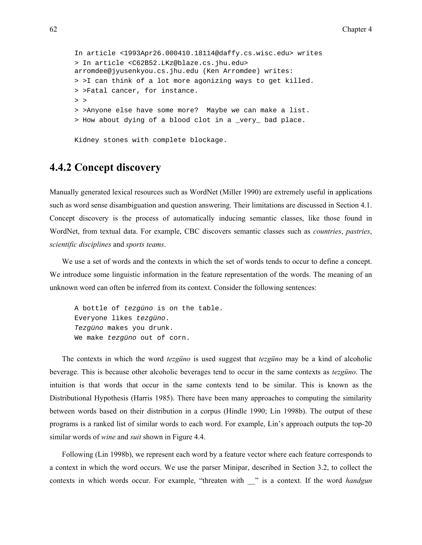```
In article <1993Apr26.000410.18114@daffy.cs.wisc.edu> writes 
> In article <C62B52.LKz@blaze.cs.jhu.edu> 
arromdee@jyusenkyou.cs.jhu.edu (Ken Arromdee) writes: 
> >I can think of a lot more agonizing ways to get killed. 
> >Fatal cancer, for instance. 
> >
> >Anyone else have some more? Maybe we can make a list. 
> How about dying of a blood clot in a _very_ bad place.
```
Kidney stones with complete blockage.

### **4.4.2 Concept discovery**

Manually generated lexical resources such as WordNet (Miller 1990) are extremely useful in applications such as word sense disambiguation and question answering. Their limitations are discussed in Section 4.1. Concept discovery is the process of automatically inducing semantic classes, like those found in WordNet, from textual data. For example, CBC discovers semantic classes such as *countries*, *pastries*, *scientific disciplines* and *sports teams*.

We use a set of words and the contexts in which the set of words tends to occur to define a concept. We introduce some linguistic information in the feature representation of the words. The meaning of an unknown word can often be inferred from its context. Consider the following sentences:

```
A bottle of tezgüno is on the table. 
Everyone likes tezgüno. 
Tezgüno makes you drunk. 
We make tezgüno out of corn.
```
The contexts in which the word *tezgüno* is used suggest that *tezgüno* may be a kind of alcoholic beverage. This is because other alcoholic beverages tend to occur in the same contexts as *tezgüno*. The intuition is that words that occur in the same contexts tend to be similar. This is known as the Distributional Hypothesis (Harris 1985). There have been many approaches to computing the similarity between words based on their distribution in a corpus (Hindle 1990; Lin 1998b). The output of these programs is a ranked list of similar words to each word. For example, Lin's approach outputs the top-20 similar words of *wine* and *suit* shown in Figure 4.4.

Following (Lin 1998b), we represent each word by a feature vector where each feature corresponds to a context in which the word occurs. We use the parser Minipar, described in Section 3.2, to collect the contexts in which words occur. For example, "threaten with \_\_" is a context. If the word *handgun*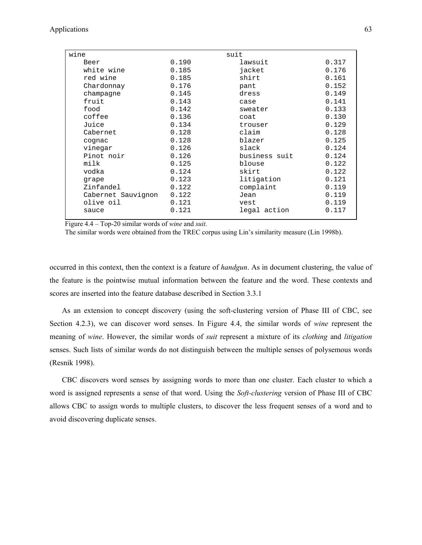| wine               |       | suit          |       |
|--------------------|-------|---------------|-------|
| Beer               | 0.190 | lawsuit       | 0.317 |
| white wine         | 0.185 | jacket        | 0.176 |
| red wine           | 0.185 | shirt         | 0.161 |
| Chardonnay         | 0.176 | pant          | 0.152 |
| champagne          | 0.145 | dress         | 0.149 |
| fruit              | 0.143 | case          | 0.141 |
| food               | 0.142 | sweater       | 0.133 |
| coffee             | 0.136 | coat          | 0.130 |
| Juice              | 0.134 | trouser       | 0.129 |
| Cabernet           | 0.128 | claim         | 0.128 |
| cognac             | 0.128 | blazer        | 0.125 |
| vinegar            | 0.126 | slack         | 0.124 |
| Pinot noir         | 0.126 | business suit | 0.124 |
| milk               | 0.125 | blouse        | 0.122 |
| vodka              | 0.124 | skirt         | 0.122 |
| grape              | 0.123 | litigation    | 0.121 |
| Zinfandel          | 0.122 | complaint     | 0.119 |
| Cabernet Sauvignon | 0.122 | Jean          | 0.119 |
| olive oil          | 0.121 | vest          | 0.119 |
| sauce              | 0.121 | legal action  | 0.117 |
|                    |       |               |       |

Figure 4.4 – Top-20 similar words of *wine* and *suit*.

The similar words were obtained from the TREC corpus using Lin's similarity measure (Lin 1998b).

occurred in this context, then the context is a feature of *handgun*. As in document clustering, the value of the feature is the pointwise mutual information between the feature and the word. These contexts and scores are inserted into the feature database described in Section 3.3.1

As an extension to concept discovery (using the soft-clustering version of Phase III of CBC, see Section 4.2.3), we can discover word senses. In Figure 4.4, the similar words of *wine* represent the meaning of *wine*. However, the similar words of *suit* represent a mixture of its *clothing* and *litigation* senses. Such lists of similar words do not distinguish between the multiple senses of polysemous words (Resnik 1998).

CBC discovers word senses by assigning words to more than one cluster. Each cluster to which a word is assigned represents a sense of that word. Using the *Soft-clustering* version of Phase III of CBC allows CBC to assign words to multiple clusters, to discover the less frequent senses of a word and to avoid discovering duplicate senses.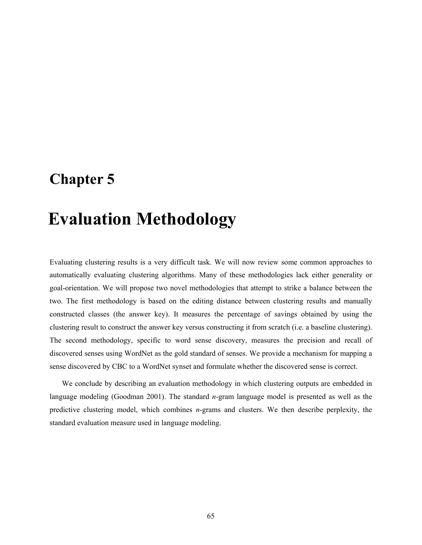# **Chapter 5**

# 5 **Evaluation Methodology**

Evaluating clustering results is a very difficult task. We will now review some common approaches to automatically evaluating clustering algorithms. Many of these methodologies lack either generality or goal-orientation. We will propose two novel methodologies that attempt to strike a balance between the two. The first methodology is based on the editing distance between clustering results and manually constructed classes (the answer key). It measures the percentage of savings obtained by using the clustering result to construct the answer key versus constructing it from scratch (i.e. a baseline clustering). The second methodology, specific to word sense discovery, measures the precision and recall of discovered senses using WordNet as the gold standard of senses. We provide a mechanism for mapping a sense discovered by CBC to a WordNet synset and formulate whether the discovered sense is correct.

We conclude by describing an evaluation methodology in which clustering outputs are embedded in language modeling (Goodman 2001). The standard *n*-gram language model is presented as well as the predictive clustering model, which combines *n*-grams and clusters. We then describe perplexity, the standard evaluation measure used in language modeling.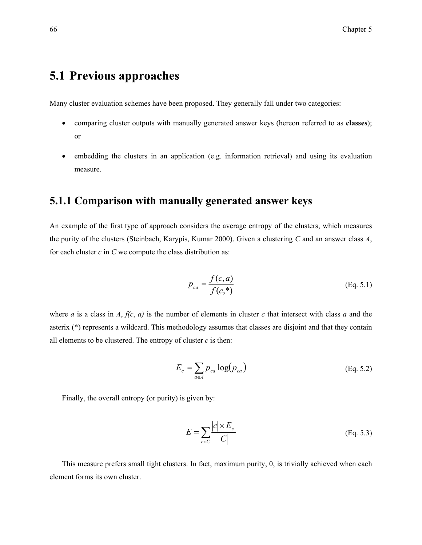# **5.1 Previous approaches**

Many cluster evaluation schemes have been proposed. They generally fall under two categories:

- comparing cluster outputs with manually generated answer keys (hereon referred to as **classes**); or
- embedding the clusters in an application (e.g. information retrieval) and using its evaluation measure.

#### **5.1.1 Comparison with manually generated answer keys**

An example of the first type of approach considers the average entropy of the clusters, which measures the purity of the clusters (Steinbach, Karypis, Kumar 2000). Given a clustering *C* and an answer class *A*, for each cluster *c* in *C* we compute the class distribution as:

$$
p_{ca} = \frac{f(c,a)}{f(c,*)}
$$
 (Eq. 5.1)

where *a* is a class in *A*,  $f(c, a)$  is the number of elements in cluster *c* that intersect with class *a* and the asterix (\*) represents a wildcard. This methodology assumes that classes are disjoint and that they contain all elements to be clustered. The entropy of cluster  $c$  is then:

$$
E_c = \sum_{a \in A} p_{ca} \log(p_{ca})
$$
 (Eq. 5.2)

Finally, the overall entropy (or purity) is given by:

$$
E = \sum_{c \in C} \frac{|c| \times E_c}{|C|}
$$
 (Eq. 5.3)

This measure prefers small tight clusters. In fact, maximum purity, 0, is trivially achieved when each element forms its own cluster.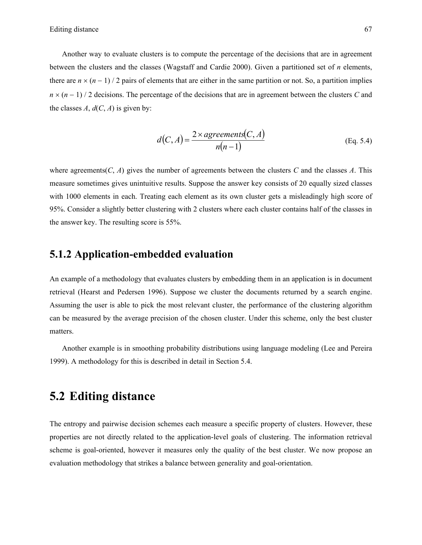Another way to evaluate clusters is to compute the percentage of the decisions that are in agreement between the clusters and the classes (Wagstaff and Cardie 2000). Given a partitioned set of *n* elements, there are  $n \times (n-1)/2$  pairs of elements that are either in the same partition or not. So, a partition implies *n* × (*n* − 1) / 2 decisions. The percentage of the decisions that are in agreement between the clusters *C* and the classes  $A$ ,  $d(C, A)$  is given by:

$$
d(C,A) = \frac{2 \times a \text{greenents}(C,A)}{n(n-1)}
$$
 (Eq. 5.4)

where agreements( $C$ ,  $A$ ) gives the number of agreements between the clusters  $C$  and the classes  $A$ . This measure sometimes gives unintuitive results. Suppose the answer key consists of 20 equally sized classes with 1000 elements in each. Treating each element as its own cluster gets a misleadingly high score of 95%. Consider a slightly better clustering with 2 clusters where each cluster contains half of the classes in the answer key. The resulting score is 55%.

#### **5.1.2 Application-embedded evaluation**

An example of a methodology that evaluates clusters by embedding them in an application is in document retrieval (Hearst and Pedersen 1996). Suppose we cluster the documents returned by a search engine. Assuming the user is able to pick the most relevant cluster, the performance of the clustering algorithm can be measured by the average precision of the chosen cluster. Under this scheme, only the best cluster matters.

Another example is in smoothing probability distributions using language modeling (Lee and Pereira 1999). A methodology for this is described in detail in Section 5.4.

## **5.2 Editing distance**

The entropy and pairwise decision schemes each measure a specific property of clusters. However, these properties are not directly related to the application-level goals of clustering. The information retrieval scheme is goal-oriented, however it measures only the quality of the best cluster. We now propose an evaluation methodology that strikes a balance between generality and goal-orientation.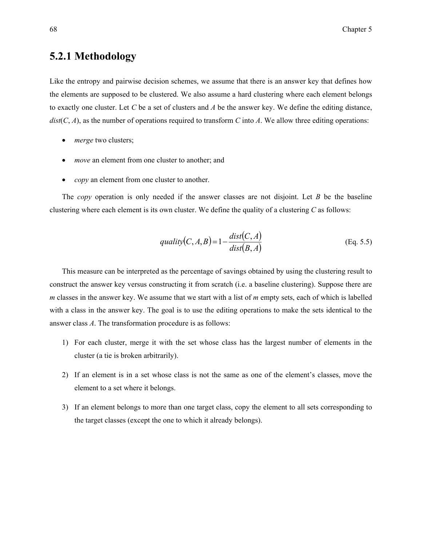#### **5.2.1 Methodology**

Like the entropy and pairwise decision schemes, we assume that there is an answer key that defines how the elements are supposed to be clustered. We also assume a hard clustering where each element belongs to exactly one cluster. Let *C* be a set of clusters and *A* be the answer key. We define the editing distance,  $dist(C, A)$ , as the number of operations required to transform *C* into *A*. We allow three editing operations:

- *merge* two clusters;
- *move* an element from one cluster to another; and
- *copy* an element from one cluster to another.

The *copy* operation is only needed if the answer classes are not disjoint. Let *B* be the baseline clustering where each element is its own cluster. We define the quality of a clustering *C* as follows:

$$
quality(C, A, B) = 1 - \frac{dist(C, A)}{dist(B, A)}
$$
(Eq. 5.5)

This measure can be interpreted as the percentage of savings obtained by using the clustering result to construct the answer key versus constructing it from scratch (i.e. a baseline clustering). Suppose there are *m* classes in the answer key. We assume that we start with a list of *m* empty sets, each of which is labelled with a class in the answer key. The goal is to use the editing operations to make the sets identical to the answer class *A*. The transformation procedure is as follows:

- 1) For each cluster, merge it with the set whose class has the largest number of elements in the cluster (a tie is broken arbitrarily).
- 2) If an element is in a set whose class is not the same as one of the element's classes, move the element to a set where it belongs.
- 3) If an element belongs to more than one target class, copy the element to all sets corresponding to the target classes (except the one to which it already belongs).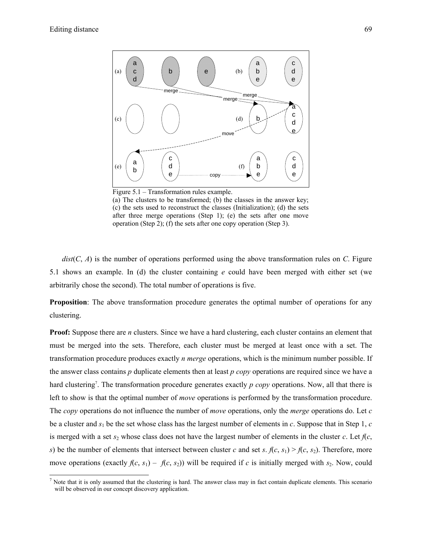-



(a) The clusters to be transformed; (b) the classes in the answer key; (c) the sets used to reconstruct the classes (Initialization); (d) the sets after three merge operations (Step 1); (e) the sets after one move operation (Step 2); (f) the sets after one copy operation (Step 3).

*dist*(*C*, *A*) is the number of operations performed using the above transformation rules on *C*. Figure 5.1 shows an example. In (d) the cluster containing *e* could have been merged with either set (we arbitrarily chose the second). The total number of operations is five.

**Proposition**: The above transformation procedure generates the optimal number of operations for any clustering.

**Proof:** Suppose there are *n* clusters. Since we have a hard clustering, each cluster contains an element that must be merged into the sets. Therefore, each cluster must be merged at least once with a set. The transformation procedure produces exactly *n merge* operations, which is the minimum number possible. If the answer class contains *p* duplicate elements then at least *p copy* operations are required since we have a hard clustering<sup>7</sup>. The transformation procedure generates exactly *p copy* operations. Now, all that there is left to show is that the optimal number of *move* operations is performed by the transformation procedure. The *copy* operations do not influence the number of *move* operations, only the *merge* operations do. Let *c* be a cluster and *s*1 be the set whose class has the largest number of elements in *c*. Suppose that in Step 1, *c* is merged with a set  $s_2$  whose class does not have the largest number of elements in the cluster *c*. Let  $f(c, c)$ *s*) be the number of elements that intersect between cluster *c* and set *s*.  $f(c, s_1) > f(c, s_2)$ . Therefore, more move operations (exactly  $f(c, s_1) - f(c, s_2)$ ) will be required if *c* is initially merged with  $s_2$ . Now, could

<sup>&</sup>lt;sup>7</sup> Note that it is only assumed that the clustering is hard. The answer class may in fact contain duplicate elements. This scenario will be observed in our concept discovery application.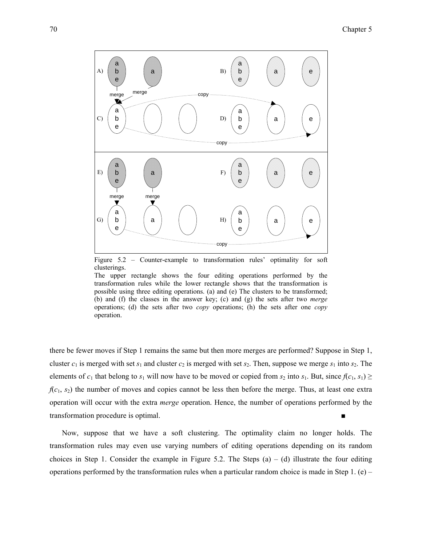

Figure 5.2 – Counter-example to transformation rules' optimality for soft clusterings.

The upper rectangle shows the four editing operations performed by the transformation rules while the lower rectangle shows that the transformation is possible using three editing operations. (a) and (e) The clusters to be transformed; (b) and (f) the classes in the answer key; (c) and (g) the sets after two *merge* operations; (d) the sets after two *copy* operations; (h) the sets after one *copy* operation.

there be fewer moves if Step 1 remains the same but then more merges are performed? Suppose in Step 1, cluster  $c_1$  is merged with set  $s_1$  and cluster  $c_2$  is merged with set  $s_2$ . Then, suppose we merge  $s_1$  into  $s_2$ . The elements of  $c_1$  that belong to  $s_1$  will now have to be moved or copied from  $s_2$  into  $s_1$ . But, since  $f(c_1, s_1) \ge$  $f(c_1, s_2)$  the number of moves and copies cannot be less then before the merge. Thus, at least one extra operation will occur with the extra *merge* operation. Hence, the number of operations performed by the transformation procedure is optimal.

Now, suppose that we have a soft clustering. The optimality claim no longer holds. The transformation rules may even use varying numbers of editing operations depending on its random choices in Step 1. Consider the example in Figure 5.2. The Steps  $(a) - (d)$  illustrate the four editing operations performed by the transformation rules when a particular random choice is made in Step 1. (e) –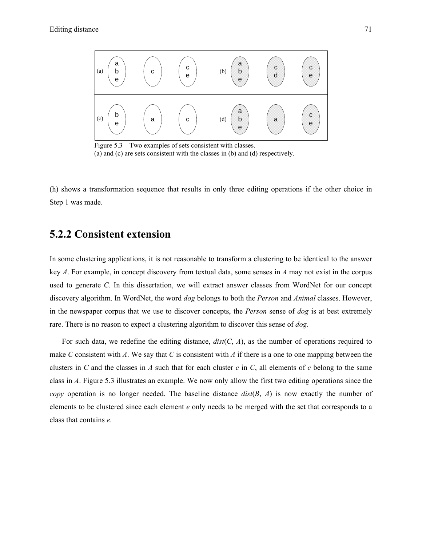

Figure 5.3 – Two examples of sets consistent with classes. (a) and (c) are sets consistent with the classes in (b) and (d) respectively.

(h) shows a transformation sequence that results in only three editing operations if the other choice in Step 1 was made.

#### **5.2.2 Consistent extension**

In some clustering applications, it is not reasonable to transform a clustering to be identical to the answer key *A*. For example, in concept discovery from textual data, some senses in *A* may not exist in the corpus used to generate *C*. In this dissertation, we will extract answer classes from WordNet for our concept discovery algorithm. In WordNet, the word *dog* belongs to both the *Person* and *Animal* classes. However, in the newspaper corpus that we use to discover concepts, the *Person* sense of *dog* is at best extremely rare. There is no reason to expect a clustering algorithm to discover this sense of *dog*.

For such data, we redefine the editing distance,  $dist(C, A)$ , as the number of operations required to make *C* consistent with *A*. We say that *C* is consistent with *A* if there is a one to one mapping between the clusters in *C* and the classes in *A* such that for each cluster  $c$  in  $C$ , all elements of  $c$  belong to the same class in *A*. Figure 5.3 illustrates an example. We now only allow the first two editing operations since the *copy* operation is no longer needed. The baseline distance *dist*(*B*, *A*) is now exactly the number of elements to be clustered since each element *e* only needs to be merged with the set that corresponds to a class that contains *e*.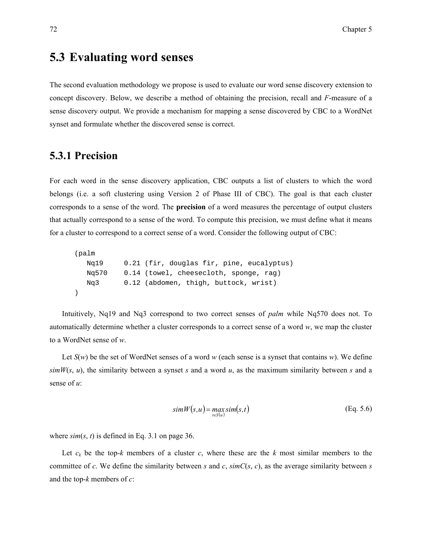## **5.3 Evaluating word senses**

The second evaluation methodology we propose is used to evaluate our word sense discovery extension to concept discovery. Below, we describe a method of obtaining the precision, recall and *F*-measure of a sense discovery output. We provide a mechanism for mapping a sense discovered by CBC to a WordNet synset and formulate whether the discovered sense is correct.

#### **5.3.1 Precision**

For each word in the sense discovery application, CBC outputs a list of clusters to which the word belongs (i.e. a soft clustering using Version 2 of Phase III of CBC). The goal is that each cluster corresponds to a sense of the word. The **precision** of a word measures the percentage of output clusters that actually correspond to a sense of the word. To compute this precision, we must define what it means for a cluster to correspond to a correct sense of a word. Consider the following output of CBC:

```
(palm 
   Nq19 0.21 (fir, douglas fir, pine, eucalyptus) 
   Nq570 0.14 (towel, cheesecloth, sponge, rag) 
   Nq3 0.12 (abdomen, thigh, buttock, wrist) 
)
```
Intuitively, Nq19 and Nq3 correspond to two correct senses of *palm* while Nq570 does not. To automatically determine whether a cluster corresponds to a correct sense of a word *w*, we map the cluster to a WordNet sense of *w*.

Let *S*(*w*) be the set of WordNet senses of a word *w* (each sense is a synset that contains *w*). We define  $simW(s, u)$ , the similarity between a synset *s* and a word *u*, as the maximum similarity between *s* and a sense of *u*:

$$
simW(s, u) = \max_{t \in S(u)} sim(s, t)
$$
 (Eq. 5.6)

where  $\sin(s, t)$  is defined in Eq. 3.1 on page 36.

Let  $c_k$  be the top-*k* members of a cluster *c*, where these are the *k* most similar members to the committee of *c*. We define the similarity between *s* and *c*,  $\sin C(s, c)$ , as the average similarity between *s* and the top-*k* members of *c*: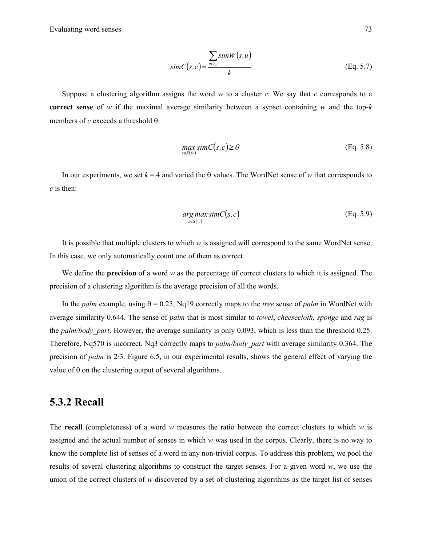$$
simC(s,c) = \frac{\sum_{u \in c_k} simW(s,u)}{k}
$$
 (Eq. 5.7)

Suppose a clustering algorithm assigns the word  $w$  to a cluster  $c$ . We say that  $c$  corresponds to a **correct sense** of *w* if the maximal average similarity between a synset containing *w* and the top-*k* members of *c* exceeds a threshold θ:

$$
\max_{s \in S(w)} simC(s, c) \ge \theta
$$
 (Eq. 5.8)

In our experiments, we set  $k = 4$  and varied the  $\theta$  values. The WordNet sense of *w* that corresponds to *c* is then:

$$
\underset{s \in S(w)}{\arg \max} \, \text{sim} \, C(s, c) \tag{Eq. 5.9}
$$

It is possible that multiple clusters to which *w* is assigned will correspond to the same WordNet sense. In this case, we only automatically count one of them as correct.

We define the **precision** of a word *w* as the percentage of correct clusters to which it is assigned. The precision of a clustering algorithm is the average precision of all the words.

In the *palm* example, using  $\theta = 0.25$ , Nq19 correctly maps to the *tree* sense of *palm* in WordNet with average similarity 0.644. The sense of *palm* that is most similar to *towel*, *cheesecloth*, *sponge* and *rag* is the *palm/body\_part*. However, the average similarity is only 0.093, which is less than the threshold 0.25. Therefore, Nq570 is incorrect. Nq3 correctly maps to *palm/body\_part* with average similarity 0.364. The precision of *palm* is 2/3. Figure 6.5, in our experimental results, shows the general effect of varying the value of θ on the clustering output of several algorithms.

#### **5.3.2 Recall**

The **recall** (completeness) of a word *w* measures the ratio between the correct clusters to which *w* is assigned and the actual number of senses in which *w* was used in the corpus. Clearly, there is no way to know the complete list of senses of a word in any non-trivial corpus. To address this problem, we pool the results of several clustering algorithms to construct the target senses. For a given word *w*, we use the union of the correct clusters of *w* discovered by a set of clustering algorithms as the target list of senses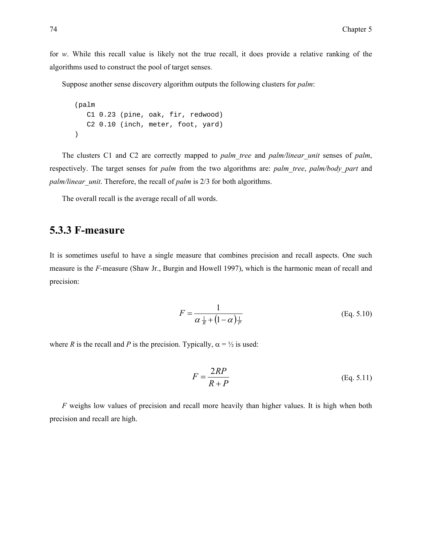for *w*. While this recall value is likely not the true recall, it does provide a relative ranking of the algorithms used to construct the pool of target senses.

Suppose another sense discovery algorithm outputs the following clusters for *palm*:

```
(palm 
    C1 0.23 (pine, oak, fir, redwood) 
    C2 0.10 (inch, meter, foot, yard) 
)
```
The clusters C1 and C2 are correctly mapped to *palm\_tree* and *palm/linear\_unit* senses of *palm*, respectively. The target senses for *palm* from the two algorithms are: *palm\_tree*, *palm/body\_part* and *palm/linear\_unit*. Therefore, the recall of *palm* is 2/3 for both algorithms.

The overall recall is the average recall of all words.

#### **5.3.3 F-measure**

It is sometimes useful to have a single measure that combines precision and recall aspects. One such measure is the *F*-measure (Shaw Jr., Burgin and Howell 1997), which is the harmonic mean of recall and precision:

$$
F = \frac{1}{\alpha \frac{1}{R} + (1 - \alpha) \frac{1}{P}}
$$
 (Eq. 5.10)

where *R* is the recall and *P* is the precision. Typically,  $\alpha = \frac{1}{2}$  is used:

$$
F = \frac{2RP}{R+P}
$$
 (Eq. 5.11)

*F* weighs low values of precision and recall more heavily than higher values. It is high when both precision and recall are high.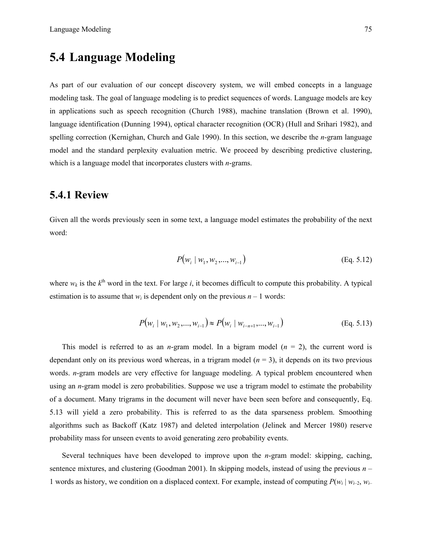# **5.4 Language Modeling**

As part of our evaluation of our concept discovery system, we will embed concepts in a language modeling task. The goal of language modeling is to predict sequences of words. Language models are key in applications such as speech recognition (Church 1988), machine translation (Brown et al. 1990), language identification (Dunning 1994), optical character recognition (OCR) (Hull and Srihari 1982), and spelling correction (Kernighan, Church and Gale 1990). In this section, we describe the *n*-gram language model and the standard perplexity evaluation metric. We proceed by describing predictive clustering, which is a language model that incorporates clusters with *n*-grams.

#### **5.4.1 Review**

Given all the words previously seen in some text, a language model estimates the probability of the next word:

$$
P(w_i | w_1, w_2, ..., w_{i-1})
$$
 (Eq. 5.12)

where  $w_k$  is the  $k^{\text{th}}$  word in the text. For large *i*, it becomes difficult to compute this probability. A typical estimation is to assume that  $w_i$  is dependent only on the previous  $n-1$  words:

$$
P(w_i | w_1, w_2, ..., w_{i-1}) \approx P(w_i | w_{i-n+1}, ..., w_{i-1})
$$
 (Eq. 5.13)

This model is referred to as an *n*-gram model. In a bigram model  $(n = 2)$ , the current word is dependant only on its previous word whereas, in a trigram model  $(n = 3)$ , it depends on its two previous words. *n*-gram models are very effective for language modeling. A typical problem encountered when using an *n*-gram model is zero probabilities. Suppose we use a trigram model to estimate the probability of a document. Many trigrams in the document will never have been seen before and consequently, Eq. 5.13 will yield a zero probability. This is referred to as the data sparseness problem. Smoothing algorithms such as Backoff (Katz 1987) and deleted interpolation (Jelinek and Mercer 1980) reserve probability mass for unseen events to avoid generating zero probability events.

Several techniques have been developed to improve upon the *n*-gram model: skipping, caching, sentence mixtures, and clustering (Goodman 2001). In skipping models, instead of using the previous *n* – 1 words as history, we condition on a displaced context. For example, instead of computing  $P(w_i | w_{i-2}, w_{i-1})$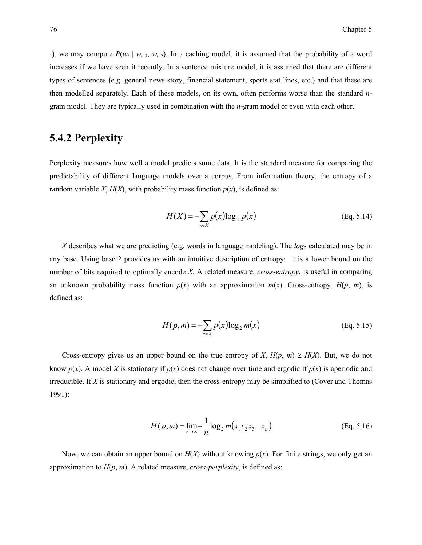1), we may compute  $P(w_i | w_{i-3}, w_{i-2})$ . In a caching model, it is assumed that the probability of a word increases if we have seen it recently. In a sentence mixture model, it is assumed that there are different types of sentences (e.g. general news story, financial statement, sports stat lines, etc.) and that these are then modelled separately. Each of these models, on its own, often performs worse than the standard *n*gram model. They are typically used in combination with the *n*-gram model or even with each other.

### **5.4.2 Perplexity**

Perplexity measures how well a model predicts some data. It is the standard measure for comparing the predictability of different language models over a corpus. From information theory, the entropy of a random variable *X*,  $H(X)$ , with probability mass function  $p(x)$ , is defined as:

$$
H(X) = -\sum_{x \in X} p(x) \log_2 p(x)
$$
 (Eq. 5.14)

*X* describes what we are predicting (e.g. words in language modeling). The *log*s calculated may be in any base. Using base 2 provides us with an intuitive description of entropy: it is a lower bound on the number of bits required to optimally encode *X*. A related measure, *cross-entropy*, is useful in comparing an unknown probability mass function  $p(x)$  with an approximation  $m(x)$ . Cross-entropy,  $H(p, m)$ , is defined as:

$$
H(p,m) = -\sum_{x \in X} p(x) \log_2 m(x)
$$
 (Eq. 5.15)

Cross-entropy gives us an upper bound on the true entropy of *X*,  $H(p, m) \ge H(X)$ . But, we do not know  $p(x)$ . A model X is stationary if  $p(x)$  does not change over time and ergodic if  $p(x)$  is aperiodic and irreducible. If *X* is stationary and ergodic, then the cross-entropy may be simplified to (Cover and Thomas 1991):

$$
H(p,m) = \lim_{n \to \infty} -\frac{1}{n} \log_2 m(x_1 x_2 x_3 ... x_n)
$$
 (Eq. 5.16)

Now, we can obtain an upper bound on  $H(X)$  without knowing  $p(x)$ . For finite strings, we only get an approximation to *H*(*p*, *m*). A related measure, *cross-perplexity*, is defined as: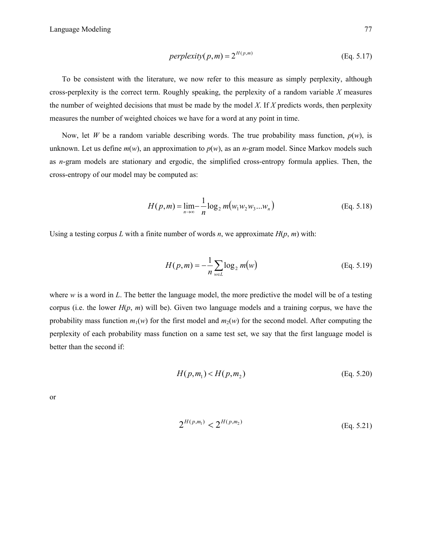$$
perplexity(p,m) = 2^{H(p,m)} \tag{Eq. 5.17}
$$

To be consistent with the literature, we now refer to this measure as simply perplexity, although cross-perplexity is the correct term. Roughly speaking, the perplexity of a random variable *X* measures the number of weighted decisions that must be made by the model *X*. If *X* predicts words, then perplexity measures the number of weighted choices we have for a word at any point in time.

Now, let *W* be a random variable describing words. The true probability mass function,  $p(w)$ , is unknown. Let us define  $m(w)$ , an approximation to  $p(w)$ , as an *n*-gram model. Since Markov models such as *n*-gram models are stationary and ergodic, the simplified cross-entropy formula applies. Then, the cross-entropy of our model may be computed as:

$$
H(p,m) = \lim_{n \to \infty} -\frac{1}{n} \log_2 m(w_1 w_2 w_3 ... w_n)
$$
 (Eq. 5.18)

Using a testing corpus *L* with a finite number of words *n*, we approximate  $H(p, m)$  with:

$$
H(p,m) = -\frac{1}{n} \sum_{w \in L} \log_2 m(w)
$$
 (Eq. 5.19)

where *w* is a word in *L*. The better the language model, the more predictive the model will be of a testing corpus (i.e. the lower *H*(*p*, *m*) will be). Given two language models and a training corpus, we have the probability mass function  $m_1(w)$  for the first model and  $m_2(w)$  for the second model. After computing the perplexity of each probability mass function on a same test set, we say that the first language model is better than the second if:

$$
H(p, m_1) < H(p, m_2) \tag{Eq. 5.20}
$$

or

$$
2^{H(p,m_1)} < 2^{H(p,m_2)} \tag{Eq. 5.21}
$$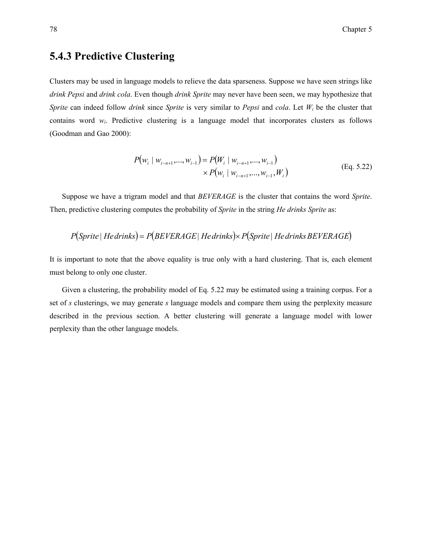### **5.4.3 Predictive Clustering**

Clusters may be used in language models to relieve the data sparseness. Suppose we have seen strings like *drink Pepsi* and *drink cola*. Even though *drink Sprite* may never have been seen, we may hypothesize that *Sprite* can indeed follow *drink* since *Sprite* is very similar to *Pepsi* and *cola*. Let *Wi* be the cluster that contains word  $w_i$ . Predictive clustering is a language model that incorporates clusters as follows (Goodman and Gao 2000):

$$
P(w_i | w_{i-n+1},..., w_{i-1}) = P(W_i | w_{i-n+1},..., w_{i-1})
$$
  
×  $P(w_i | w_{i-n+1},..., w_{i-1}, W_i)$  (Eq. 5.22)

Suppose we have a trigram model and that *BEVERAGE* is the cluster that contains the word *Sprite*. Then, predictive clustering computes the probability of *Sprite* in the string *He drinks Sprite* as:

$$
P(Sprite | Hedrinks) = P(BEVERAGE | Hedrinks) \times P(Sprite | Hedrinks BEVERAGE)
$$

It is important to note that the above equality is true only with a hard clustering. That is, each element must belong to only one cluster.

Given a clustering, the probability model of Eq. 5.22 may be estimated using a training corpus. For a set of *s* clusterings, we may generate *s* language models and compare them using the perplexity measure described in the previous section. A better clustering will generate a language model with lower perplexity than the other language models.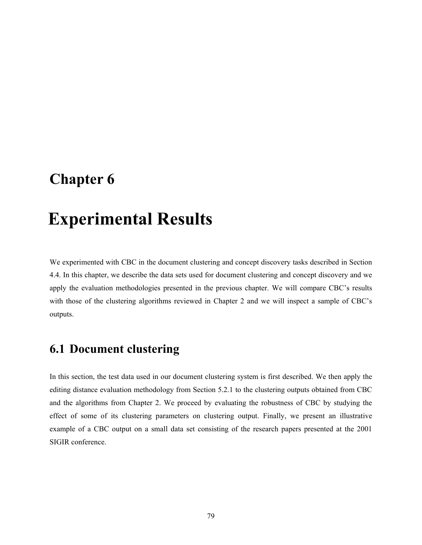# **Chapter 6**

# 6 **Experimental Results**

We experimented with CBC in the document clustering and concept discovery tasks described in Section 4.4. In this chapter, we describe the data sets used for document clustering and concept discovery and we apply the evaluation methodologies presented in the previous chapter. We will compare CBC's results with those of the clustering algorithms reviewed in Chapter 2 and we will inspect a sample of CBC's outputs.

# **6.1 Document clustering**

In this section, the test data used in our document clustering system is first described. We then apply the editing distance evaluation methodology from Section 5.2.1 to the clustering outputs obtained from CBC and the algorithms from Chapter 2. We proceed by evaluating the robustness of CBC by studying the effect of some of its clustering parameters on clustering output. Finally, we present an illustrative example of a CBC output on a small data set consisting of the research papers presented at the 2001 SIGIR conference.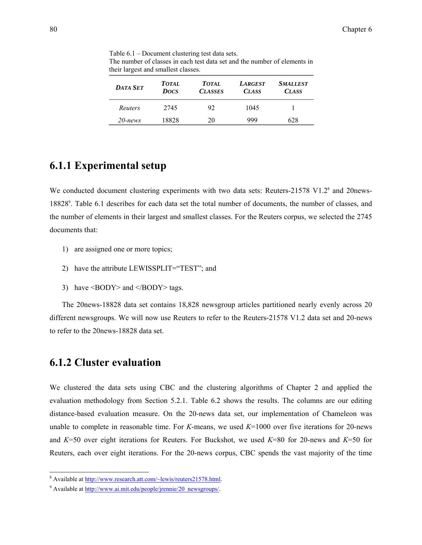Table 6.1 – Document clustering test data sets. The number of classes in each test data set and the number of elements in their largest and smallest classes.

| <b>DATA SET</b> | <b>TOTAL</b><br><b>Docs</b> | TOTAL.<br><b>CLASSES</b> | <b>LARGEST</b><br><b>CLASS</b> | <i>SMALLEST</i><br><b>CLASS</b> |
|-----------------|-----------------------------|--------------------------|--------------------------------|---------------------------------|
| Reuters         | 2745                        | 92                       | 1045                           |                                 |
| $20$ -news      | 18828                       | 20                       | 999                            | 628                             |

#### **6.1.1 Experimental setup**

We conducted document clustering experiments with two data sets: Reuters-21578 V1.2<sup>8</sup> and 20news-18828<sup>9</sup>. Table 6.1 describes for each data set the total number of documents, the number of classes, and the number of elements in their largest and smallest classes. For the Reuters corpus, we selected the 2745 documents that:

- 1) are assigned one or more topics;
- 2) have the attribute LEWISSPLIT="TEST"; and
- 3) have  $\langle BODY \rangle$  and  $\langle BODY \rangle$  tags.

The 20news-18828 data set contains 18,828 newsgroup articles partitioned nearly evenly across 20 different newsgroups. We will now use Reuters to refer to the Reuters-21578 V1.2 data set and 20-news to refer to the 20news-18828 data set.

#### **6.1.2 Cluster evaluation**

l

We clustered the data sets using CBC and the clustering algorithms of Chapter 2 and applied the evaluation methodology from Section 5.2.1. Table 6.2 shows the results. The columns are our editing distance-based evaluation measure. On the 20-news data set, our implementation of Chameleon was unable to complete in reasonable time. For *K*-means, we used *K*=1000 over five iterations for 20-news and *K*=50 over eight iterations for Reuters. For Buckshot, we used *K*=80 for 20-news and *K*=50 for Reuters, each over eight iterations. For the 20-news corpus, CBC spends the vast majority of the time

<sup>&</sup>lt;sup>8</sup> Available at http://www.research.att.com/~lewis/reuters21578.html.

<sup>&</sup>lt;sup>9</sup> Available at <u>http://www.ai.mit.edu/people/jrennie/20\_newsgroups/</u>.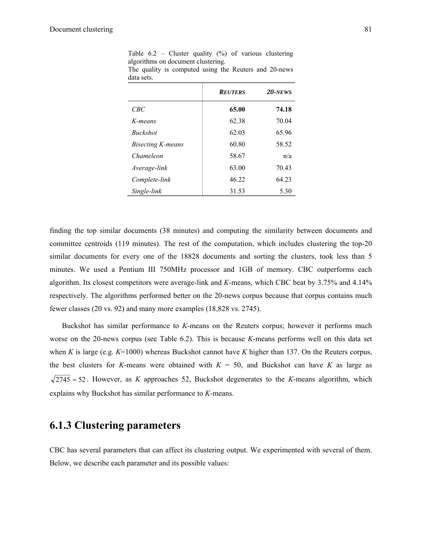|  |                                    |  |  | Table $6.2$ – Cluster quality $(\%)$ of various clustering |
|--|------------------------------------|--|--|------------------------------------------------------------|
|  | algorithms on document clustering. |  |  |                                                            |

|            | The quality is computed using the Reuters and 20-news |  |  |  |
|------------|-------------------------------------------------------|--|--|--|
| data sets. |                                                       |  |  |  |

|                          | <b>REUTERS</b> | $20$ -NEWS |
|--------------------------|----------------|------------|
| CBC                      | 65.00          | 74.18      |
| K-means                  | 62.38          | 70.04      |
| <b>Buckshot</b>          | 62.03          | 65.96      |
| <b>Bisecting K-means</b> | 60.80          | 58.52      |
| Chameleon                | 58.67          | n/a        |
| Average-link             | 63.00          | 70.43      |
| Complete-link            | 46.22          | 64.23      |
| Single-link              | 31.53          | 5.30       |

finding the top similar documents (38 minutes) and computing the similarity between documents and committee centroids (119 minutes). The rest of the computation, which includes clustering the top-20 similar documents for every one of the 18828 documents and sorting the clusters, took less than 5 minutes. We used a Pentium III 750MHz processor and 1GB of memory. CBC outperforms each algorithm. Its closest competitors were average-link and *K*-means, which CBC beat by 3.75% and 4.14% respectively. The algorithms performed better on the 20-news corpus because that corpus contains much fewer classes (20 vs. 92) and many more examples (18,828 vs. 2745).

Buckshot has similar performance to *K*-means on the Reuters corpus; however it performs much worse on the 20-news corpus (see Table 6.2). This is because *K*-means performs well on this data set when *K* is large (e.g. *K*=1000) whereas Buckshot cannot have *K* higher than 137. On the Reuters corpus, the best clusters for *K*-means were obtained with  $K = 50$ , and Buckshot can have *K* as large as  $\sqrt{2745}$  = 52. However, as *K* approaches 52, Buckshot degenerates to the *K*-means algorithm, which explains why Buckshot has similar performance to *K*-means.

### **6.1.3 Clustering parameters**

CBC has several parameters that can affect its clustering output. We experimented with several of them. Below, we describe each parameter and its possible values: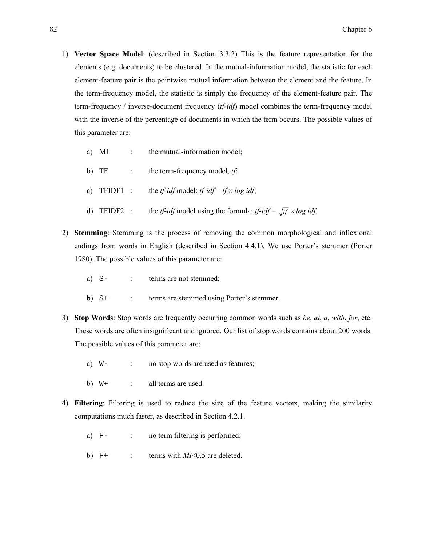- 1) **Vector Space Model**: (described in Section 3.3.2) This is the feature representation for the elements (e.g. documents) to be clustered. In the mutual-information model, the statistic for each element-feature pair is the pointwise mutual information between the element and the feature. In the term-frequency model, the statistic is simply the frequency of the element-feature pair. The term-frequency / inverse-document frequency (*tf-idf*) model combines the term-frequency model with the inverse of the percentage of documents in which the term occurs. The possible values of this parameter are:
	- a) MI : the mutual-information model;
	- b) TF : the term-frequency model, *tf*;
	- c) TFIDF1 : the *tf-idf* model: *tf-idf* =  $t f \times log idf$ ;
	- d) TFIDF2 : the *tf-idf* model using the formula: *tf-idf* =  $\sqrt{tf} \times \log idf$ .
- 2) **Stemming**: Stemming is the process of removing the common morphological and inflexional endings from words in English (described in Section 4.4.1). We use Porter's stemmer (Porter 1980). The possible values of this parameter are:
	- a) S- : terms are not stemmed;
	- b) S+ : terms are stemmed using Porter's stemmer.
- 3) **Stop Words**: Stop words are frequently occurring common words such as *be*, *at*, *a*, *with*, *for*, etc. These words are often insignificant and ignored. Our list of stop words contains about 200 words. The possible values of this parameter are:
	- a)  $W$  : no stop words are used as features;
	- b)  $W^+$  : all terms are used.
- 4) **Filtering**: Filtering is used to reduce the size of the feature vectors, making the similarity computations much faster, as described in Section 4.2.1.
	- a) F- : no term filtering is performed;
	- b)  $F^+$  : terms with  $MI< 0.5$  are deleted.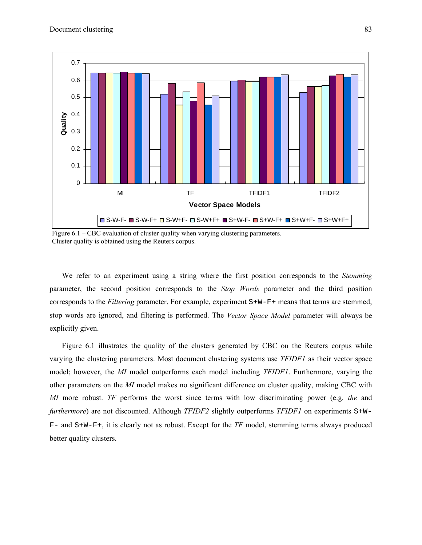

Figure 6.1 – CBC evaluation of cluster quality when varying clustering parameters. Cluster quality is obtained using the Reuters corpus.

We refer to an experiment using a string where the first position corresponds to the *Stemming*  parameter, the second position corresponds to the *Stop Words* parameter and the third position corresponds to the *Filtering* parameter. For example, experiment S+W-F+ means that terms are stemmed, stop words are ignored, and filtering is performed. The *Vector Space Model* parameter will always be explicitly given.

Figure 6.1 illustrates the quality of the clusters generated by CBC on the Reuters corpus while varying the clustering parameters. Most document clustering systems use *TFIDF1* as their vector space model; however, the *MI* model outperforms each model including *TFIDF1*. Furthermore, varying the other parameters on the *MI* model makes no significant difference on cluster quality, making CBC with *MI* more robust. *TF* performs the worst since terms with low discriminating power (e.g. *the* and *furthermore*) are not discounted. Although *TFIDF2* slightly outperforms *TFIDF1* on experiments S+W-F- and S+W-F+, it is clearly not as robust. Except for the *TF* model, stemming terms always produced better quality clusters.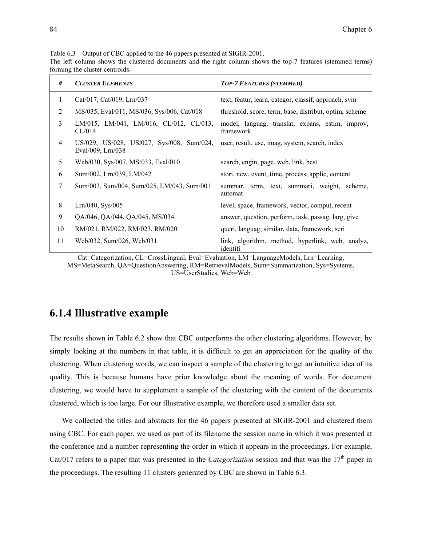Table 6.3 – Output of CBC applied to the 46 papers presented at SIGIR-2001.

The left column shows the clustered documents and the right column shows the top-7 features (stemmed terms) forming the cluster centroids.

| #  | <b>CLUSTER ELEMENTS</b>                                        | <b>TOP-7 FEATURES (STEMMED)</b>                               |
|----|----------------------------------------------------------------|---------------------------------------------------------------|
| 1  | Cat/017, Cat/019, Lrn/037                                      | text, featur, learn, categor, classif, approach, svm          |
| 2  | MS/035, Eval/011, MS/036, Sys/006, Cat/018                     | threshold, score, term, base, distribut, optim, scheme        |
| 3  | LM/015, LM/041, LM/016, CL/012, CL/013,<br>CL/014              | model, languag, translat, expans, estim, improv,<br>framework |
| 4  | US/029, US/028, US/027, Sys/008, Sum/024,<br>Eval/009, Lrn/038 | user, result, use, imag, system, search, index                |
| 5  | Web/030, Sys/007, MS/033, Eval/010                             | search, engin, page, web, link, best                          |
| 6  | Sum/002, Lrn/039, LM/042                                       | stori, new, event, time, process, applic, content             |
| 7  | Sum/003, Sum/004, Sum/025, LM/043, Sum/001                     | summar, term, text, summari, weight, scheme,<br>automat       |
| 8  | Lrn/040, Sys/005                                               | level, space, framework, vector, comput, recent               |
| 9  | QA/046, QA/044, QA/045, MS/034                                 | answer, question, perform, task, passag, larg, give           |
| 10 | RM/021, RM/022, RM/023, RM/020                                 | queri, languag, similar, data, framework, seri                |
| 11 | Web/032, Sum/026, Web/031                                      | link, algorithm, method, hyperlink, web, analyz,<br>identifi  |

Cat=Categorization, CL=CrossLingual, Eval=Evaluation, LM=LanguageModels, Lrn=Learning, MS=MetaSearch, QA=QuestionAnswering, RM=RetrievalModels, Sum=Summarization, Sys=Systems, US=UserStudies, Web=Web

#### **6.1.4 Illustrative example**

The results shown in Table 6.2 show that CBC outperforms the other clustering algorithms. However, by simply looking at the numbers in that table, it is difficult to get an appreciation for the quality of the clustering. When clustering words, we can inspect a sample of the clustering to get an intuitive idea of its quality. This is because humans have prior knowledge about the meaning of words. For document clustering, we would have to supplement a sample of the clustering with the content of the documents clustered, which is too large. For our illustrative example, we therefore used a smaller data set.

We collected the titles and abstracts for the 46 papers presented at SIGIR-2001 and clustered them using CBC. For each paper, we used as part of its filename the session name in which it was presented at the conference and a number representing the order in which it appears in the proceedings. For example, Cat/017 refers to a paper that was presented in the *Categorization* session and that was the 17<sup>th</sup> paper in the proceedings. The resulting 11 clusters generated by CBC are shown in Table 6.3.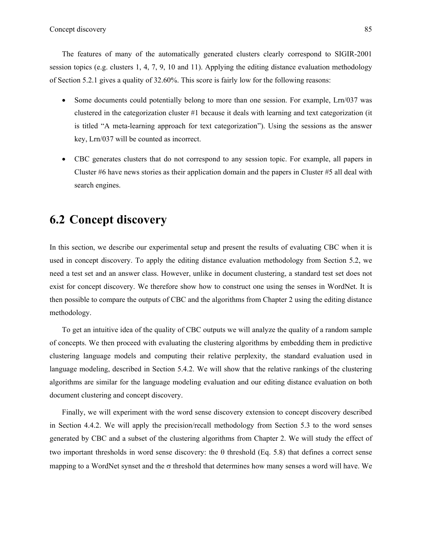The features of many of the automatically generated clusters clearly correspond to SIGIR-2001 session topics (e.g. clusters 1, 4, 7, 9, 10 and 11). Applying the editing distance evaluation methodology of Section 5.2.1 gives a quality of 32.60%. This score is fairly low for the following reasons:

- Some documents could potentially belong to more than one session. For example, Lrn/037 was clustered in the categorization cluster #1 because it deals with learning and text categorization (it is titled "A meta-learning approach for text categorization"). Using the sessions as the answer key, Lrn/037 will be counted as incorrect.
- CBC generates clusters that do not correspond to any session topic. For example, all papers in Cluster #6 have news stories as their application domain and the papers in Cluster #5 all deal with search engines.

# **6.2 Concept discovery**

In this section, we describe our experimental setup and present the results of evaluating CBC when it is used in concept discovery. To apply the editing distance evaluation methodology from Section 5.2, we need a test set and an answer class. However, unlike in document clustering, a standard test set does not exist for concept discovery. We therefore show how to construct one using the senses in WordNet. It is then possible to compare the outputs of CBC and the algorithms from Chapter 2 using the editing distance methodology.

To get an intuitive idea of the quality of CBC outputs we will analyze the quality of a random sample of concepts. We then proceed with evaluating the clustering algorithms by embedding them in predictive clustering language models and computing their relative perplexity, the standard evaluation used in language modeling, described in Section 5.4.2. We will show that the relative rankings of the clustering algorithms are similar for the language modeling evaluation and our editing distance evaluation on both document clustering and concept discovery.

Finally, we will experiment with the word sense discovery extension to concept discovery described in Section 4.4.2. We will apply the precision/recall methodology from Section 5.3 to the word senses generated by CBC and a subset of the clustering algorithms from Chapter 2. We will study the effect of two important thresholds in word sense discovery: the  $\theta$  threshold (Eq. 5.8) that defines a correct sense mapping to a WordNet synset and the  $\sigma$  threshold that determines how many senses a word will have. We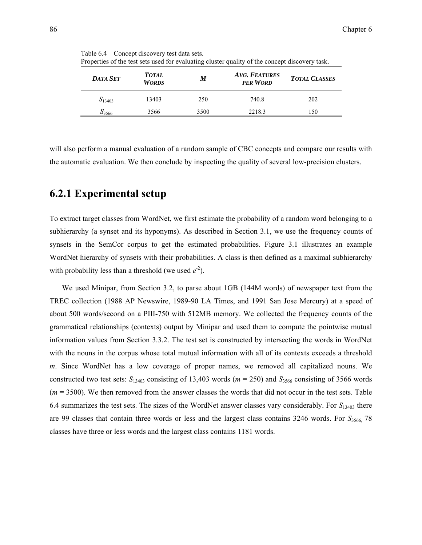| <b>DATA SET</b> | <b>TOTAL</b><br><b>WORDS</b> | M    | $\ldots$ , $\ldots$ , $\ldots$ , $\ldots$ , $\ldots$ , $\ldots$ , $\ldots$ , $\ldots$ , $\ldots$ , $\ldots$ , $\ldots$ , $\ldots$ , $\ldots$ , $\ldots$<br><b>AVG. FEATURES</b><br><b>PER WORD</b> | <b>TOTAL CLASSES</b> |
|-----------------|------------------------------|------|----------------------------------------------------------------------------------------------------------------------------------------------------------------------------------------------------|----------------------|
| $S_{13403}$     | 13403                        | 250  | 740.8                                                                                                                                                                                              | 202                  |
| 33566           | 3566                         | 3500 | 2218.3                                                                                                                                                                                             | 150                  |

Table 6.4 – Concept discovery test data sets. Properties of the test sets used for evaluating cluster quality of the concept discovery task.

will also perform a manual evaluation of a random sample of CBC concepts and compare our results with the automatic evaluation. We then conclude by inspecting the quality of several low-precision clusters.

#### **6.2.1 Experimental setup**

To extract target classes from WordNet, we first estimate the probability of a random word belonging to a subhierarchy (a synset and its hyponyms). As described in Section 3.1, we use the frequency counts of synsets in the SemCor corpus to get the estimated probabilities. Figure 3.1 illustrates an example WordNet hierarchy of synsets with their probabilities. A class is then defined as a maximal subhierarchy with probability less than a threshold (we used  $e^{-2}$ ).

We used Minipar, from Section 3.2, to parse about 1GB (144M words) of newspaper text from the TREC collection (1988 AP Newswire, 1989-90 LA Times, and 1991 San Jose Mercury) at a speed of about 500 words/second on a PIII-750 with 512MB memory. We collected the frequency counts of the grammatical relationships (contexts) output by Minipar and used them to compute the pointwise mutual information values from Section 3.3.2. The test set is constructed by intersecting the words in WordNet with the nouns in the corpus whose total mutual information with all of its contexts exceeds a threshold *m*. Since WordNet has a low coverage of proper names, we removed all capitalized nouns. We constructed two test sets:  $S_{13403}$  consisting of 13,403 words ( $m = 250$ ) and  $S_{3566}$  consisting of 3566 words (*m* = 3500). We then removed from the answer classes the words that did not occur in the test sets. Table 6.4 summarizes the test sets. The sizes of the WordNet answer classes vary considerably. For *S*13403 there are 99 classes that contain three words or less and the largest class contains 3246 words. For  $S_{3566}$ , 78 classes have three or less words and the largest class contains 1181 words.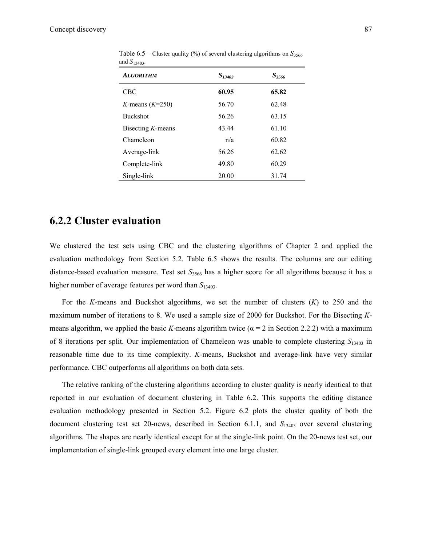| <b>ALGORITHM</b>     | S <sub>13403</sub> | $S_{3566}$ |
|----------------------|--------------------|------------|
| <b>CBC</b>           | 60.95              | 65.82      |
| K-means $(K=250)$    | 56.70              | 62.48      |
| <b>Buckshot</b>      | 56.26              | 63.15      |
| Bisecting $K$ -means | 43.44              | 61.10      |
| Chameleon            | n/a                | 60.82      |
| Average-link         | 56.26              | 62.62      |
| Complete-link        | 49.80              | 60.29      |
| Single-link          | 20.00              | 31.74      |

Table  $6.5$  – Cluster quality (%) of several clustering algorithms on  $S_{3566}$ and *S*13403.

#### **6.2.2 Cluster evaluation**

We clustered the test sets using CBC and the clustering algorithms of Chapter 2 and applied the evaluation methodology from Section 5.2. Table 6.5 shows the results. The columns are our editing distance-based evaluation measure. Test set *S*<sub>3566</sub> has a higher score for all algorithms because it has a higher number of average features per word than *S*13403.

For the *K*-means and Buckshot algorithms, we set the number of clusters (*K*) to 250 and the maximum number of iterations to 8. We used a sample size of 2000 for Buckshot. For the Bisecting *K*means algorithm, we applied the basic *K*-means algorithm twice  $(\alpha = 2 \text{ in Section 2.2.2})$  with a maximum of 8 iterations per split. Our implementation of Chameleon was unable to complete clustering *S*13403 in reasonable time due to its time complexity. *K*-means, Buckshot and average-link have very similar performance. CBC outperforms all algorithms on both data sets.

The relative ranking of the clustering algorithms according to cluster quality is nearly identical to that reported in our evaluation of document clustering in Table 6.2. This supports the editing distance evaluation methodology presented in Section 5.2. Figure 6.2 plots the cluster quality of both the document clustering test set 20-news, described in Section 6.1.1, and *S*13403 over several clustering algorithms. The shapes are nearly identical except for at the single-link point. On the 20-news test set, our implementation of single-link grouped every element into one large cluster.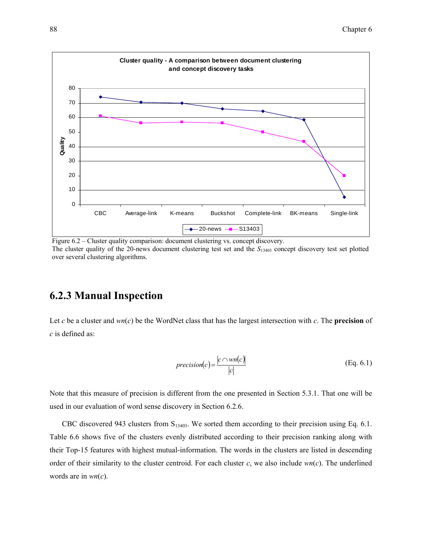

Figure 6.2 – Cluster quality comparison: document clustering vs. concept discovery. The cluster quality of the 20-news document clustering test set and the  $S<sub>13403</sub>$  concept discovery test set plotted over several clustering algorithms.

## **6.2.3 Manual Inspection**

Let *c* be a cluster and *wn*(*c*) be the WordNet class that has the largest intersection with *c*. The **precision** of *c* is defined as:

$$
precision(c) = \frac{|c \cap wn(c)|}{|c|} \tag{Eq. 6.1}
$$

Note that this measure of precision is different from the one presented in Section 5.3.1. That one will be used in our evaluation of word sense discovery in Section 6.2.6.

CBC discovered 943 clusters from  $S<sub>13403</sub>$ . We sorted them according to their precision using Eq. 6.1. Table 6.6 shows five of the clusters evenly distributed according to their precision ranking along with their Top-15 features with highest mutual-information. The words in the clusters are listed in descending order of their similarity to the cluster centroid. For each cluster *c*, we also include *wn*(*c*). The underlined words are in *wn*(*c*).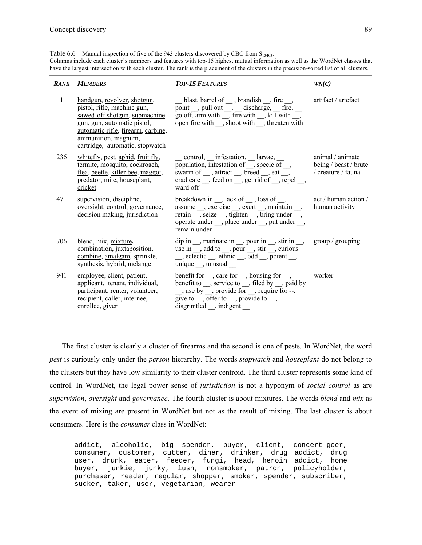Table  $6.6$  – Manual inspection of five of the 943 clusters discovered by CBC from  $S<sub>13403</sub>$ .

Columns include each cluster's members and features with top-15 highest mutual information as well as the WordNet classes that have the largest intersection with each cluster. The rank is the placement of the clusters in the precision-sorted list of all clusters.

|     | <b>RANK MEMBERS</b>                                                                                                                                                                                                        | <b>TOP-15 FEATURES</b>                                                                                                                                                                                                                                                                                                 | WN(C)                                                           |
|-----|----------------------------------------------------------------------------------------------------------------------------------------------------------------------------------------------------------------------------|------------------------------------------------------------------------------------------------------------------------------------------------------------------------------------------------------------------------------------------------------------------------------------------------------------------------|-----------------------------------------------------------------|
| 1   | handgun, revolver, shotgun,<br>pistol, rifle, machine gun,<br>sawed-off shotgun, submachine<br>gun, gun, automatic pistol,<br>automatic rifle, firearm, carbine,<br>ammunition, magnum,<br>cartridge, automatic, stopwatch | blast, barrel of _, brandish _, fire _,<br>point $\_,$ pull out $\_,$ $\_$ discharge, $\_$ fire, $\_$<br>go off, arm with $\_,$ fire with $\_,$ kill with $\_,$<br>open fire with __, shoot with __, threaten with                                                                                                     | artifact / artefact                                             |
| 236 | whitefly, pest, aphid, fruit fly,<br>termite, mosquito, cockroach,<br>flea, beetle, killer bee, maggot,<br>predator, mite, houseplant,<br>cricket                                                                          | control, infestation, larvae,<br>population, infestation of $\overline{\phantom{a}}$ , specie of $\overline{\phantom{a}}$ ,<br>swarm of __, attract __, breed __, eat __,<br>eradicate __, feed on __, get rid of __, repel __,<br>ward off                                                                            | animal / animate<br>being / beast / brute<br>/ creature / fauna |
| 471 | supervision, discipline,<br>oversight, control, governance,<br>decision making, jurisdiction                                                                                                                               | breakdown in $\_,$ lack of $\_,$ loss of $\_,$<br>assume __, exercise __, exert __, maintain __,<br>retain __, seize __, tighten __, bring under __,<br>operate under __, place under __, put under __,<br>remain under                                                                                                | act / human action /<br>human activity                          |
| 706 | blend, mix, mixture,<br>combination, juxtaposition,<br>combine, amalgam, sprinkle,<br>synthesis, hybrid, melange                                                                                                           | $\phi$ dip in __, marinate in __, pour in __, stir in __, group / grouping<br>use in $\_,$ add to $\_,$ pour $\_,$ stir $\_,$ curious<br>$\_,$ eclectic $\_,$ ethnic $\_,$ odd $\_,$ potent $\_,$<br>unique, unusual                                                                                                   |                                                                 |
| 941 | employee, client, patient,<br>applicant, tenant, individual,<br>participant, renter, volunteer,<br>recipient, caller, internee,<br>enrollee, giver                                                                         | benefit for $\_,$ care for $\_,$ housing for $\_,$<br>benefit to $\_,$ service to $\_,$ filed by $\_,$ paid by<br>$\frac{1}{\sqrt{2}}$ , use by $\frac{1}{\sqrt{2}}$ , provide for $\frac{1}{\sqrt{2}}$ , require for $\frac{1}{\sqrt{2}}$ .<br>give to $\_,$ offer to $\_,$ provide to $\_,$<br>disgruntled, indigent | worker                                                          |

The first cluster is clearly a cluster of firearms and the second is one of pests. In WordNet, the word *pest* is curiously only under the *person* hierarchy. The words *stopwatch* and *houseplant* do not belong to the clusters but they have low similarity to their cluster centroid. The third cluster represents some kind of control. In WordNet, the legal power sense of *jurisdiction* is not a hyponym of *social control* as are *supervision*, *oversight* and *governance*. The fourth cluster is about mixtures. The words *blend* and *mix* as the event of mixing are present in WordNet but not as the result of mixing. The last cluster is about consumers. Here is the *consumer* class in WordNet:

addict, alcoholic, big spender, buyer, client, concert-goer, consumer, customer, cutter, diner, drinker, drug addict, drug user, drunk, eater, feeder, fungi, head, heroin addict, home buyer, junkie, junky, lush, nonsmoker, patron, policyholder, purchaser, reader, regular, shopper, smoker, spender, subscriber, sucker, taker, user, vegetarian, wearer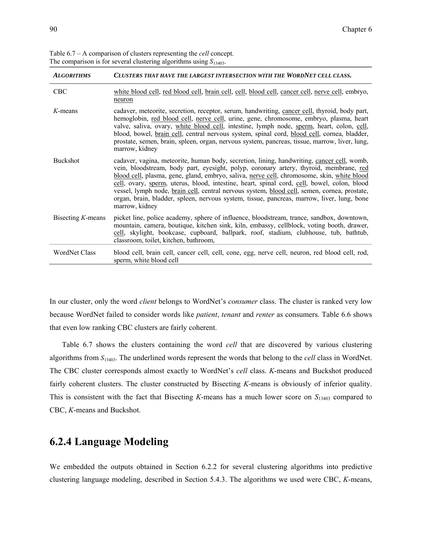| <b>ALGORITHMS</b>    | CLUSTERS THAT HAVE THE LARGEST INTERSECTION WITH THE WORDNET CELL CLASS.                                                                                                                                                                                                                                                                                                                                                                                                                                                                                                                          |
|----------------------|---------------------------------------------------------------------------------------------------------------------------------------------------------------------------------------------------------------------------------------------------------------------------------------------------------------------------------------------------------------------------------------------------------------------------------------------------------------------------------------------------------------------------------------------------------------------------------------------------|
| <b>CBC</b>           | white blood cell, red blood cell, brain cell, cell, blood cell, cancer cell, nerve cell, embryo,<br>neuron                                                                                                                                                                                                                                                                                                                                                                                                                                                                                        |
| $K$ -means           | cadaver, meteorite, secretion, receptor, serum, handwriting, cancer cell, thyroid, body part,<br>hemoglobin, red blood cell, nerve cell, urine, gene, chromosome, embryo, plasma, heart<br>valve, saliva, ovary, white blood cell, intestine, lymph node, sperm, heart, colon, cell,<br>blood, bowel, brain cell, central nervous system, spinal cord, blood cell, cornea, bladder,<br>prostate, semen, brain, spleen, organ, nervous system, pancreas, tissue, marrow, liver, lung,<br>marrow, kidney                                                                                            |
| Buckshot             | cadaver, vagina, meteorite, human body, secretion, lining, handwriting, cancer cell, womb,<br>vein, bloodstream, body part, eyesight, polyp, coronary artery, thyroid, membrane, red<br>blood cell, plasma, gene, gland, embryo, saliva, nerve cell, chromosome, skin, white blood<br>cell, ovary, sperm, uterus, blood, intestine, heart, spinal cord, cell, bowel, colon, blood<br>vessel, lymph node, brain cell, central nervous system, blood cell, semen, cornea, prostate,<br>organ, brain, bladder, spleen, nervous system, tissue, pancreas, marrow, liver, lung, bone<br>marrow, kidney |
| Bisecting $K$ -means | picket line, police academy, sphere of influence, bloodstream, trance, sandbox, downtown,<br>mountain, camera, boutique, kitchen sink, kiln, embassy, cellblock, voting booth, drawer,<br>cell, skylight, bookcase, cupboard, ballpark, roof, stadium, clubhouse, tub, bathtub,<br>classroom, toilet, kitchen, bathroom,                                                                                                                                                                                                                                                                          |
| <b>WordNet Class</b> | blood cell, brain cell, cancer cell, cell, cone, egg, nerve cell, neuron, red blood cell, rod,<br>sperm, white blood cell                                                                                                                                                                                                                                                                                                                                                                                                                                                                         |

Table 6.7 – A comparison of clusters representing the *cell* concept. The comparison is for several clustering algorithms using  $S_{13403}$ .

In our cluster, only the word *client* belongs to WordNet's *consumer* class. The cluster is ranked very low because WordNet failed to consider words like *patient*, *tenant* and *renter* as consumers. Table 6.6 shows that even low ranking CBC clusters are fairly coherent.

Table 6.7 shows the clusters containing the word *cell* that are discovered by various clustering algorithms from *S*13403. The underlined words represent the words that belong to the *cell* class in WordNet. The CBC cluster corresponds almost exactly to WordNet's *cell* class. *K*-means and Buckshot produced fairly coherent clusters. The cluster constructed by Bisecting *K*-means is obviously of inferior quality. This is consistent with the fact that Bisecting *K*-means has a much lower score on *S*13403 compared to CBC, *K*-means and Buckshot.

#### **6.2.4 Language Modeling**

We embedded the outputs obtained in Section 6.2.2 for several clustering algorithms into predictive clustering language modeling, described in Section 5.4.3. The algorithms we used were CBC, *K*-means,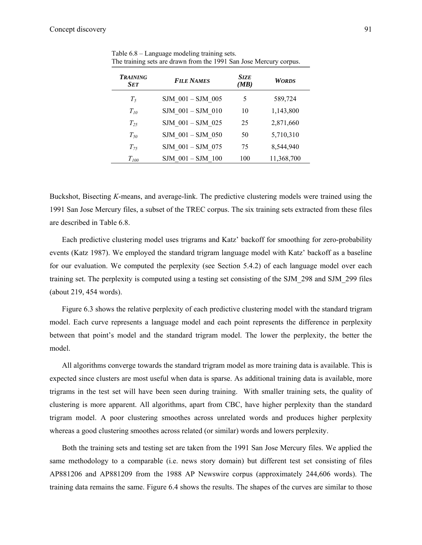| <b>TRAINING</b><br><b>SET</b> | <b>FILE NAMES</b>    | <b>SIZE</b><br>(MB) | <b>WORDS</b> |
|-------------------------------|----------------------|---------------------|--------------|
| $T_5$                         | SJM 001 - SJM 005    | 5                   | 589,724      |
| $T_{10}$                      | SJM 001 - SJM 010    | 10                  | 1,143,800    |
| $T_{25}$                      | SJM 001 - SJM 025    | 25                  | 2,871,660    |
| $T_{50}$                      | SJM 001-SJM 050      | 50                  | 5,710,310    |
| $T_{75}$                      | SJM 001 - SJM 075    | 75                  | 8,544,940    |
| $T_{100}$                     | $SIM$ 001 $-SJM$ 100 | 100                 | 11,368,700   |

Table 6.8 – Language modeling training sets. The training sets are drawn from the 1991 San Jose Mercury corpus.

Buckshot, Bisecting *K*-means, and average-link. The predictive clustering models were trained using the 1991 San Jose Mercury files, a subset of the TREC corpus. The six training sets extracted from these files are described in Table 6.8.

Each predictive clustering model uses trigrams and Katz' backoff for smoothing for zero-probability events (Katz 1987). We employed the standard trigram language model with Katz' backoff as a baseline for our evaluation. We computed the perplexity (see Section 5.4.2) of each language model over each training set. The perplexity is computed using a testing set consisting of the SJM\_298 and SJM\_299 files (about 219, 454 words).

Figure 6.3 shows the relative perplexity of each predictive clustering model with the standard trigram model. Each curve represents a language model and each point represents the difference in perplexity between that point's model and the standard trigram model. The lower the perplexity, the better the model.

All algorithms converge towards the standard trigram model as more training data is available. This is expected since clusters are most useful when data is sparse. As additional training data is available, more trigrams in the test set will have been seen during training. With smaller training sets, the quality of clustering is more apparent. All algorithms, apart from CBC, have higher perplexity than the standard trigram model. A poor clustering smoothes across unrelated words and produces higher perplexity whereas a good clustering smoothes across related (or similar) words and lowers perplexity.

Both the training sets and testing set are taken from the 1991 San Jose Mercury files. We applied the same methodology to a comparable (i.e. news story domain) but different test set consisting of files AP881206 and AP881209 from the 1988 AP Newswire corpus (approximately 244,606 words). The training data remains the same. Figure 6.4 shows the results. The shapes of the curves are similar to those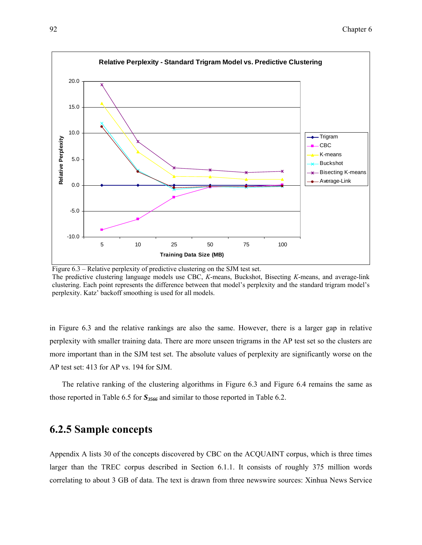

Figure 6.3 – Relative perplexity of predictive clustering on the SJM test set. The predictive clustering language models use CBC, *K*-means, Buckshot, Bisecting *K*-means, and average-link clustering. Each point represents the difference between that model's perplexity and the standard trigram model's perplexity. Katz' backoff smoothing is used for all models.

in Figure 6.3 and the relative rankings are also the same. However, there is a larger gap in relative perplexity with smaller training data. There are more unseen trigrams in the AP test set so the clusters are more important than in the SJM test set. The absolute values of perplexity are significantly worse on the AP test set: 413 for AP vs. 194 for SJM.

The relative ranking of the clustering algorithms in Figure 6.3 and Figure 6.4 remains the same as those reported in Table 6.5 for  $S_{3566}$  and similar to those reported in Table 6.2.

## **6.2.5 Sample concepts**

Appendix A lists 30 of the concepts discovered by CBC on the ACQUAINT corpus, which is three times larger than the TREC corpus described in Section 6.1.1. It consists of roughly 375 million words correlating to about 3 GB of data. The text is drawn from three newswire sources: Xinhua News Service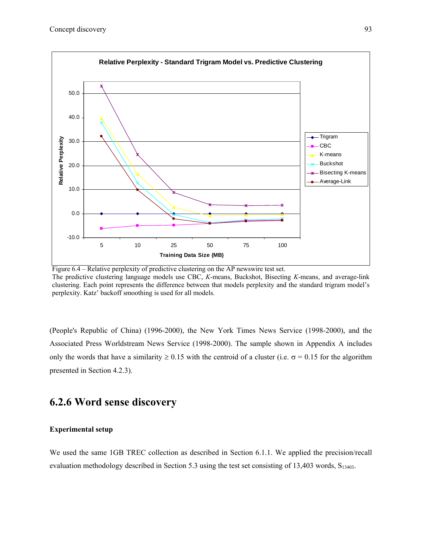

Figure 6.4 – Relative perplexity of predictive clustering on the AP newswire test set. The predictive clustering language models use CBC, *K*-means, Buckshot, Bisecting *K*-means, and average-link clustering. Each point represents the difference between that models perplexity and the standard trigram model's perplexity. Katz' backoff smoothing is used for all models.

(People's Republic of China) (1996-2000), the New York Times News Service (1998-2000), and the Associated Press Worldstream News Service (1998-2000). The sample shown in Appendix A includes only the words that have a similarity  $\geq 0.15$  with the centroid of a cluster (i.e.  $\sigma = 0.15$  for the algorithm presented in Section 4.2.3).

## **6.2.6 Word sense discovery**

## **Experimental setup**

We used the same 1GB TREC collection as described in Section 6.1.1. We applied the precision/recall evaluation methodology described in Section 5.3 using the test set consisting of 13,403 words,  $S_{13403}$ .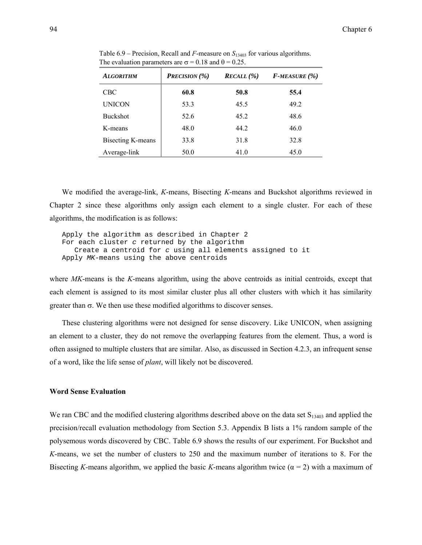| <b>ALGORITHM</b>  | <b>PRECISION</b> (%) | $RECALL$ (%) | $F$ -MEASURE $(\% )$ |
|-------------------|----------------------|--------------|----------------------|
| <b>CBC</b>        | 60.8                 | 50.8         | 55.4                 |
| <b>UNICON</b>     | 53.3                 | 45.5         | 49.2                 |
| <b>Buckshot</b>   | 52.6                 | 45.2         | 48.6                 |
| K-means           | 48.0                 | 44.2         | 46.0                 |
| Bisecting K-means | 33.8                 | 31.8         | 32.8                 |
| Average-link      | 50.0                 | 41.0         | 45.0                 |

Table  $6.9$  – Precision, Recall and *F*-measure on  $S<sub>13403</sub>$  for various algorithms. The evaluation parameters are  $\sigma = 0.18$  and  $\theta = 0.25$ .

We modified the average-link, *K*-means, Bisecting *K*-means and Buckshot algorithms reviewed in Chapter 2 since these algorithms only assign each element to a single cluster. For each of these algorithms, the modification is as follows:

Apply the algorithm as described in Chapter 2 For each cluster *c* returned by the algorithm Create a centroid for *c* using all elements assigned to it Apply *MK*-means using the above centroids

where *MK*-means is the *K*-means algorithm, using the above centroids as initial centroids, except that each element is assigned to its most similar cluster plus all other clusters with which it has similarity greater than  $\sigma$ . We then use these modified algorithms to discover senses.

These clustering algorithms were not designed for sense discovery. Like UNICON, when assigning an element to a cluster, they do not remove the overlapping features from the element. Thus, a word is often assigned to multiple clusters that are similar. Also, as discussed in Section 4.2.3, an infrequent sense of a word, like the life sense of *plant*, will likely not be discovered.

### **Word Sense Evaluation**

We ran CBC and the modified clustering algorithms described above on the data set  $S<sub>13403</sub>$  and applied the precision/recall evaluation methodology from Section 5.3. Appendix B lists a 1% random sample of the polysemous words discovered by CBC. Table 6.9 shows the results of our experiment. For Buckshot and *K*-means, we set the number of clusters to 250 and the maximum number of iterations to 8. For the Bisecting *K*-means algorithm, we applied the basic *K*-means algorithm twice ( $\alpha = 2$ ) with a maximum of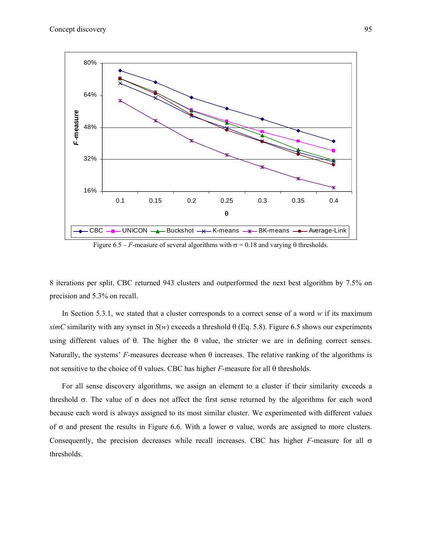

Figure 6.5 – *F*-measure of several algorithms with  $\sigma$  = 0.18 and varying  $\theta$  thresholds.

8 iterations per split. CBC returned 943 clusters and outperformed the next best algorithm by 7.5% on precision and 5.3% on recall.

In Section 5.3.1, we stated that a cluster corresponds to a correct sense of a word *w* if its maximum  $simC$  similarity with any synset in  $S(w)$  exceeds a threshold  $\theta$  (Eq. 5.8). Figure 6.5 shows our experiments using different values of θ. The higher the θ value, the stricter we are in defining correct senses. Naturally, the systems' *F*-measures decrease when  $\theta$  increases. The relative ranking of the algorithms is not sensitive to the choice of θ values. CBC has higher *F*-measure for all θ thresholds.

For all sense discovery algorithms, we assign an element to a cluster if their similarity exceeds a threshold  $\sigma$ . The value of  $\sigma$  does not affect the first sense returned by the algorithms for each word because each word is always assigned to its most similar cluster. We experimented with different values of  $\sigma$  and present the results in Figure 6.6. With a lower  $\sigma$  value, words are assigned to more clusters. Consequently, the precision decreases while recall increases. CBC has higher *F*-measure for all σ thresholds.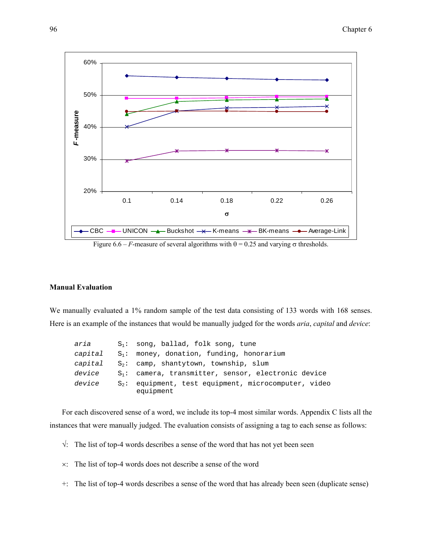

Figure 6.6 – *F*-measure of several algorithms with  $\theta$  = 0.25 and varying  $\sigma$  thresholds.

### **Manual Evaluation**

We manually evaluated a 1% random sample of the test data consisting of 133 words with 168 senses. Here is an example of the instances that would be manually judged for the words *aria*, *capital* and *device*:

| aria    | $S_1$ : song, ballad, folk song, tune                                |
|---------|----------------------------------------------------------------------|
|         | capital $S_1$ : money, donation, funding, honorarium                 |
| capital | $S_2$ : camp, shantytown, township, slum                             |
| device  | $S_1$ : camera, transmitter, sensor, electronic device               |
| device  | $S_2$ : equipment, test equipment, microcomputer, video<br>equipment |

For each discovered sense of a word, we include its top-4 most similar words. Appendix C lists all the instances that were manually judged. The evaluation consists of assigning a tag to each sense as follows:

- $\sqrt{ }$ : The list of top-4 words describes a sense of the word that has not yet been seen
- ×: The list of top-4 words does not describe a sense of the word
- +: The list of top-4 words describes a sense of the word that has already been seen (duplicate sense)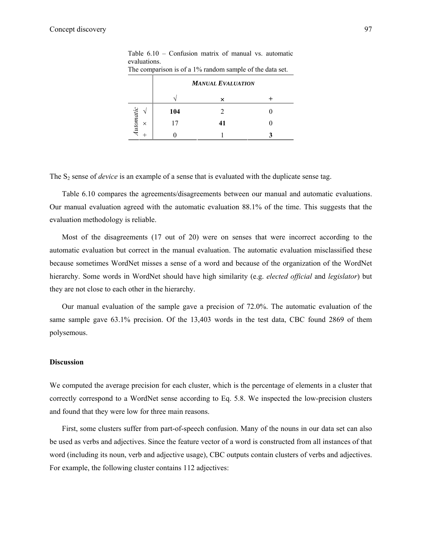|                              | <b>MANUAL EVALUATION</b> |    |  |
|------------------------------|--------------------------|----|--|
|                              |                          | ×  |  |
|                              | 104                      |    |  |
| <i>Automatic</i><br>$\times$ | 17                       | 41 |  |
|                              |                          |    |  |

Table 6.10 – Confusion matrix of manual vs. automatic evaluations. The comparison is of a 1% random sample of the data set.

The S<sub>2</sub> sense of *device* is an example of a sense that is evaluated with the duplicate sense tag.

Table 6.10 compares the agreements/disagreements between our manual and automatic evaluations. Our manual evaluation agreed with the automatic evaluation 88.1% of the time. This suggests that the evaluation methodology is reliable.

Most of the disagreements (17 out of 20) were on senses that were incorrect according to the automatic evaluation but correct in the manual evaluation. The automatic evaluation misclassified these because sometimes WordNet misses a sense of a word and because of the organization of the WordNet hierarchy. Some words in WordNet should have high similarity (e.g. *elected official* and *legislator*) but they are not close to each other in the hierarchy.

Our manual evaluation of the sample gave a precision of 72.0%. The automatic evaluation of the same sample gave 63.1% precision. Of the 13,403 words in the test data, CBC found 2869 of them polysemous.

### **Discussion**

We computed the average precision for each cluster, which is the percentage of elements in a cluster that correctly correspond to a WordNet sense according to Eq. 5.8. We inspected the low-precision clusters and found that they were low for three main reasons.

First, some clusters suffer from part-of-speech confusion. Many of the nouns in our data set can also be used as verbs and adjectives. Since the feature vector of a word is constructed from all instances of that word (including its noun, verb and adjective usage), CBC outputs contain clusters of verbs and adjectives. For example, the following cluster contains 112 adjectives: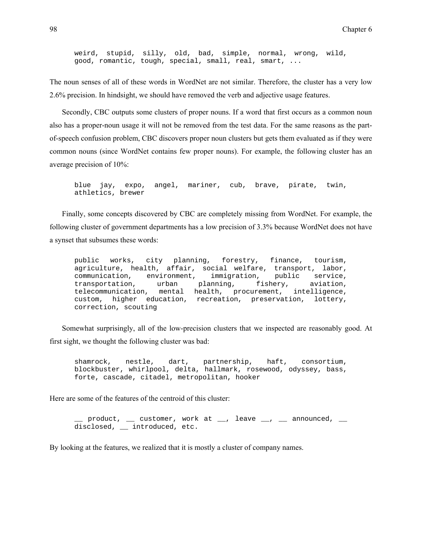weird, stupid, silly, old, bad, simple, normal, wrong, wild, good, romantic, tough, special, small, real, smart, ...

The noun senses of all of these words in WordNet are not similar. Therefore, the cluster has a very low 2.6% precision. In hindsight, we should have removed the verb and adjective usage features.

Secondly, CBC outputs some clusters of proper nouns. If a word that first occurs as a common noun also has a proper-noun usage it will not be removed from the test data. For the same reasons as the partof-speech confusion problem, CBC discovers proper noun clusters but gets them evaluated as if they were common nouns (since WordNet contains few proper nouns). For example, the following cluster has an average precision of 10%:

blue jay, expo, angel, mariner, cub, brave, pirate, twin, athletics, brewer

Finally, some concepts discovered by CBC are completely missing from WordNet. For example, the following cluster of government departments has a low precision of 3.3% because WordNet does not have a synset that subsumes these words:

public works, city planning, forestry, finance, tourism, agriculture, health, affair, social welfare, transport, labor, communication, environment, immigration, public service, transportation, urban planning, fishery, aviation, telecommunication, mental health, procurement, intelligence, custom, higher education, recreation, preservation, lottery, correction, scouting

Somewhat surprisingly, all of the low-precision clusters that we inspected are reasonably good. At first sight, we thought the following cluster was bad:

shamrock, nestle, dart, partnership, haft, consortium, blockbuster, whirlpool, delta, hallmark, rosewood, odyssey, bass, forte, cascade, citadel, metropolitan, hooker

Here are some of the features of the centroid of this cluster:

product,  $\equiv$  customer, work at  $\equiv$ , leave  $\equiv$ ,  $\equiv$  announced,  $\equiv$ disclosed, \_\_ introduced, etc.

By looking at the features, we realized that it is mostly a cluster of company names.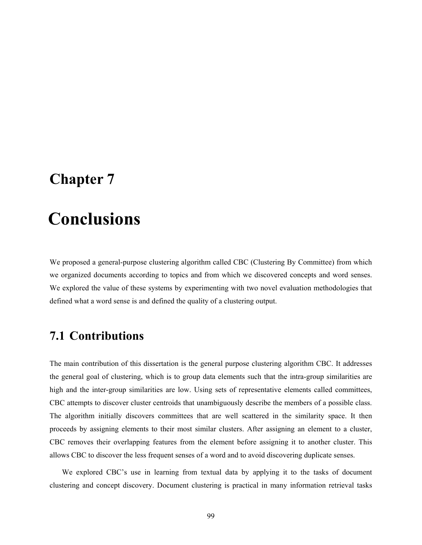# **Chapter 7**

# 7 **Conclusions**

We proposed a general-purpose clustering algorithm called CBC (Clustering By Committee) from which we organized documents according to topics and from which we discovered concepts and word senses. We explored the value of these systems by experimenting with two novel evaluation methodologies that defined what a word sense is and defined the quality of a clustering output.

# **7.1 Contributions**

The main contribution of this dissertation is the general purpose clustering algorithm CBC. It addresses the general goal of clustering, which is to group data elements such that the intra-group similarities are high and the inter-group similarities are low. Using sets of representative elements called committees, CBC attempts to discover cluster centroids that unambiguously describe the members of a possible class. The algorithm initially discovers committees that are well scattered in the similarity space. It then proceeds by assigning elements to their most similar clusters. After assigning an element to a cluster, CBC removes their overlapping features from the element before assigning it to another cluster. This allows CBC to discover the less frequent senses of a word and to avoid discovering duplicate senses.

We explored CBC's use in learning from textual data by applying it to the tasks of document clustering and concept discovery. Document clustering is practical in many information retrieval tasks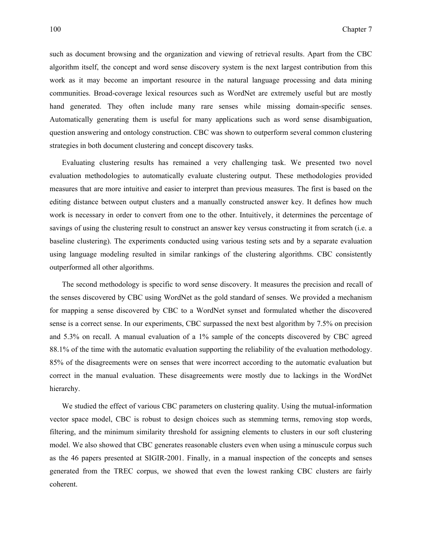such as document browsing and the organization and viewing of retrieval results. Apart from the CBC algorithm itself, the concept and word sense discovery system is the next largest contribution from this work as it may become an important resource in the natural language processing and data mining communities. Broad-coverage lexical resources such as WordNet are extremely useful but are mostly hand generated. They often include many rare senses while missing domain-specific senses. Automatically generating them is useful for many applications such as word sense disambiguation, question answering and ontology construction. CBC was shown to outperform several common clustering strategies in both document clustering and concept discovery tasks.

Evaluating clustering results has remained a very challenging task. We presented two novel evaluation methodologies to automatically evaluate clustering output. These methodologies provided measures that are more intuitive and easier to interpret than previous measures. The first is based on the editing distance between output clusters and a manually constructed answer key. It defines how much work is necessary in order to convert from one to the other. Intuitively, it determines the percentage of savings of using the clustering result to construct an answer key versus constructing it from scratch (i.e. a baseline clustering). The experiments conducted using various testing sets and by a separate evaluation using language modeling resulted in similar rankings of the clustering algorithms. CBC consistently outperformed all other algorithms.

The second methodology is specific to word sense discovery. It measures the precision and recall of the senses discovered by CBC using WordNet as the gold standard of senses. We provided a mechanism for mapping a sense discovered by CBC to a WordNet synset and formulated whether the discovered sense is a correct sense. In our experiments, CBC surpassed the next best algorithm by 7.5% on precision and 5.3% on recall. A manual evaluation of a 1% sample of the concepts discovered by CBC agreed 88.1% of the time with the automatic evaluation supporting the reliability of the evaluation methodology. 85% of the disagreements were on senses that were incorrect according to the automatic evaluation but correct in the manual evaluation. These disagreements were mostly due to lackings in the WordNet hierarchy.

We studied the effect of various CBC parameters on clustering quality. Using the mutual-information vector space model, CBC is robust to design choices such as stemming terms, removing stop words, filtering, and the minimum similarity threshold for assigning elements to clusters in our soft clustering model. We also showed that CBC generates reasonable clusters even when using a minuscule corpus such as the 46 papers presented at SIGIR-2001. Finally, in a manual inspection of the concepts and senses generated from the TREC corpus, we showed that even the lowest ranking CBC clusters are fairly coherent.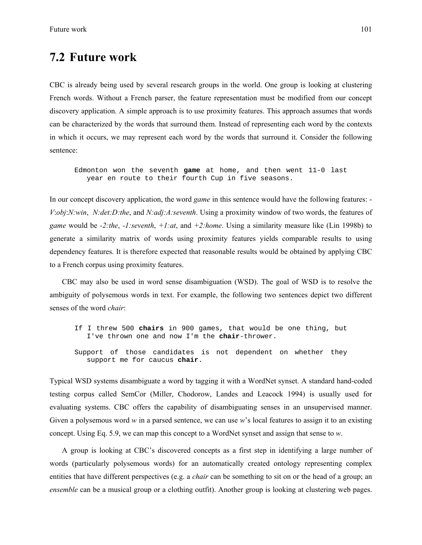# **7.2 Future work**

CBC is already being used by several research groups in the world. One group is looking at clustering French words. Without a French parser, the feature representation must be modified from our concept discovery application. A simple approach is to use proximity features. This approach assumes that words can be characterized by the words that surround them. Instead of representing each word by the contexts in which it occurs, we may represent each word by the words that surround it. Consider the following sentence:

Edmonton won the seventh **game** at home, and then went 11-0 last year en route to their fourth Cup in five seasons.

In our concept discovery application, the word *game* in this sentence would have the following features: - *V*:*obj*:*N:win*, *N:det:D:the*, and *N:adj:A:seventh*. Using a proximity window of two words, the features of *game* would be *-2:the*, *-1:seventh*, *+1:at*, and *+2:home*. Using a similarity measure like (Lin 1998b) to generate a similarity matrix of words using proximity features yields comparable results to using dependency features. It is therefore expected that reasonable results would be obtained by applying CBC to a French corpus using proximity features.

CBC may also be used in word sense disambiguation (WSD). The goal of WSD is to resolve the ambiguity of polysemous words in text. For example, the following two sentences depict two different senses of the word *chair*:

If I threw 500 **chairs** in 900 games, that would be one thing, but I've thrown one and now I'm the **chair**-thrower. Support of those candidates is not dependent on whether they support me for caucus **chair**.

Typical WSD systems disambiguate a word by tagging it with a WordNet synset. A standard hand-coded testing corpus called SemCor (Miller, Chodorow, Landes and Leacock 1994) is usually used for evaluating systems. CBC offers the capability of disambiguating senses in an unsupervised manner. Given a polysemous word *w* in a parsed sentence, we can use *w*'s local features to assign it to an existing concept. Using Eq. 5.9, we can map this concept to a WordNet synset and assign that sense to *w*.

A group is looking at CBC's discovered concepts as a first step in identifying a large number of words (particularly polysemous words) for an automatically created ontology representing complex entities that have different perspectives (e.g. a *chair* can be something to sit on or the head of a group; an *ensemble* can be a musical group or a clothing outfit). Another group is looking at clustering web pages.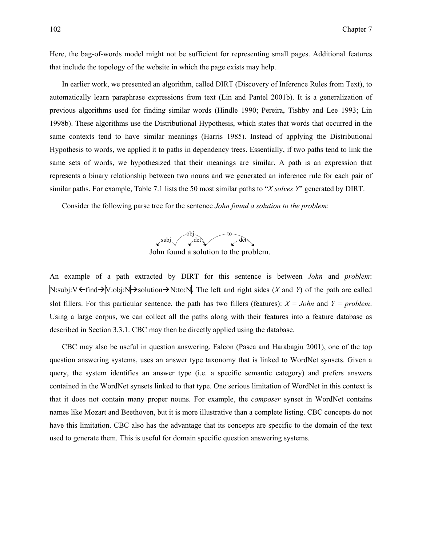Here, the bag-of-words model might not be sufficient for representing small pages. Additional features that include the topology of the website in which the page exists may help.

In earlier work, we presented an algorithm, called DIRT (Discovery of Inference Rules from Text), to automatically learn paraphrase expressions from text (Lin and Pantel 2001b). It is a generalization of previous algorithms used for finding similar words (Hindle 1990; Pereira, Tishby and Lee 1993; Lin 1998b). These algorithms use the Distributional Hypothesis, which states that words that occurred in the same contexts tend to have similar meanings (Harris 1985). Instead of applying the Distributional Hypothesis to words, we applied it to paths in dependency trees. Essentially, if two paths tend to link the same sets of words, we hypothesized that their meanings are similar. A path is an expression that represents a binary relationship between two nouns and we generated an inference rule for each pair of similar paths. For example, Table 7.1 lists the 50 most similar paths to "*X solves Y*" generated by DIRT.

Consider the following parse tree for the sentence *John found a solution to the problem*:



John found a solution to the problem.

An example of a path extracted by DIRT for this sentence is between *John* and *problem*:  $N:subj:V$  $\leftarrow$  find  $\rightarrow$   $\sqrt{V:obj:N}$   $\rightarrow$  solution  $\rightarrow$   $N:to:N$ . The left and right sides (*X* and *Y*) of the path are called slot fillers. For this particular sentence, the path has two fillers (features):  $X = John$  and  $Y = problem$ . Using a large corpus, we can collect all the paths along with their features into a feature database as described in Section 3.3.1. CBC may then be directly applied using the database.

CBC may also be useful in question answering. Falcon (Pasca and Harabagiu 2001), one of the top question answering systems, uses an answer type taxonomy that is linked to WordNet synsets. Given a query, the system identifies an answer type (i.e. a specific semantic category) and prefers answers contained in the WordNet synsets linked to that type. One serious limitation of WordNet in this context is that it does not contain many proper nouns. For example, the *composer* synset in WordNet contains names like Mozart and Beethoven, but it is more illustrative than a complete listing. CBC concepts do not have this limitation. CBC also has the advantage that its concepts are specific to the domain of the text used to generate them. This is useful for domain specific question answering systems.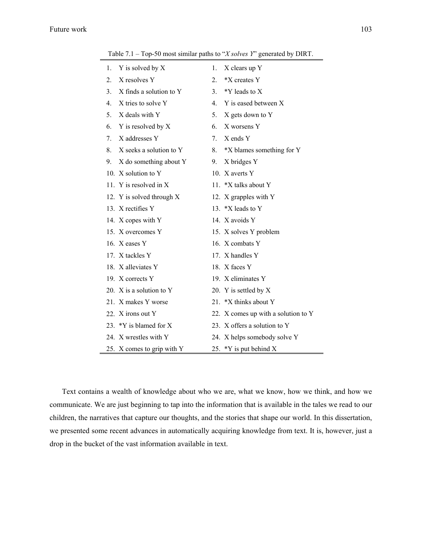|    | Table $7.1 - 1$ op-50 most similar paths to $X$ solves $Yo$ generated by DIRT. |                                |                                     |
|----|--------------------------------------------------------------------------------|--------------------------------|-------------------------------------|
| 1. | Y is solved by X                                                               | 1.                             | X clears up Y                       |
| 2. | X resolves Y                                                                   | $2_{-}$                        | *X creates Y                        |
| 3. | X finds a solution to Y                                                        | 3.                             | *Y leads to X                       |
| 4. | X tries to solve Y                                                             | $\mathbf{4}_{1}$               | Y is eased between X                |
| 5. | X deals with Y                                                                 | 5.                             | X gets down to Y                    |
| 6. | Y is resolved by X                                                             | 6.                             | X worsens Y                         |
| 7. | X addresses Y                                                                  | $7_{\scriptscriptstyle{\sim}}$ | X ends Y                            |
| 8. | X seeks a solution to Y                                                        | 8.                             | *X blames something for Y           |
| 9. | X do something about Y                                                         | 9.                             | X bridges Y                         |
|    | 10. X solution to Y                                                            |                                | 10. X averts Y                      |
|    | 11. Y is resolved in $X$                                                       |                                | 11. *X talks about Y                |
|    | 12. Y is solved through X                                                      |                                | 12. X grapples with Y               |
|    | 13. X rectifies Y                                                              |                                | 13. *X leads to Y                   |
|    | 14. X copes with Y                                                             |                                | 14. X avoids Y                      |
|    | 15. X overcomes Y                                                              |                                | 15. X solves Y problem              |
|    | 16. X eases Y                                                                  |                                | 16. X combats Y                     |
|    | 17. X tackles Y                                                                |                                | 17. X handles Y                     |
|    | 18. X alleviates Y                                                             |                                | 18. X faces Y                       |
|    | 19. X corrects Y                                                               |                                | 19. X eliminates Y                  |
|    | 20. X is a solution to Y                                                       |                                | 20. Y is settled by X               |
|    | 21. X makes Y worse                                                            |                                | 21. *X thinks about Y               |
|    | 22. X irons out Y                                                              |                                | 22. X comes up with a solution to Y |

Table 7.1 – Top-50 most similar paths to "*X solves Y*" generated by DIRT.

Text contains a wealth of knowledge about who we are, what we know, how we think, and how we communicate. We are just beginning to tap into the information that is available in the tales we read to our children, the narratives that capture our thoughts, and the stories that shape our world. In this dissertation, we presented some recent advances in automatically acquiring knowledge from text. It is, however, just a drop in the bucket of the vast information available in text.

23. \*Y is blamed for X 23. X offers a solution to Y 24. X wrestles with Y 24. X helps somebody solve Y

25. X comes to grip with Y 25. \*Y is put behind X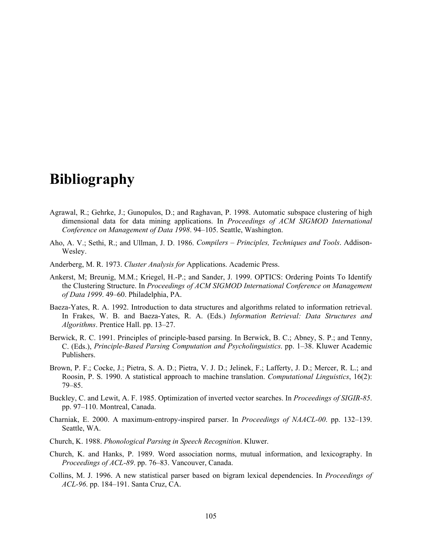# **Bibliography**

- Agrawal, R.; Gehrke, J.; Gunopulos, D.; and Raghavan, P. 1998. Automatic subspace clustering of high dimensional data for data mining applications. In *Proceedings of ACM SIGMOD International Conference on Management of Data 1998*. 94–105. Seattle, Washington.
- Aho, A. V.; Sethi, R.; and Ullman, J. D. 1986. *Compilers Principles, Techniques and Tools*. Addison-Wesley.
- Anderberg, M. R. 1973. *Cluster Analysis for* Applications. Academic Press.
- Ankerst, M; Breunig, M.M.; Kriegel, H.-P.; and Sander, J. 1999. OPTICS: Ordering Points To Identify the Clustering Structure. In *Proceedings of ACM SIGMOD International Conference on Management of Data 1999*. 49–60. Philadelphia, PA.
- Baeza-Yates, R. A. 1992. Introduction to data structures and algorithms related to information retrieval. In Frakes, W. B. and Baeza-Yates, R. A. (Eds.) *Information Retrieval: Data Structures and Algorithms*. Prentice Hall. pp. 13–27.
- Berwick, R. C. 1991. Principles of principle-based parsing. In Berwick, B. C.; Abney, S. P.; and Tenny, C. (Eds.), *Principle-Based Parsing Computation and Psycholinguistics*. pp. 1–38. Kluwer Academic Publishers.
- Brown, P. F.; Cocke, J.; Pietra, S. A. D.; Pietra, V. J. D.; Jelinek, F.; Lafferty, J. D.; Mercer, R. L.; and Roosin, P. S. 1990. A statistical approach to machine translation. *Computational Linguistics*, 16(2): 79–85.
- Buckley, C. and Lewit, A. F. 1985. Optimization of inverted vector searches. In *Proceedings of SIGIR-85*. pp. 97–110. Montreal, Canada.
- Charniak, E. 2000. A maximum-entropy-inspired parser. In *Proceedings of NAACL-00*. pp. 132–139. Seattle, WA.
- Church, K. 1988. *Phonological Parsing in Speech Recognition*. Kluwer.
- Church, K. and Hanks, P. 1989. Word association norms, mutual information, and lexicography. In *Proceedings of ACL-89*. pp. 76–83. Vancouver, Canada.
- Collins, M. J. 1996. A new statistical parser based on bigram lexical dependencies. In *Proceedings of ACL-96*. pp. 184–191. Santa Cruz, CA.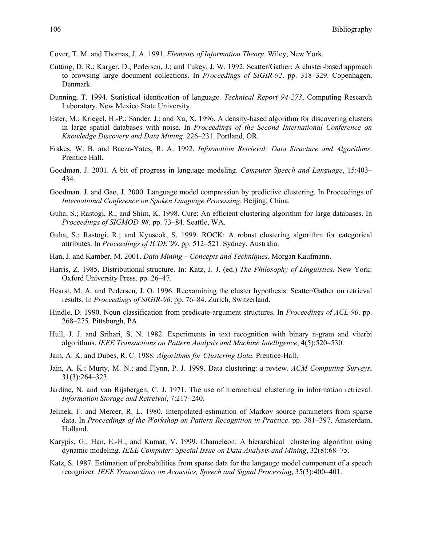- Cover, T. M. and Thomas, J. A. 1991. *Elements of Information Theory*. Wiley, New York.
- Cutting, D. R.; Karger, D.; Pedersen, J.; and Tukey, J. W. 1992. Scatter/Gather: A cluster-based approach to browsing large document collections. In *Proceedings of SIGIR-92*. pp. 318–329. Copenhagen, Denmark.
- Dunning, T. 1994. Statistical identication of language. *Technical Report 94-273*, Computing Research Laboratory, New Mexico State University.
- Ester, M.; Kriegel, H.-P.; Sander, J.; and Xu, X. 1996. A density-based algorithm for discovering clusters in large spatial databases with noise. In *Proceedings of the Second International Conference on Knowledge Discovery and Data Mining*. 226–231. Portland, OR.
- Frakes, W. B. and Baeza-Yates, R. A. 1992. *Information Retrieval: Data Structure and Algorithms*. Prentice Hall.
- Goodman. J. 2001. A bit of progress in language modeling. *Computer Speech and Language*, 15:403– 434.
- Goodman. J. and Gao, J. 2000. Language model compression by predictive clustering. In Proceedings of *International Conference on Spoken Language Processing*. Beijing, China.
- Guha, S.; Rastogi, R.; and Shim, K. 1998. Cure: An efficient clustering algorithm for large databases. In *Proceedings of SIGMOD-98*. pp. 73–84. Seattle, WA.
- Guha, S.; Rastogi, R.; and Kyuseok, S. 1999. ROCK: A robust clustering algorithm for categorical attributes. In *Proceedings of ICDE'99*. pp. 512–521. Sydney, Australia.
- Han, J. and Kamber, M. 2001. *Data Mining Concepts and Techniques*. Morgan Kaufmann.
- Harris, Z. 1985. Distributional structure. In: Katz, J. J. (ed.) *The Philosophy of Linguistics*. New York: Oxford University Press. pp. 26–47.
- Hearst, M. A. and Pedersen, J. O. 1996. Reexamining the cluster hypothesis: Scatter/Gather on retrieval results. In *Proceedings of SIGIR-96*. pp. 76–84. Zurich, Switzerland.
- Hindle, D. 1990. Noun classification from predicate-argument structures. In *Proceedings of ACL-90*. pp. 268–275. Pittsburgh, PA.
- Hull, J. J. and Srihari, S. N. 1982. Experiments in text recognition with binary n-gram and viterbi algorithms. *IEEE Transactions on Pattern Analysis and Machine Intelligence*, 4(5):520–530.
- Jain, A. K. and Dubes, R. C. 1988. *Algorithms for Clustering Data*. Prentice-Hall.
- Jain, A. K.; Murty, M. N.; and Flynn, P. J. 1999. Data clustering: a review. *ACM Computing Surveys*, 31(3):264–323.
- Jardine, N. and van Rijsbergen, C. J. 1971. The use of hierarchical clustering in information retrieval. *Information Storage and Retreival*, 7:217–240.
- Jelinek, F. and Mercer, R. L. 1980. Interpolated estimation of Markov source parameters from sparse data. In *Proceedings of the Workshop on Pattern Recognition in Practice*. pp. 381–397. Amsterdam, Holland.
- Karypis, G.; Han, E.-H.; and Kumar, V. 1999. Chameleon: A hierarchical clustering algorithm using dynamic modeling. *IEEE Computer: Special Issue on Data Analysis and Mining*, 32(8):68–75.
- Katz, S. 1987. Estimation of probabilities from sparse data for the langauge model component of a speech recognizer. *IEEE Transactions on Acoustics, Speech and Signal Processing*, 35(3):400–401.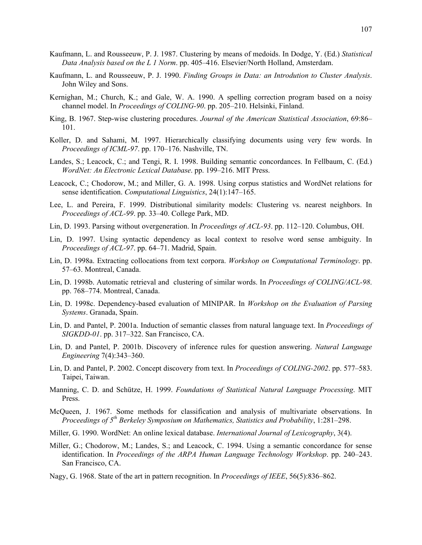- Kaufmann, L. and Rousseeuw, P. J. 1987. Clustering by means of medoids. In Dodge, Y. (Ed.) *Statistical Data Analysis based on the L 1 Norm*. pp. 405–416. Elsevier/North Holland, Amsterdam.
- Kaufmann, L. and Rousseeuw, P. J. 1990. *Finding Groups in Data: an Introdution to Cluster Analysis*. John Wiley and Sons.
- Kernighan, M.; Church, K.; and Gale, W. A. 1990. A spelling correction program based on a noisy channel model. In *Proceedings of COLING-90*. pp. 205–210. Helsinki, Finland.
- King, B. 1967. Step-wise clustering procedures. *Journal of the American Statistical Association*, 69:86– 101.
- Koller, D. and Sahami, M. 1997. Hierarchically classifying documents using very few words. In *Proceedings of ICML-97*. pp. 170–176. Nashville, TN.
- Landes, S.; Leacock, C.; and Tengi, R. I. 1998. Building semantic concordances. In Fellbaum, C. (Ed.) *WordNet: An Electronic Lexical Database*. pp. 199–216. MIT Press.
- Leacock, C.; Chodorow, M.; and Miller, G. A. 1998. Using corpus statistics and WordNet relations for sense identification. *Computational Linguistics*, 24(1):147–165.
- Lee, L. and Pereira, F. 1999. Distributional similarity models: Clustering vs. nearest neighbors. In *Proceedings of ACL-99*. pp. 33–40. College Park, MD.
- Lin, D. 1993. Parsing without overgeneration. In *Proceedings of ACL-93*. pp. 112–120. Columbus, OH.
- Lin, D. 1997. Using syntactic dependency as local context to resolve word sense ambiguity. In *Proceedings of ACL-97*. pp. 64–71. Madrid, Spain.
- Lin, D. 1998a. Extracting collocations from text corpora. *Workshop on Computational Terminology*. pp. 57–63. Montreal, Canada.
- Lin, D. 1998b. Automatic retrieval and clustering of similar words. In *Proceedings of COLING/ACL-98*. pp. 768–774. Montreal, Canada.
- Lin, D. 1998c. Dependency-based evaluation of MINIPAR. In *Workshop on the Evaluation of Parsing Systems*. Granada, Spain.
- Lin, D. and Pantel, P. 2001a. Induction of semantic classes from natural language text. In *Proceedings of SIGKDD-01*. pp. 317–322. San Francisco, CA.
- Lin, D. and Pantel, P. 2001b. Discovery of inference rules for question answering. *Natural Language Engineering* 7(4):343–360.
- Lin, D. and Pantel, P. 2002. Concept discovery from text. In *Proceedings of COLING-2002*. pp. 577–583. Taipei, Taiwan.
- Manning, C. D. and Schütze, H. 1999. *Foundations of Statistical Natural Language Processing*. MIT Press.
- McQueen, J. 1967. Some methods for classification and analysis of multivariate observations. In *Proceedings of 5th Berkeley Symposium on Mathematics, Statistics and Probability*, 1:281–298.
- Miller, G. 1990. WordNet: An online lexical database. *International Journal of Lexicography*, 3(4).
- Miller, G.; Chodorow, M.; Landes, S.; and Leacock, C. 1994. Using a semantic concordance for sense identification. In *Proceedings of the ARPA Human Language Technology Workshop*. pp. 240–243. San Francisco, CA.
- Nagy, G. 1968. State of the art in pattern recognition. In *Proceedings of IEEE*, 56(5):836–862.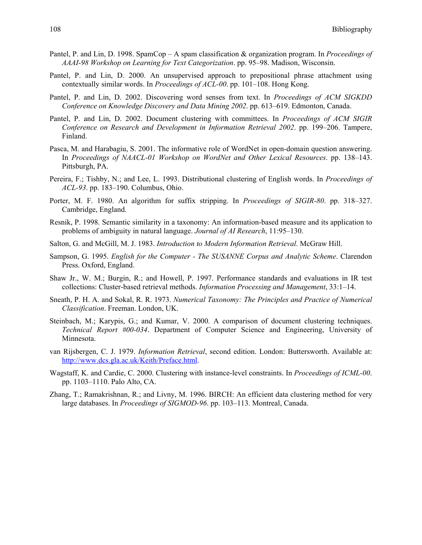- Pantel, P. and Lin, D. 1998. SpamCop A spam classification & organization program. In *Proceedings of AAAI-98 Workshop on Learning for Text Categorization*. pp. 95–98. Madison, Wisconsin.
- Pantel, P. and Lin, D. 2000. An unsupervised approach to prepositional phrase attachment using contextually similar words. In *Proceedings of ACL-00*. pp. 101–108. Hong Kong.
- Pantel, P. and Lin, D. 2002. Discovering word senses from text. In *Proceedings of ACM SIGKDD Conference on Knowledge Discovery and Data Mining 2002*. pp. 613–619. Edmonton, Canada.
- Pantel, P. and Lin, D. 2002. Document clustering with committees. In *Proceedings of ACM SIGIR Conference on Research and Development in Information Retrieval 2002*. pp. 199–206. Tampere, Finland.
- Pasca, M. and Harabagiu, S. 2001. The informative role of WordNet in open-domain question answering. In *Proceedings of NAACL-01 Workshop on WordNet and Other Lexical Resources*. pp. 138–143. Pittsburgh, PA.
- Pereira, F.; Tishby, N.; and Lee, L. 1993. Distributional clustering of English words. In *Proceedings of ACL-93*. pp. 183–190. Columbus, Ohio.
- Porter, M. F. 1980. An algorithm for suffix stripping. In *Proceedings of SIGIR-80*. pp. 318–327. Cambridge, England.
- Resnik, P. 1998. Semantic similarity in a taxonomy: An information-based measure and its application to problems of ambiguity in natural language. *Journal of AI Research*, 11:95–130.
- Salton, G. and McGill, M. J. 1983. *Introduction to Modern Information Retrieval*. McGraw Hill.
- Sampson, G. 1995. *English for the Computer The SUSANNE Corpus and Analytic Scheme*. Clarendon Press. Oxford, England.
- Shaw Jr., W. M.; Burgin, R.; and Howell, P. 1997. Performance standards and evaluations in IR test collections: Cluster-based retrieval methods. *Information Processing and Management*, 33:1–14.
- Sneath, P. H. A. and Sokal, R. R. 1973. *Numerical Taxonomy: The Principles and Practice of Numerical Classification*. Freeman. London, UK.
- Steinbach, M.; Karypis, G.; and Kumar, V. 2000. A comparison of document clustering techniques. *Technical Report #00-034*. Department of Computer Science and Engineering, University of Minnesota.
- van Rijsbergen, C. J. 1979. *Information Retrieval*, second edition. London: Buttersworth. Available at: http://www.dcs.gla.ac.uk/Keith/Preface.html.
- Wagstaff, K. and Cardie, C. 2000. Clustering with instance-level constraints. In *Proceedings of ICML-00*. pp. 1103–1110. Palo Alto, CA.
- Zhang, T.; Ramakrishnan, R.; and Livny, M. 1996. BIRCH: An efficient data clustering method for very large databases. In *Proceedings of SIGMOD-96*. pp. 103–113. Montreal, Canada.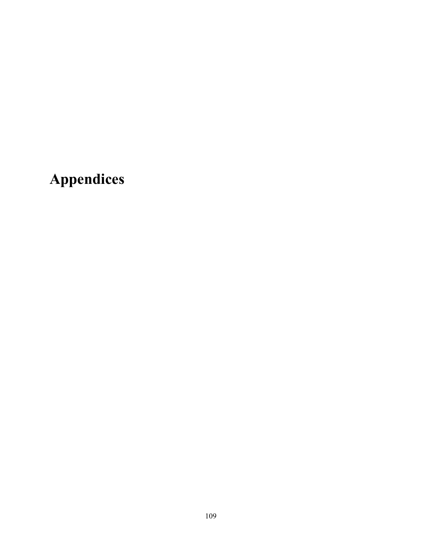**Appendices**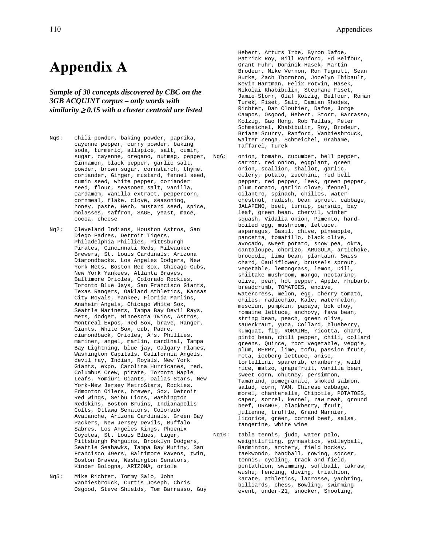# **Appendix A**

*Sample of 30 concepts discovered by CBC on the 3GB ACQUINT corpus – only words with similarity* ≥ *0.15 with a cluster centroid are listed* 

- Nq0: chili powder, baking powder, paprika, cayenne pepper, curry powder, baking soda, turmeric, allspice, salt, cumin, sugar, cayenne, oregano, nutmeg, pepper, Nq6: Cinnamon, black pepper, garlic salt, powder, brown sugar, cornstarch, thyme, coriander, Ginger, mustard, fennel seed, cumin seed, white pepper, coriander seed, flour, seasoned salt, vanilla, cardamom, vanilla extract, peppercorn, cornmeal, flake, clove, seasoning, honey, paste, Herb, mustard seed, spice, molasses, saffron, SAGE, yeast, mace, cocoa, cheese
- Nq2: Cleveland Indians, Houston Astros, San Diego Padres, Detroit Tigers, Philadelphia Phillies, Pittsburgh Pirates, Cincinnati Reds, Milwaukee Brewers, St. Louis Cardinals, Arizona Diamondbacks, Los Angeles Dodgers, New York Mets, Boston Red Sox, Chicago Cubs, New York Yankees, Atlanta Braves, Baltimore Orioles, Colorado Rockies, Toronto Blue Jays, San Francisco Giants, Texas Rangers, Oakland Athletics, Kansas City Royals, Yankee, Florida Marlins, Anaheim Angels, Chicago White Sox, Seattle Mariners, Tampa Bay Devil Rays, Mets, dodger, Minnesota Twins, Astros, Montreal Expos, Red Sox, brave, Ranger, Giants, White Sox, cub, Padre, diamondback, Orioles, A's, Phillies, mariner, angel, marlin, cardinal, Tampa Bay Lightning, blue jay, Calgary Flames, Washington Capitals, California Angels, devil ray, Indian, Royals, New York Giants, expo, Carolina Hurricanes, red, Columbus Crew, pirate, Toronto Maple Leafs, Yomiuri Giants, Dallas Stars, New York-New Jersey MetroStars, Rockies, Edmonton Oilers, brewer, Sox, Detroit Red Wings, Seibu Lions, Washington Redskins, Boston Bruins, Indianapolis Colts, Ottawa Senators, Colorado Avalanche, Arizona Cardinals, Green Bay Packers, New Jersey Devils, Buffalo Sabres, Los Angeles Kings, Phoenix Coyotes, St. Louis Blues, tiger, Pittsburgh Penguins, Brooklyn Dodgers, Seattle Seahawks, Tampa Bay Mutiny, San Francisco 49ers, Baltimore Ravens, twin, Boston Braves, Washington Senators, Kinder Bologna, ARIZONA, oriole
- Nq5: Mike Richter, Tommy Salo, John Vanbiesbrouck, Curtis Joseph, Chris Osgood, Steve Shields, Tom Barrasso, Guy

Hebert, Arturs Irbe, Byron Dafoe, Patrick Roy, Bill Ranford, Ed Belfour, Grant Fuhr, Dominik Hasek, Martin Brodeur, Mike Vernon, Ron Tugnutt, Sean Burke, Zach Thornton, Jocelyn Thibault, Kevin Hartman, Felix Potvin, Hasek, Nikolai Khabibulin, Stephane Fiset, Jamie Storr, Olaf Kolzig, Belfour, Roman Turek, Fiset, Salo, Damian Rhodes, Richter, Dan Cloutier, Dafoe, Jorge Campos, Osgood, Hebert, Storr, Barrasso, Kolzig, Gao Hong, Rob Tallas, Peter Schmeichel, Khabibulin, Roy, Brodeur, Briana Scurry, Ranford, Vanbiesbrouck, Walter Zenga, Schmeichel, Grahame, Taffarel, Turek

- onion, tomato, cucumber, bell pepper, carrot, red onion, eggplant, green onion, scallion, shallot, garlic, celery, potato, zucchini, red bell pepper, red pepper, leek, green pepper, plum tomato, garlic clove, fennel, cilantro, spinach, chilies, water chestnut, radish, bean sprout, cabbage, JALAPENO, beet, turnip, parsnip, bay leaf, green bean, chervil, winter squash, Vidalia onion, Pimento, hardboiled egg, mushroom, lettuce, asparagus, Basil, chive, pineapple, pancetta, tomatillo, black olive, avocado, sweet potato, snow pea, okra, cantaloupe, chorizo, ARUGULA, artichoke, broccoli, lima bean, plantain, Swiss chard, Cauliflower, brussels sprout, vegetable, lemongrass, lemon, Dill, shiitake mushroom, mango, nectarine, olive, pear, hot pepper, Apple, rhubarb, breadcrumb, TOMATOES, endive, watercress, melon, egg, cherry tomato, chiles, radicchio, Kale, watermelon, mesclun, pumpkin, papaya, bok choy, romaine lettuce, anchovy, fava bean, string bean, peach, green olive, sauerkraut, yuca, Collard, blueberry, kumquat, fig, ROMAINE, ricotta, chard, pinto bean, chili pepper, chili, collard greens, Quince, root vegetable, veggie, plum, BERRY, lime, tofu, passion fruit, Feta, iceberg lettuce, anise, tortellini, sparerib, cranberry, wild rice, matzo, grapefruit, vanilla bean, sweet corn, chutney, persimmon, Tamarind, pomegranate, smoked salmon, salad, corn, YAM, Chinese cabbage, morel, chanterelle, Chipotle, POTATOES, caper, sorrel, kernel, raw meat, ground beef, ORANGE, blackberry, fruit, julienne, truffle, Grand Marnier, licorice, green, corned beef, salsa, tangerine, white wine
- Nq10: table tennis, judo, water polo, weightlifting, gymnastics, volleyball, Badminton, archery, field hockey, taekwondo, handball, rowing, soccer, tennis, cycling, track and field, pentathlon, swimming, softball, takraw, wushu, fencing, diving, triathlon, karate, athletics, lacrosse, yachting, billiards, chess, Bowling, swimming event, under-21, snooker, Shooting,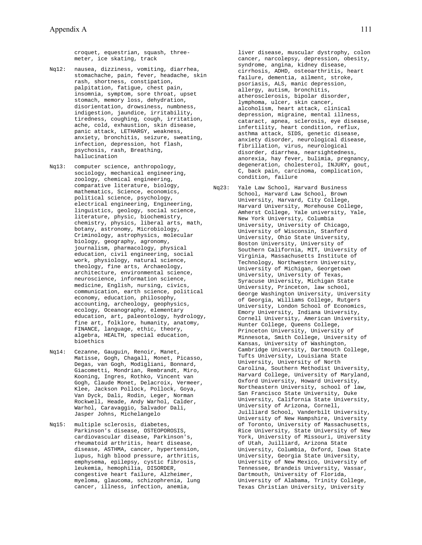croquet, equestrian, squash, threemeter, ice skating, track

- Nq12: nausea, dizziness, vomiting, diarrhea, stomachache, pain, fever, headache, skin rash, shortness, constipation, palpitation, fatigue, chest pain, insomnia, symptom, sore throat, upset stomach, memory loss, dehydration, disorientation, drowsiness, numbness, indigestion, jaundice, irritability, tiredness, coughing, cough, irritation, ache, cold, exhaustion, skin disease, panic attack, LETHARGY, weakness, anxiety, bronchitis, seizure, sweating, infection, depression, hot flash, psychosis, rash, Breathing, hallucination
- Nq13: computer science, anthropology, sociology, mechanical engineering, zoology, chemical engineering, comparative literature, biology, mathematics, Science, economics, political science, psychology, electrical engineering, Engineering, linguistics, geology, social science, literature, physic, biochemistry, chemistry, physics, liberal arts, math, botany, astronomy, Microbiology, Criminology, astrophysics, molecular biology, geography, agronomy, journalism, pharmacology, physical education, civil engineering, social work, physiology, natural science, theology, fine arts, Archaeology, architecture, environmental science, neuroscience, information science, medicine, English, nursing, civics, communication, earth science, political economy, education, philosophy, accounting, archeology, geophysics, ecology, Oceanography, elementary education, art, paleontology, hydrology, fine art, folklore, humanity, anatomy, FINANCE, language, ethic, theory, algebra, HEALTH, special education, bioethics
- Nq14: Cezanne, Gauguin, Renoir, Manet, Matisse, Gogh, Chagall, Monet, Picasso, Degas, van Gogh, Modigliani, Bonnard, Giacometti, Mondrian, Rembrandt, Miro, Kooning, Ingres, Rothko, Vincent van Gogh, Claude Monet, Delacroix, Vermeer, Klee, Jackson Pollock, Pollock, Goya, Van Dyck, Dali, Rodin, Leger, Norman Rockwell, Heade, Andy Warhol, Calder, Warhol, Caravaggio, Salvador Dali, Jasper Johns, Michelangelo
- Nq15: multiple sclerosis, diabetes, Parkinson's disease, OSTEOPOROSIS, cardiovascular disease, Parkinson's, rheumatoid arthritis, heart disease, disease, ASTHMA, cancer, hypertension, lupus, high blood pressure, arthritis, emphysema, epilepsy, cystic fibrosis, leukemia, hemophilia, DISORDER, congestive heart failure, Alzheimer, myeloma, glaucoma, schizophrenia, lung cancer, illness, infection, anemia,

liver disease, muscular dystrophy, colon cancer, narcolepsy, depression, obesity, syndrome, angina, kidney disease, cirrhosis, ADHD, osteoarthritis, heart failure, dementia, ailment, stroke, psoriasis, ALS, manic depression, allergy, autism, bronchitis, atherosclerosis, bipolar disorder, lymphoma, ulcer, skin cancer, alcoholism, heart attack, clinical depression, migraine, mental illness, cataract, apnea, sclerosis, eye disease, infertility, heart condition, reflux, asthma attack, SIDS, genetic disease, anxiety disorder, neurological disease, fibrillation, virus, neurological disorder, diarrhea, nearsightedness, anorexia, hay fever, bulimia, pregnancy, degeneration, cholesterol, INJURY, gout, C, back pain, carcinoma, complication, condition, failure

Nq23: Yale Law School, Harvard Business School, Harvard Law School, Brown University, Harvard, City College, Harvard University, Morehouse College, Amherst College, Yale university, Yale, New York University, Columbia University, University of Chicago, University of Wisconsin, Stanford University, Ohio State University, Boston University, University of Southern California, MIT, University of Virginia, Massachusetts Institute of Technology, Northwestern University, University of Michigan, Georgetown University, University of Texas, Syracuse University, Michigan State University, Princeton, law school, George Washington University, University of Georgia, Williams College, Rutgers University, London School of Economics, Emory University, Indiana University, Cornell University, American University, Hunter College, Queens College, Princeton University, University of Minnesota, Smith College, University of Kansas, University of Washington, Cambridge University, Dartmouth College, Tufts University, Louisiana State University, University of North Carolina, Southern Methodist University, Harvard College, University of Maryland, Oxford University, Howard University, Northeastern University, school of law, San Francisco State University, Duke University, California State University, University of Arizona, Cornell, Juilliard School, Vanderbilt University, University of New Hampshire, University of Toronto, University of Massachusetts, Rice University, State University of New York, University of Missouri, University of Utah, Juilliard, Arizona State University, Columbia, Oxford, Iowa State University, Georgia State University, University of New Mexico, University of Tennessee, Brandeis University, Vassar, Dartmouth, University of Florida, University of Alabama, Trinity College, Texas Christian University, University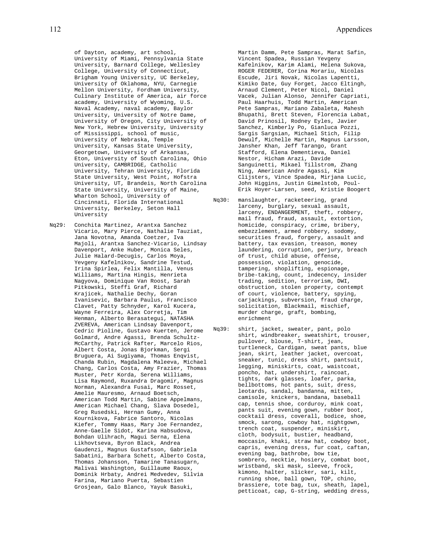of Dayton, academy, art school, University of Miami, Pennsylvania State University, Barnard College, Wellesley College, University of Connecticut, Brigham Young University, UC Berkeley, University of Oklahoma, NYU, Carnegie Mellon University, Fordham University, Culinary Institute of America, air force academy, University of Wyoming, U.S. Naval Academy, naval academy, Baylor University, University of Notre Dame, University of Oregon, City University of New York, Hebrew University, University of Mississippi, school of music, University of Nebraska, Temple University, Kansas State University, Georgetown, University of Arkansas, Eton, University of South Carolina, Ohio University, CAMBRIDGE, Catholic University, Tehran University, Florida State University, West Point, Hofstra University, UT, Brandeis, North Carolina State University, University of Maine, Wharton School, University of Cincinnati, Florida International University, Berkeley, Seton Hall University

Nq29: Conchita Martinez, Arantxa Sanchez Vicario, Mary Pierce, Nathalie Tauziat, Jana Novotna, Amanda Coetzer, Iva Majoli, Arantxa Sanchez-Vicario, Lindsay Davenport, Anke Huber, Monica Seles, Julie Halard-Decugis, Carlos Moya, Yevgeny Kafelnikov, Sandrine Testud, Irina Spirlea, Felix Mantilla, Venus Williams, Martina Hingis, Henrieta Nagyova, Dominique Van Roost, Sarah Pitkowski, Steffi Graf, Richard Krajicek, Nathalie Dechy, Goran Ivanisevic, Barbara Paulus, Francisco Clavet, Patty Schnyder, Karol Kucera, Wayne Ferreira, Alex Corretja, Tim Henman, Alberto Berasategui, NATASHA ZVEREVA, American Lindsay Davenport, Cedric Pioline, Gustavo Kuerten, Jerome Golmard, Andre Agassi, Brenda Schultz-McCarthy, Patrick Rafter, Marcelo Rios, Albert Costa, Jonas Bjorkman, Sergi Bruguera, Ai Sugiyama, Thomas Enqvist, Chanda Rubin, Magdalena Maleeva, Michael Chang, Carlos Costa, Amy Frazier, Thomas Muster, Petr Korda, Serena Williams, Lisa Raymond, Ruxandra Dragomir, Magnus Norman, Alexandra Fusai, Marc Rosset, Amelie Mauresmo, Arnaud Boetsch, American Todd Martin, Sabine Appelmans, American Michael Chang, Slava Dosedel, Greg Rusedski, Hernan Gumy, Anna Kournikova, Fabrice Santoro, Nicolas Kiefer, Tommy Haas, Mary Joe Fernandez, Anne-Gaelle Sidot, Karina Habsudova, Bohdan Ulihrach, Magui Serna, Elena Likhovtseva, Byron Black, Andrea Gaudenzi, Magnus Gustafsson, Gabriela Sabatini, Barbara Schett, Alberto Costa, Thomas Johansson, Tamarine Tanasugarn, Malivai Washington, Guillaume Raoux, Dominik Hrbaty, Andrei Medvedev, Silvia Farina, Mariano Puerta, Sebastien Grosjean, Galo Blanco, Yayuk Basuki,

Martin Damm, Pete Sampras, Marat Safin, Vincent Spadea, Russian Yevgeny Kafelnikov, Karim Alami, Helena Sukova, ROGER FEDERER, Corina Morariu, Nicolas Escude, Jiri Novak, Nicolas Lapentti, Kimiko Date, Guy Forget, Jacco Eltingh, Arnaud Clement, Peter Nicol, Daniel Vacek, Julian Alonso, Jennifer Capriati, Paul Haarhuis, Todd Martin, American Pete Sampras, Mariano Zabaleta, Mahesh Bhupathi, Brett Steven, Florencia Labat, David Prinosil, Rodney Eyles, Javier Sanchez, Kimberly Po, Gianluca Pozzi, Sargis Sargsian, Michael Stich, Filip Dewulf, Michelle Martin, Magnus Larsson, Jansher Khan, Jeff Tarango, Grant Stafford, Elena Dementieva, Daniel Nestor, Hicham Arazi, Davide Sanguinetti, Mikael Tillstrom, Zhang Ning, American Andre Agassi, Kim Clijsters, Vince Spadea, Mirjana Lucic, John Higgins, Justin Gimelstob, Poul-Erik Hoyer-Larsen, seed, Kristie Boogert

- Nq30: manslaughter, racketeering, grand larceny, burglary, sexual assault, larceny, ENDANGERMENT, theft, robbery, mail fraud, fraud, assault, extortion, homicide, conspiracy, crime, bribery, embezzlement, armed robbery, sodomy, securities fraud, forgery, assault and battery, tax evasion, treason, money laundering, corruption, perjury, breach of trust, child abuse, offense, possession, violation, genocide, tampering, shoplifting, espionage, bribe-taking, count, indecency, insider trading, sedition, terrorism, DWI, obstruction, stolen property, contempt of court, violence, battery, spying, carjackings, subversion, fraud charge, solicitation, Blackmail, mischief, murder charge, graft, bombing, enrichment
- Nq39: shirt, jacket, sweater, pant, polo shirt, windbreaker, sweatshirt, trouser, pullover, blouse, T-shirt, jean, turtleneck, Cardigan, sweat pants, blue jean, skirt, leather jacket, overcoat, sneaker, tunic, dress shirt, pantsuit, legging, miniskirts, coat, waistcoat, poncho, hat, undershirt, raincoat, tights, dark glasses, loafer, parka, bellbottoms, hot pants, suit, dress, leotards, sandal, bandanna, mitten, camisole, knickers, bandana, baseball cap, tennis shoe, corduroy, mink coat, pants suit, evening gown, rubber boot, cocktail dress, coverall, bodice, shoe, smock, sarong, cowboy hat, nightgown, trench coat, suspender, miniskirt, cloth, bodysuit, bustier, headband, moccasin, khaki, straw hat, cowboy boot, capris, evening dress, fur coat, caftan, evening bag, bathrobe, bow tie, sombrero, necktie, hosiery, combat boot, wristband, ski mask, sleeve, frock, kimono, halter, slicker, sari, kilt, running shoe, ball gown, TOP, chino, brassiere, tote bag, tux, sheath, lapel, petticoat, cap, G-string, wedding dress,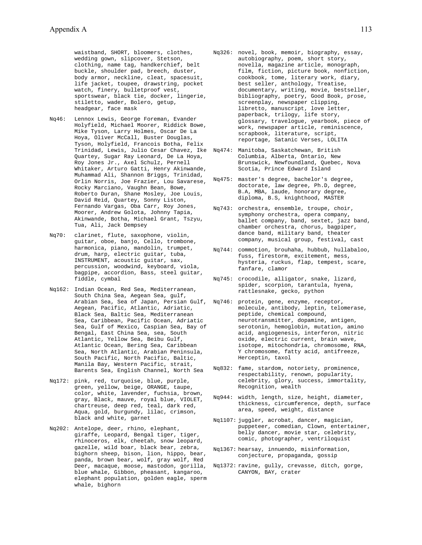waistband, SHORT, bloomers, clothes, wedding gown, slipcover, Stetson, clothing, name tag, handkerchief, belt buckle, shoulder pad, breech, duster, body armor, neckline, cleat, spacesuit, life jacket, toupee, drawstring, pocket watch, finery, bulletproof vest, sportswear, black tie, docker, lingerie, stiletto, wader, Bolero, getup, headgear, face mask

- Nq46: Lennox Lewis, George Foreman, Evander Holyfield, Michael Moorer, Riddick Bowe, Mike Tyson, Larry Holmes, Oscar De La Hoya, Oliver McCall, Buster Douglas, Tyson, Holyfield, Francois Botha, Felix Quartey, Sugar Ray Leonard, De La Hoya, Roy Jones Jr., Axel Schulz, Pernell Whitaker, Arturo Gatti, Henry Akinwande, Muhammad Ali, Shannon Briggs, Trinidad, Orlin Norris, Joe Frazier, Lou Savarese, Rocky Marciano, Vaughn Bean, Bowe, Roberto Duran, Shane Mosley, Joe Louis, David Reid, Quartey, Sonny Liston, Fernando Vargas, Oba Carr, Roy Jones, Moorer, Andrew Golota, Johnny Tapia, Akinwande, Botha, Michael Grant, Tszyu, Tua, Ali, Jack Dempsey
- Nq70: clarinet, flute, saxophone, violin, guitar, oboe, banjo, Cello, trombone, harmonica, piano, mandolin, trumpet, drum, harp, electric guitar, tuba, INSTRUMENT, acoustic guitar, sax, percussion, woodwind, keyboard, viola, bagpipe, accordion, Bass, steel guitar, fiddle, cymbal
- Nq162: Indian Ocean, Red Sea, Mediterranean, South China Sea, Aegean Sea, gulf, Aegean, Pacific, Atlantic, Adriatic, Black Sea, Baltic Sea, Mediterranean Sea, Caribbean, Pacific Ocean, Adriatic Sea, Gulf of Mexico, Caspian Sea, Bay of Bengal, East China Sea, sea, South Atlantic, Yellow Sea, Beibu Gulf, Atlantic Ocean, Bering Sea, Caribbean Sea, North Atlantic, Arabian Peninsula, South Pacific, North Pacific, Baltic, Manila Bay, Western Pacific, strait, Barents Sea, English Channel, North Sea
- Nq172: pink, red, turquoise, blue, purple, green, yellow, beige, ORANGE, taupe, color, white, lavender, fuchsia, brown, gray, Black, mauve, royal blue, VIOLET, chartreuse, deep red, teal, dark red, Aqua, gold, burgundy, lilac, crimson, black and white, garnet
- Nq202: Antelope, deer, rhino, elephant, giraffe, Leopard, Bengal tiger, tiger, rhinoceros, elk, cheetah, snow leopard, gazelle, wild boar, black bear, zebra, bighorn sheep, bison, lion, hippo, bear, panda, brown bear, wolf, gray wolf, Red Deer, macaque, moose, mastodon, gorilla, blue whale, Gibbon, pheasant, kangaroo, elephant population, golden eagle, sperm whale, bighorn
- Nq326: novel, book, memoir, biography, essay, autobiography, poem, short story, novella, magazine article, monograph, film, fiction, picture book, nonfiction, cookbook, tome, literary work, diary, best seller, anthology, Treatise, documentary, writing, movie, bestseller, bibliography, poetry, Good Book, prose, screenplay, newspaper clipping, libretto, manuscript, love letter, paperback, trilogy, life story, glossary, travelogue, yearbook, piece of work, newspaper article, reminiscence, scrapbook, literature, script, reportage, Satanic Verses, LOLITA
- Trinidad, Lewis, Julio Cesar Chavez, Ike Nq474: Manitoba, Saskatchewan, British Columbia, Alberta, Ontario, New Brunswick, Newfoundland, Quebec, Nova Scotia, Prince Edward Island
	- Nq475: master's degree, bachelor's degree, doctorate, law degree, Ph.D, degree, B.A, MBA, laude, honorary degree, diploma, B.S, knighthood, MASTER
	- Nq743: orchestra, ensemble, troupe, choir, symphony orchestra, opera company, ballet company, band, sextet, jazz band, chamber orchestra, chorus, bagpiper, dance band, military band, theater company, musical group, festival, cast
	- Nq744: commotion, brouhaha, hubbub, hullabaloo, fuss, firestorm, excitement, mess, hysteria, ruckus, flap, tempest, scare, fanfare, clamor
	- Nq745: crocodile, alligator, snake, lizard, spider, scorpion, tarantula, hyena, rattlesnake, gecko, python
- Arabian Sea, Sea of Japan, Persian Gulf, Nq746: protein, gene, enzyme, receptor, molecule, antibody, leptin, telomerase, peptide, chemical compound, neurotransmitter, dopamine, antigen, serotonin, hemoglobin, mutation, amino acid, angiogenesis, interferon, nitric oxide, electric current, brain wave, isotope, mitochondria, chromosome, RNA, Y chromosome, fatty acid, antifreeze, Herceptin, taxol
	- Nq832: fame, stardom, notoriety, prominence, respectability, renown, popularity, celebrity, glory, success, immortality, Recognition, wealth
	- Nq944: width, length, size, height, diameter, thickness, circumference, depth, surface area, speed, weight, distance
	- Nq1107: juggler, acrobat, dancer, magician, puppeteer, comedian, Clown, entertainer, belly dancer, movie star, celebrity, comic, photographer, ventriloquist
	- Nq1367: hearsay, innuendo, misinformation, conjecture, propaganda, gossip
	- Nq1372: ravine, gully, crevasse, ditch, gorge, CANYON, BAY, crater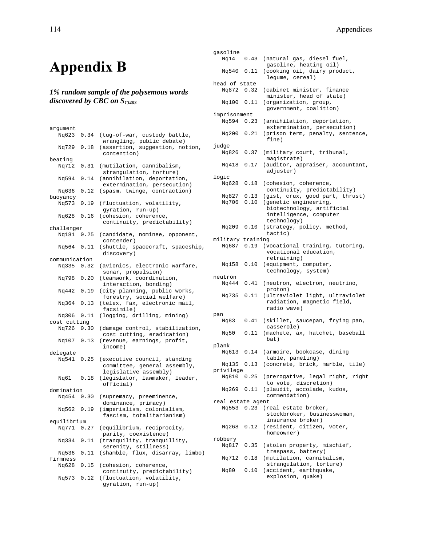# **Appendix B**

## *1% random sample of the polysemous words discovered by CBC on S13403*

| argument      |                                                                                                |                                  |  |
|---------------|------------------------------------------------------------------------------------------------|----------------------------------|--|
|               | Nq623 0.34                                                                                     | (tug-of-war, custody battle,     |  |
|               |                                                                                                | wrangling, public debate)        |  |
|               | Nq729 0.18                                                                                     | (assertion, suggestion, notion,  |  |
|               |                                                                                                | contention)                      |  |
| beating       |                                                                                                |                                  |  |
| Nq712         | 0.31                                                                                           | (mutilation, cannibalism,        |  |
|               |                                                                                                | strangulation, torture)          |  |
| Nq594         | $\ensuremath{\text{0}}\xspace$ .<br>$\ensuremath{\text{1}}\xspace\ensuremath{\text{4}}\xspace$ | (annihilation, deportation,      |  |
|               |                                                                                                | extermination, persecution)      |  |
| Nq636         | 0.12                                                                                           | (spasm, twinge, contraction)     |  |
| buoyancy      |                                                                                                |                                  |  |
| Ng573         | 0.19                                                                                           | (fluctuation, volatility,        |  |
|               |                                                                                                |                                  |  |
|               |                                                                                                | gyration, run-up)                |  |
|               | Nq628 0.16                                                                                     | (cohesion, coherence,            |  |
|               |                                                                                                | continuity, predictability)      |  |
| challenger    |                                                                                                |                                  |  |
|               | Nq181 0.25                                                                                     | (candidate, nominee, opponent,   |  |
|               |                                                                                                | contender)                       |  |
|               | Nq564 0.11                                                                                     | (shuttle, spacecraft, spaceship, |  |
|               |                                                                                                | discovery)                       |  |
| communication |                                                                                                |                                  |  |
|               | Nq335 0.32                                                                                     | (avionics, electronic warfare,   |  |
|               |                                                                                                | sonar, propulsion)               |  |
|               | Nq798 0.20                                                                                     | (teamwork, coordination,         |  |
|               |                                                                                                | interaction, bonding)            |  |
|               | Nq442 0.19                                                                                     | (city planning, public works,    |  |
|               |                                                                                                | forestry, social welfare)        |  |
|               | Nq364 0.13                                                                                     | (telex, fax, electronic mail,    |  |
|               |                                                                                                | facsimile)                       |  |
|               | Nq306 0.11                                                                                     | (logging, drilling, mining)      |  |
| cost cutting  |                                                                                                |                                  |  |
|               | Nq726 0.30                                                                                     | (damage control, stabilization,  |  |
|               |                                                                                                | cost cutting, eradication)       |  |
|               | Nq107 0.13                                                                                     | (revenue, earnings, profit,      |  |
|               |                                                                                                | income)                          |  |
| delegate      |                                                                                                |                                  |  |
| Ng541         | 0.25                                                                                           | (executive council, standing     |  |
|               |                                                                                                | committee, general assembly,     |  |
|               |                                                                                                | legislative assembly)            |  |
|               | Nq61 0.18                                                                                      | (legislator, lawmaker, leader,   |  |
|               |                                                                                                | official)                        |  |
| domination    |                                                                                                |                                  |  |
|               | Nq454 0.30                                                                                     | (supremacy, preeminence,         |  |
|               |                                                                                                | dominance, primacy)              |  |
|               | Nq562 0.19                                                                                     | (imperialism, colonialism,       |  |
|               |                                                                                                | fascism, totalitarianism)        |  |
| equilibrium   |                                                                                                |                                  |  |
|               | Nq771 0.27                                                                                     | (equilibrium, reciprocity,       |  |
|               |                                                                                                | parity, coexistence)             |  |
| Ng334         | 0.11                                                                                           | (tranquility, tranquillity,      |  |
|               |                                                                                                | serenity, stillness)             |  |
| Nq536         | 0.11                                                                                           | (shamble, flux, disarray, limbo) |  |
| firmness      |                                                                                                |                                  |  |
| Nq628         | 0.15                                                                                           | (cohesion, coherence,            |  |
|               |                                                                                                | continuity, predictability)      |  |
| Nq573         | 0.12                                                                                           | (fluctuation, volatility,        |  |
|               |                                                                                                | gyration, run-up)                |  |
|               |                                                                                                |                                  |  |

| gasoline          |            |                                                               |  |  |
|-------------------|------------|---------------------------------------------------------------|--|--|
|                   | Ng14 0.43  | (natural gas, diesel fuel,                                    |  |  |
| Ng540 0.11        |            | gasoline, heating oil)<br>(cooking oil, dairy product,        |  |  |
|                   |            | legume, cereal)                                               |  |  |
| head of state     |            |                                                               |  |  |
| Ng872 0.32        |            | (cabinet minister, finance<br>minister, head of state)        |  |  |
| Nq100 0.11        |            | (organization, group,<br>government, coalition)               |  |  |
| imprisonment      |            |                                                               |  |  |
| Ng594 0.23        |            | (annihilation, deportation,<br>extermination, persecution)    |  |  |
| Nq200 0.21        |            | (prison term, penalty, sentence,<br>fine)                     |  |  |
| judge             |            |                                                               |  |  |
| Nq826 0.37        |            | (military court, tribunal,<br>magistrate)                     |  |  |
|                   | Ng418 0.17 | (auditor, appraiser, accountant,<br>adjuster)                 |  |  |
| logic             |            |                                                               |  |  |
| Nq628 0.18        |            | (cohesion, coherence,<br>continuity, predictability)          |  |  |
| Nq827             | 0.13       | (gist, crux, good part, thrust)                               |  |  |
| Ng706             | 0.10       | (genetic engineering,                                         |  |  |
|                   |            | biotechnology, artificial<br>intelligence, computer           |  |  |
|                   |            | technology)                                                   |  |  |
| Nq209 0.10        |            | (strategy, policy, method,<br>tactic)                         |  |  |
| military training |            |                                                               |  |  |
|                   |            | Nq687 0.19 (vocational training, tutoring,                    |  |  |
|                   |            | vocational education,<br>retraining)                          |  |  |
| Ng158 0.10        |            | (equipment, computer,                                         |  |  |
|                   |            | technology, system)                                           |  |  |
| neutron           |            |                                                               |  |  |
| Ng444 0.41        |            | (neutron, electron, neutrino,<br>proton)                      |  |  |
| Ng735 0.11        |            | (ultraviolet light, ultraviolet<br>radiation, magnetic field, |  |  |
|                   |            | radio wave)                                                   |  |  |
| pan               |            |                                                               |  |  |
| Nq83              | 0.41       | (skillet, saucepan, frying pan,<br>casserole)                 |  |  |
| Ng50              | 0.11       | (machete, ax, hatchet, baseball<br>bat)                       |  |  |
| plank             |            |                                                               |  |  |
| Nq613             |            | 0.14 (armoire, bookcase, dining<br>table, paneling)           |  |  |
| Nq135 0.13        |            | (concrete, brick, marble, tile)                               |  |  |
| privilege         |            |                                                               |  |  |
| Ng810 0.25        |            | (prerogative, legal right, right<br>to vote, discretion)      |  |  |
| Ng269             | 0.11       | (plaudit, accolade, kudos,<br>commendation)                   |  |  |
| real estate agent |            |                                                               |  |  |
| Ng553 0.23        |            | (real estate broker,                                          |  |  |
|                   |            | stockbroker, businesswoman,<br>insurance broker)              |  |  |
| Nq268             | 0.12       | (resident, citizen, voter,<br>homeowner)                      |  |  |
| robbery           |            |                                                               |  |  |
| Nq817 0.35        |            | (stolen property, mischief,                                   |  |  |
|                   |            | trespass, battery)                                            |  |  |
| Nq712 0.18        |            | (mutilation, cannibalism,<br>strangulation, torture)          |  |  |
| Nq80              | 0.10       | (accident, earthquake,<br>explosion, quake)                   |  |  |
|                   |            |                                                               |  |  |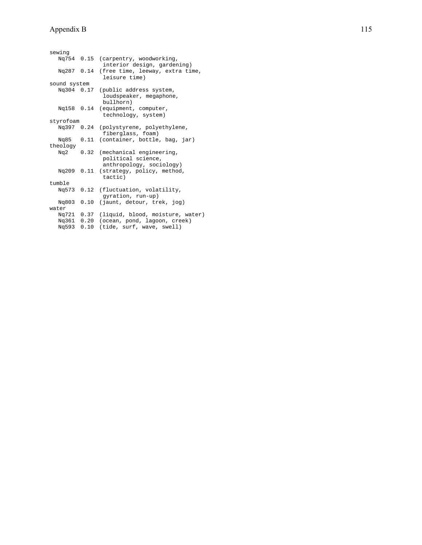| sewing       |      |                                  |
|--------------|------|----------------------------------|
|              |      |                                  |
| Ng754 0.15   |      | (carpentry, woodworking,         |
|              |      | interior design, gardening)      |
| Ng287 0.14   |      | (free time, leeway, extra time,  |
|              |      | leisure time)                    |
| sound system |      |                                  |
| Ng304 0.17   |      | (public address system,          |
|              |      | loudspeaker, megaphone,          |
|              |      | bullhorn)                        |
| Ng158 0.14   |      |                                  |
|              |      | (equipment, computer,            |
|              |      | technology, system)              |
| styrofoam    |      |                                  |
| Ng397 0.24   |      | (polystyrene, polyethylene,      |
|              |      | fiberglass, foam)                |
| Ng85 0.11    |      | (container, bottle, bag, jar)    |
| theology     |      |                                  |
| Ng2          | 0.32 | (mechanical engineering,         |
|              |      | political science,               |
|              |      |                                  |
|              |      | anthropology, sociology)         |
| Ng209 0.11   |      | (strategy, policy, method,       |
|              |      | tactic)                          |
| tumble       |      |                                  |
| Ng573 0.12   |      | (fluctuation, volatility,        |
|              |      | gyration, run-up)                |
| Ng803 0.10   |      | (jaunt, detour, trek, jog)       |
| water        |      |                                  |
|              |      |                                  |
| Ng721 0.37   |      | (liquid, blood, moisture, water) |
| Ng361 0.20   |      | (ocean, pond, lagoon, creek)     |
| Ng593 0.10   |      | (tide, surf, wave, swell)        |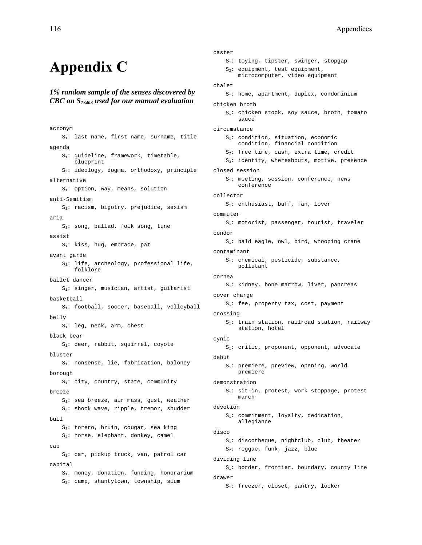# **Appendix C**

### *1% random sample of the senses discovered by CBC on S13403 used for our manual evaluation*

acronym S1: last name, first name, surname, title agenda S1: guideline, framework, timetable, blueprint S2: ideology, dogma, orthodoxy, principle alternative S1: option, way, means, solution anti-Semitism  $S_1$ : racism, bigotry, prejudice, sexism aria  $S_1$ : song, ballad, folk song, tune assist S1: kiss, hug, embrace, pat avant garde S1: life, archeology, professional life, folklore ballet dancer S1: singer, musician, artist, guitarist basketball S1: football, soccer, baseball, volleyball belly S<sub>1</sub>: leg, neck, arm, chest black bear S1: deer, rabbit, squirrel, coyote bluster S1: nonsense, lie, fabrication, baloney borough  $S_1$ : city, country, state, community breeze  $S_1$ : sea breeze, air mass, gust, weather S2: shock wave, ripple, tremor, shudder bull.  $S_1$ : torero, bruin, cougar, sea king S<sub>2</sub>: horse, elephant, donkey, camel cab S1: car, pickup truck, van, patrol car capital S1: money, donation, funding, honorarium S<sub>2</sub>: camp, shantytown, township, slum

```
caster 
     S1: toying, tipster, swinger, stopgap 
     S2: equipment, test equipment, 
        microcomputer, video equipment 
chalet 
     S1: home, apartment, duplex, condominium 
chicken broth 
     S1: chicken stock, soy sauce, broth, tomato 
        sauce 
circumstance 
    S_1: condition, situation, economic
        condition, financial condition 
     S2: free time, cash, extra time, credit 
    S_3: identity, whereabouts, motive, presence
closed session 
    S_1: meeting, session, conference, news
        conference 
collector 
    S<sub>1</sub>: enthusiast, buff, fan, lover
commuter 
     S1: motorist, passenger, tourist, traveler 
condor 
    S<sub>1</sub>: bald eagle, owl, bird, whooping crane
contaminant 
    S_1: chemical, pesticide, substance,
        pollutant 
cornea 
     S1: kidney, bone marrow, liver, pancreas 
cover charge 
    S<sub>1</sub>: fee, property tax, cost, payment
crossing 
     S1: train station, railroad station, railway 
        station, hotel 
cynic 
     S1: critic, proponent, opponent, advocate 
debut 
     S1: premiere, preview, opening, world 
        premiere 
demonstration 
     S1: sit-in, protest, work stoppage, protest 
        march 
devotion 
     S1: commitment, loyalty, dedication, 
        allegiance 
disco 
     S1: discotheque, nightclub, club, theater 
     S2: reggae, funk, jazz, blue 
dividing line 
    S<sub>1</sub>: border, frontier, boundary, county line
drawer
```
S1: freezer, closet, pantry, locker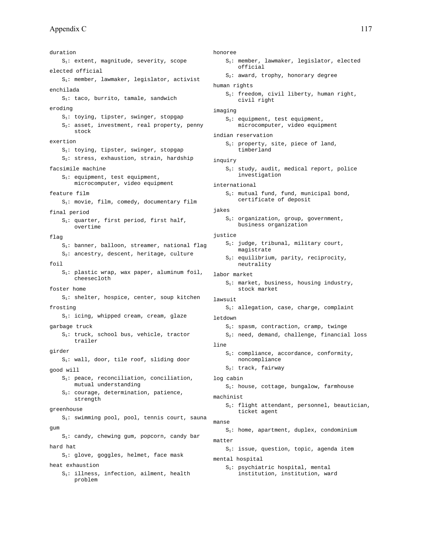duration S1: extent, magnitude, severity, scope elected official S1: member, lawmaker, legislator, activist enchilada  $S_1$ : taco, burrito, tamale, sandwich eroding S1: toying, tipster, swinger, stopgap  $S_2$ : asset, investment, real property, penny stock exertion S1: toying, tipster, swinger, stopgap  $S_2$ : stress, exhaustion, strain, hardship facsimile machine  $S_1$ : equipment, test equipment, microcomputer, video equipment feature film  $S_1$ : movie, film, comedy, documentary film final period S1: quarter, first period, first half, overtime flag S<sub>1</sub>: banner, balloon, streamer, national flag  $S_2$ : ancestry, descent, heritage, culture foil  $S_1$ : plastic wrap, wax paper, aluminum foil, cheesecloth foster home S<sub>1</sub>: shelter, hospice, center, soup kitchen frosting  $S_1$ : icing, whipped cream, cream, glaze garbage truck S<sub>1</sub>: truck, school bus, vehicle, tractor trailer girder S1: wall, door, tile roof, sliding door good will S1: peace, reconciliation, conciliation, mutual understanding  $S_2$ : courage, determination, patience, strength greenhouse S<sub>1</sub>: swimming pool, pool, tennis court, sauna gum S1: candy, chewing gum, popcorn, candy bar hard hat S<sub>1</sub>: glove, goggles, helmet, face mask heat exhaustion S1: illness, infection, ailment, health problem

honoree

- S1: member, lawmaker, legislator, elected official
- $S_2$ : award, trophy, honorary degree

#### human rights

 S1: freedom, civil liberty, human right, civil right

#### imaging

- S1: equipment, test equipment, microcomputer, video equipment
- indian reservation
	- S<sub>1</sub>: property, site, piece of land, timberland
- inquiry
	- S1: study, audit, medical report, police investigation
- international
	- S1: mutual fund, fund, municipal bond, certificate of deposit

#### jakes

S<sub>1</sub>: organization, group, government, business organization

#### justice

- $S_1$ : judge, tribunal, military court, magistrate
- S2: equilibrium, parity, reciprocity, neutrality
- labor market
	- S<sub>1</sub>: market, business, housing industry, stock market
- lawsuit

S1: allegation, case, charge, complaint

- letdown
	- S<sub>1</sub>: spasm, contraction, cramp, twinge
	- $S_2$ : need, demand, challenge, financial loss

#### line

- S1: compliance, accordance, conformity, noncompliance
- S2: track, fairway
- log cabin
	- S1: house, cottage, bungalow, farmhouse
- machinist
	- S1: flight attendant, personnel, beautician, ticket agent

#### manse

S1: home, apartment, duplex, condominium

```
matter
```
 $S_1$ : issue, question, topic, agenda item

```
mental hospital
```
 S1: psychiatric hospital, mental institution, institution, ward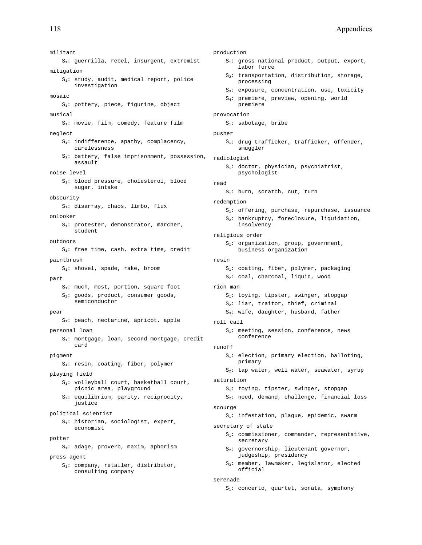militant S1: guerrilla, rebel, insurgent, extremist mitigation S1: study, audit, medical report, police investigation mosaic S<sub>1</sub>: pottery, piece, figurine, object musical S1: movie, film, comedy, feature film neglect  $S_1$ : indifference, apathy, complacency, carelessness  $S_2$ : battery, false imprisonment, possession, assault noise level S1: blood pressure, cholesterol, blood sugar, intake obscurity S1: disarray, chaos, limbo, flux onlooker S1: protester, demonstrator, marcher, student outdoors S1: free time, cash, extra time, credit paintbrush S1: shovel, spade, rake, broom part  $S_1$ : much, most, portion, square foot S<sub>2</sub>: goods, product, consumer goods, semiconductor pear S1: peach, nectarine, apricot, apple personal loan S1: mortgage, loan, second mortgage, credit card pigment S1: resin, coating, fiber, polymer playing field S1: volleyball court, basketball court, picnic area, playground S<sub>2</sub>: equilibrium, parity, reciprocity, justice political scientist S1: historian, sociologist, expert, economist potter S1: adage, proverb, maxim, aphorism press agent S1: company, retailer, distributor, consulting company

#### production

- S1: gross national product, output, export, labor force
- $S_2$ : transportation, distribution, storage, processing
- S3: exposure, concentration, use, toxicity
- S4: premiere, preview, opening, world premiere
- provocation

```
 S1: sabotage, bribe
```
- pusher
	- $S_1$ : drug trafficker, trafficker, offender, smuggler
- radiologist
	- S1: doctor, physician, psychiatrist, psychologist

#### read

- S<sub>1</sub>: burn, scratch, cut, turn
- redemption
	- S1: offering, purchase, repurchase, issuance
	- S2: bankruptcy, foreclosure, liquidation, insolvency
- religious order
	- $S_1$ : organization, group, government, business organization

### resin

- S1: coating, fiber, polymer, packaging S<sub>2</sub>: coal, charcoal, liquid, wood
- rich man
	- $S_1$ : toying, tipster, swinger, stopgap
	- S2: liar, traitor, thief, criminal
	- S3: wife, daughter, husband, father

#### roll call

 $S_1$ : meeting, session, conference, news conference

#### runoff

- S<sub>1</sub>: election, primary election, balloting, primary
- $S_2$ : tap water, well water, seawater, syrup

#### saturation

- S1: toying, tipster, swinger, stopgap
- S<sub>2</sub>: need, demand, challenge, financial loss scourge

S1: infestation, plague, epidemic, swarm

#### secretary of state

- $S_1$ : commissioner, commander, representative, secretary
- $S_2$ : governorship, lieutenant governor, judgeship, presidency
- S3: member, lawmaker, legislator, elected official

#### serenade

S1: concerto, quartet, sonata, symphony